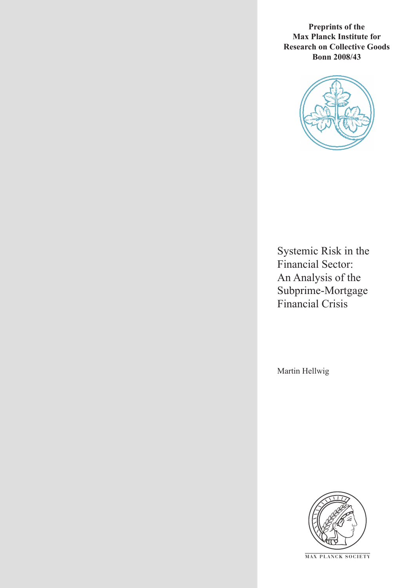**Preprints of the Max Planck Institute for Research on Collective Goods Bonn 2008/43**



Systemic Risk in the Financial Sector: An Analysis of the Subprime-Mortgage Financial Crisis

Martin Hellwig



**M AX P L A N C K S O C I E T Y**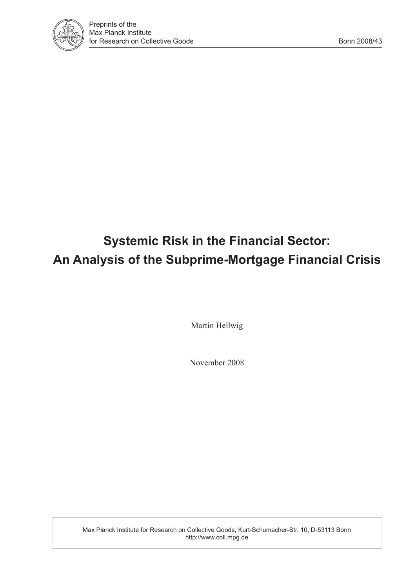

# **Systemic Risk in the Financial Sector: An Analysis of the Subprime-Mortgage Financial Crisis**

Martin Hellwig

November 2008

Max Planck Institute for Research on Collective Goods, Kurt-Schumacher-Str. 10, D-53113 Bonn http://www.coll.mpg.de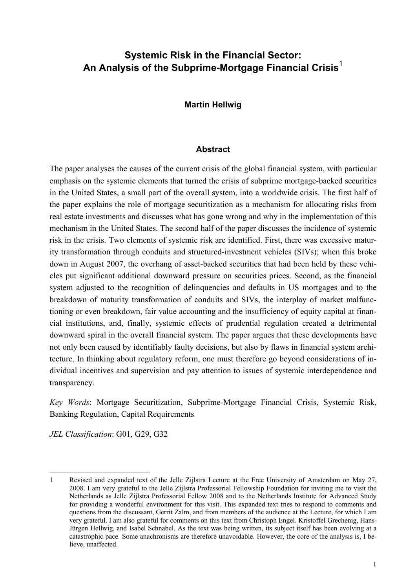### **Systemic Risk in the Financial Sector: An Analysis of the Subprime-Mortgage Financial Crisis**<sup>1</sup>

#### **Martin Hellwig**

#### **Abstract**

The paper analyses the causes of the current crisis of the global financial system, with particular emphasis on the systemic elements that turned the crisis of subprime mortgage-backed securities in the United States, a small part of the overall system, into a worldwide crisis. The first half of the paper explains the role of mortgage securitization as a mechanism for allocating risks from real estate investments and discusses what has gone wrong and why in the implementation of this mechanism in the United States. The second half of the paper discusses the incidence of systemic risk in the crisis. Two elements of systemic risk are identified. First, there was excessive maturity transformation through conduits and structured-investment vehicles (SIVs); when this broke down in August 2007, the overhang of asset-backed securities that had been held by these vehicles put significant additional downward pressure on securities prices. Second, as the financial system adjusted to the recognition of delinquencies and defaults in US mortgages and to the breakdown of maturity transformation of conduits and SIVs, the interplay of market malfunctioning or even breakdown, fair value accounting and the insufficiency of equity capital at financial institutions, and, finally, systemic effects of prudential regulation created a detrimental downward spiral in the overall financial system. The paper argues that these developments have not only been caused by identifiably faulty decisions, but also by flaws in financial system architecture. In thinking about regulatory reform, one must therefore go beyond considerations of individual incentives and supervision and pay attention to issues of systemic interdependence and transparency.

*Key Words*: Mortgage Securitization, Subprime-Mortgage Financial Crisis, Systemic Risk, Banking Regulation, Capital Requirements

*JEL Classification*: G01, G29, G32

<sup>1</sup> Revised and expanded text of the Jelle Zijlstra Lecture at the Free University of Amsterdam on May 27, 2008. I am very grateful to the Jelle Zijlstra Professorial Fellowship Foundation for inviting me to visit the Netherlands as Jelle Zijlstra Professorial Fellow 2008 and to the Netherlands Institute for Advanced Study for providing a wonderful environment for this visit. This expanded text tries to respond to comments and questions from the discussant, Gerrit Zalm, and from members of the audience at the Lecture, for which I am very grateful. I am also grateful for comments on this text from Christoph Engel. Kristoffel Grechenig, Hans-Jürgen Hellwig, and Isabel Schnabel. As the text was being written, its subject itself has been evolving at a catastrophic pace. Some anachronisms are therefore unavoidable. However, the core of the analysis is, I believe, unaffected.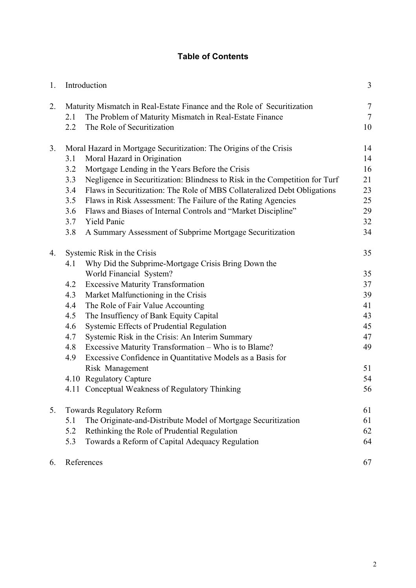### **Table of Contents**

| 1.             | Introduction                                                            |                                                                             |    |  |
|----------------|-------------------------------------------------------------------------|-----------------------------------------------------------------------------|----|--|
| 2.             | Maturity Mismatch in Real-Estate Finance and the Role of Securitization |                                                                             |    |  |
|                | 2.1                                                                     | The Problem of Maturity Mismatch in Real-Estate Finance                     | 7  |  |
|                | 2.2                                                                     | The Role of Securitization                                                  | 10 |  |
| 3 <sub>1</sub> | Moral Hazard in Mortgage Securitization: The Origins of the Crisis      |                                                                             |    |  |
|                | 3.1                                                                     | Moral Hazard in Origination                                                 | 14 |  |
|                | 3.2                                                                     | Mortgage Lending in the Years Before the Crisis                             | 16 |  |
|                | 3.3                                                                     | Negligence in Securitization: Blindness to Risk in the Competition for Turf | 21 |  |
|                | 3.4                                                                     | Flaws in Securitization: The Role of MBS Collateralized Debt Obligations    | 23 |  |
|                | 3.5                                                                     | Flaws in Risk Assessment: The Failure of the Rating Agencies                | 25 |  |
|                | 3.6                                                                     | Flaws and Biases of Internal Controls and "Market Discipline"               | 29 |  |
|                | 3.7                                                                     | Yield Panic                                                                 | 32 |  |
|                | 3.8                                                                     | A Summary Assessment of Subprime Mortgage Securitization                    | 34 |  |
| 4.             | Systemic Risk in the Crisis                                             |                                                                             |    |  |
|                | 4.1                                                                     | Why Did the Subprime-Mortgage Crisis Bring Down the                         |    |  |
|                |                                                                         | World Financial System?                                                     | 35 |  |
|                | 4.2                                                                     | <b>Excessive Maturity Transformation</b>                                    | 37 |  |
|                | 4.3                                                                     | Market Malfunctioning in the Crisis                                         | 39 |  |
|                | 4.4                                                                     | The Role of Fair Value Accounting                                           | 41 |  |
|                | 4.5                                                                     | The Insuffiency of Bank Equity Capital                                      | 43 |  |
|                | 4.6                                                                     | Systemic Effects of Prudential Regulation                                   | 45 |  |
|                | 4.7                                                                     | Systemic Risk in the Crisis: An Interim Summary                             | 47 |  |
|                | 4.8                                                                     | Excessive Maturity Transformation - Who is to Blame?                        | 49 |  |
|                | 4.9                                                                     | Excessive Confidence in Quantitative Models as a Basis for                  |    |  |
|                |                                                                         | Risk Management                                                             | 51 |  |
|                |                                                                         | 4.10 Regulatory Capture                                                     | 54 |  |
|                |                                                                         | 4.11 Conceptual Weakness of Regulatory Thinking                             | 56 |  |
| 5.             | <b>Towards Regulatory Reform</b>                                        |                                                                             |    |  |
|                | 5.1                                                                     | The Originate-and-Distribute Model of Mortgage Securitization               | 61 |  |
|                | 5.2                                                                     | Rethinking the Role of Prudential Regulation                                | 62 |  |
|                | 5.3                                                                     | Towards a Reform of Capital Adequacy Regulation                             | 64 |  |
| 6.             | References                                                              |                                                                             |    |  |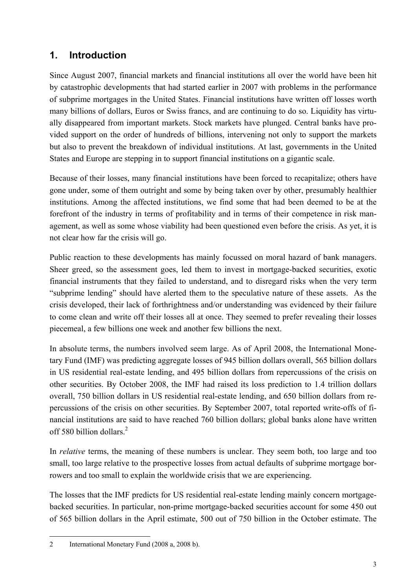## **1. Introduction**

Since August 2007, financial markets and financial institutions all over the world have been hit by catastrophic developments that had started earlier in 2007 with problems in the performance of subprime mortgages in the United States. Financial institutions have written off losses worth many billions of dollars, Euros or Swiss francs, and are continuing to do so. Liquidity has virtually disappeared from important markets. Stock markets have plunged. Central banks have provided support on the order of hundreds of billions, intervening not only to support the markets but also to prevent the breakdown of individual institutions. At last, governments in the United States and Europe are stepping in to support financial institutions on a gigantic scale.

Because of their losses, many financial institutions have been forced to recapitalize; others have gone under, some of them outright and some by being taken over by other, presumably healthier institutions. Among the affected institutions, we find some that had been deemed to be at the forefront of the industry in terms of profitability and in terms of their competence in risk management, as well as some whose viability had been questioned even before the crisis. As yet, it is not clear how far the crisis will go.

Public reaction to these developments has mainly focussed on moral hazard of bank managers. Sheer greed, so the assessment goes, led them to invest in mortgage-backed securities, exotic financial instruments that they failed to understand, and to disregard risks when the very term "subprime lending" should have alerted them to the speculative nature of these assets. As the crisis developed, their lack of forthrightness and/or understanding was evidenced by their failure to come clean and write off their losses all at once. They seemed to prefer revealing their losses piecemeal, a few billions one week and another few billions the next.

In absolute terms, the numbers involved seem large. As of April 2008, the International Monetary Fund (IMF) was predicting aggregate losses of 945 billion dollars overall, 565 billion dollars in US residential real-estate lending, and 495 billion dollars from repercussions of the crisis on other securities. By October 2008, the IMF had raised its loss prediction to 1.4 trillion dollars overall, 750 billion dollars in US residential real-estate lending, and 650 billion dollars from repercussions of the crisis on other securities. By September 2007, total reported write-offs of financial institutions are said to have reached 760 billion dollars; global banks alone have written off 580 billion dollars $^2$ 

In *relative* terms, the meaning of these numbers is unclear. They seem both, too large and too small, too large relative to the prospective losses from actual defaults of subprime mortgage borrowers and too small to explain the worldwide crisis that we are experiencing.

The losses that the IMF predicts for US residential real-estate lending mainly concern mortgagebacked securities. In particular, non-prime mortgage-backed securities account for some 450 out of 565 billion dollars in the April estimate, 500 out of 750 billion in the October estimate. The

j 2 International Monetary Fund (2008 a, 2008 b).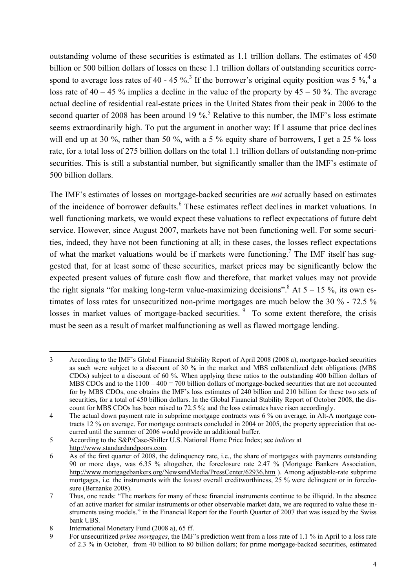outstanding volume of these securities is estimated as 1.1 trillion dollars. The estimates of 450 billion or 500 billion dollars of losses on these 1.1 trillion dollars of outstanding securities correspond to average loss rates of 40 - 45 %.<sup>3</sup> If the borrower's original equity position was 5 %,<sup>4</sup> a loss rate of 40 – 45 % implies a decline in the value of the property by  $45 - 50$  %. The average actual decline of residential real-estate prices in the United States from their peak in 2006 to the second quarter of 2008 has been around 19 %.<sup>5</sup> Relative to this number, the IMF's loss estimate seems extraordinarily high. To put the argument in another way: If I assume that price declines will end up at 30 %, rather than 50 %, with a 5 % equity share of borrowers, I get a 25 % loss rate, for a total loss of 275 billion dollars on the total 1.1 trillion dollars of outstanding non-prime securities. This is still a substantial number, but significantly smaller than the IMF's estimate of 500 billion dollars.

The IMF's estimates of losses on mortgage-backed securities are *not* actually based on estimates of the incidence of borrower defaults. <sup>6</sup> These estimates reflect declines in market valuations. In well functioning markets, we would expect these valuations to reflect expectations of future debt service. However, since August 2007, markets have not been functioning well. For some securities, indeed, they have not been functioning at all; in these cases, the losses reflect expectations of what the market valuations would be if markets were functioning.<sup>7</sup> The IMF itself has suggested that, for at least some of these securities, market prices may be significantly below the expected present values of future cash flow and therefore, that market values may not provide the right signals "for making long-term value-maximizing decisions".<sup>8</sup> At  $5 - 15$  %, its own estimates of loss rates for unsecuritized non-prime mortgages are much below the 30 % - 72.5 % losses in market values of mortgage-backed securities. <sup>9</sup> To some extent therefore, the crisis must be seen as a result of market malfunctioning as well as flawed mortgage lending.

 $\overline{a}$ 3 According to the IMF's Global Financial Stability Report of April 2008 (2008 a), mortgage-backed securities as such were subject to a discount of 30 % in the market and MBS collateralized debt obligations (MBS CDOs) subject to a discount of 60 %. When applying these ratios to the outstanding 400 billion dollars of MBS CDOs and to the  $1100 - 400 = 700$  billion dollars of mortgage-backed securities that are not accounted for by MBS CDOs, one obtains the IMF's loss estimates of 240 billion and 210 billion for these two sets of securities, for a total of 450 billion dollars. In the Global Financial Stability Report of October 2008, the discount for MBS CDOs has been raised to 72.5 %; and the loss estimates have risen accordingly.

<sup>4</sup> The actual down payment rate in subprime mortgage contracts was 6 % on average, in Alt-A mortgage contracts 12 % on average. For mortgage contracts concluded in 2004 or 2005, the property appreciation that occurred until the summer of 2006 would provide an additional buffer.

<sup>5</sup> According to the S&P/Case-Shiller U.S. National Home Price Index; see *indices* at http://www.standardandpoors.com.

<sup>6</sup> As of the first quarter of 2008, the delinquency rate, i.e., the share of mortgages with payments outstanding 90 or more days, was 6.35 % altogether, the foreclosure rate 2.47 % (Mortgage Bankers Association, http://www.mortgagebankers.org/NewsandMedia/PressCenter/62936.htm ). Among adjustable-rate subprime mortgages, i.e. the instruments with the *lowest* overall creditworthiness, 25 % were delinquent or in foreclosure (Bernanke 2008).

<sup>7</sup> Thus, one reads: "The markets for many of these financial instruments continue to be illiquid. In the absence of an active market for similar instruments or other observable market data, we are required to value these instruments using models." in the Financial Report for the Fourth Quarter of 2007 that was issued by the Swiss bank UBS.

<sup>8</sup> International Monetary Fund (2008 a), 65 ff.

<sup>9</sup> For unsecuritized *prime mortgages*, the IMF's prediction went from a loss rate of 1.1 % in April to a loss rate of 2.3 % in October, from 40 billion to 80 billion dollars; for prime mortgage-backed securities, estimated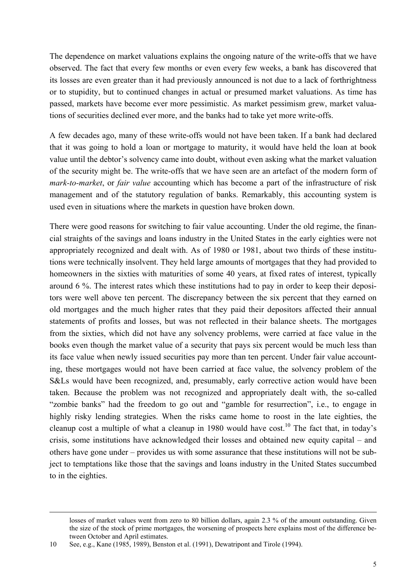The dependence on market valuations explains the ongoing nature of the write-offs that we have observed. The fact that every few months or even every few weeks, a bank has discovered that its losses are even greater than it had previously announced is not due to a lack of forthrightness or to stupidity, but to continued changes in actual or presumed market valuations. As time has passed, markets have become ever more pessimistic. As market pessimism grew, market valuations of securities declined ever more, and the banks had to take yet more write-offs.

A few decades ago, many of these write-offs would not have been taken. If a bank had declared that it was going to hold a loan or mortgage to maturity, it would have held the loan at book value until the debtor's solvency came into doubt, without even asking what the market valuation of the security might be. The write-offs that we have seen are an artefact of the modern form of *mark-to-market*, or *fair value* accounting which has become a part of the infrastructure of risk management and of the statutory regulation of banks. Remarkably, this accounting system is used even in situations where the markets in question have broken down.

There were good reasons for switching to fair value accounting. Under the old regime, the financial straights of the savings and loans industry in the United States in the early eighties were not appropriately recognized and dealt with. As of 1980 or 1981, about two thirds of these institutions were technically insolvent. They held large amounts of mortgages that they had provided to homeowners in the sixties with maturities of some 40 years, at fixed rates of interest, typically around 6 %. The interest rates which these institutions had to pay in order to keep their depositors were well above ten percent. The discrepancy between the six percent that they earned on old mortgages and the much higher rates that they paid their depositors affected their annual statements of profits and losses, but was not reflected in their balance sheets. The mortgages from the sixties, which did not have any solvency problems, were carried at face value in the books even though the market value of a security that pays six percent would be much less than its face value when newly issued securities pay more than ten percent. Under fair value accounting, these mortgages would not have been carried at face value, the solvency problem of the S&Ls would have been recognized, and, presumably, early corrective action would have been taken. Because the problem was not recognized and appropriately dealt with, the so-called "zombie banks" had the freedom to go out and "gamble for resurrection", i.e., to engage in highly risky lending strategies. When the risks came home to roost in the late eighties, the cleanup cost a multiple of what a cleanup in 1980 would have cost.<sup>10</sup> The fact that, in today's crisis, some institutions have acknowledged their losses and obtained new equity capital – and others have gone under – provides us with some assurance that these institutions will not be subject to temptations like those that the savings and loans industry in the United States succumbed to in the eighties.

losses of market values went from zero to 80 billion dollars, again 2.3 % of the amount outstanding. Given the size of the stock of prime mortgages, the worsening of prospects here explains most of the difference between October and April estimates.

<sup>10</sup> See, e.g., Kane (1985, 1989), Benston et al. (1991), Dewatripont and Tirole (1994).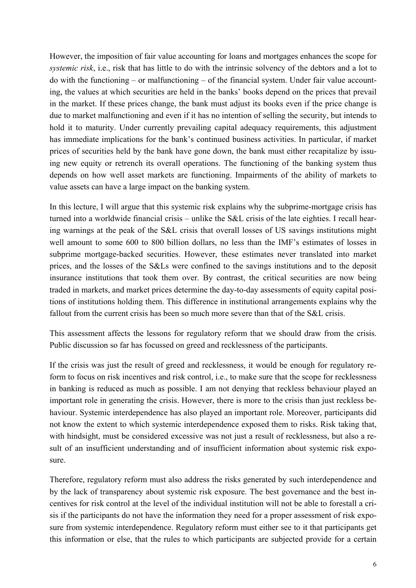However, the imposition of fair value accounting for loans and mortgages enhances the scope for *systemic risk*, i.e., risk that has little to do with the intrinsic solvency of the debtors and a lot to do with the functioning – or malfunctioning – of the financial system. Under fair value accounting, the values at which securities are held in the banks' books depend on the prices that prevail in the market. If these prices change, the bank must adjust its books even if the price change is due to market malfunctioning and even if it has no intention of selling the security, but intends to hold it to maturity. Under currently prevailing capital adequacy requirements, this adjustment has immediate implications for the bank's continued business activities. In particular, if market prices of securities held by the bank have gone down, the bank must either recapitalize by issuing new equity or retrench its overall operations. The functioning of the banking system thus depends on how well asset markets are functioning. Impairments of the ability of markets to value assets can have a large impact on the banking system.

In this lecture, I will argue that this systemic risk explains why the subprime-mortgage crisis has turned into a worldwide financial crisis – unlike the S&L crisis of the late eighties. I recall hearing warnings at the peak of the S&L crisis that overall losses of US savings institutions might well amount to some 600 to 800 billion dollars, no less than the IMF's estimates of losses in subprime mortgage-backed securities. However, these estimates never translated into market prices, and the losses of the S&Ls were confined to the savings institutions and to the deposit insurance institutions that took them over. By contrast, the critical securities are now being traded in markets, and market prices determine the day-to-day assessments of equity capital positions of institutions holding them. This difference in institutional arrangements explains why the fallout from the current crisis has been so much more severe than that of the S&L crisis.

This assessment affects the lessons for regulatory reform that we should draw from the crisis. Public discussion so far has focussed on greed and recklessness of the participants.

If the crisis was just the result of greed and recklessness, it would be enough for regulatory reform to focus on risk incentives and risk control, i.e., to make sure that the scope for recklessness in banking is reduced as much as possible. I am not denying that reckless behaviour played an important role in generating the crisis. However, there is more to the crisis than just reckless behaviour. Systemic interdependence has also played an important role. Moreover, participants did not know the extent to which systemic interdependence exposed them to risks. Risk taking that, with hindsight, must be considered excessive was not just a result of recklessness, but also a result of an insufficient understanding and of insufficient information about systemic risk exposure.

Therefore, regulatory reform must also address the risks generated by such interdependence and by the lack of transparency about systemic risk exposure. The best governance and the best incentives for risk control at the level of the individual institution will not be able to forestall a crisis if the participants do not have the information they need for a proper assessment of risk exposure from systemic interdependence. Regulatory reform must either see to it that participants get this information or else, that the rules to which participants are subjected provide for a certain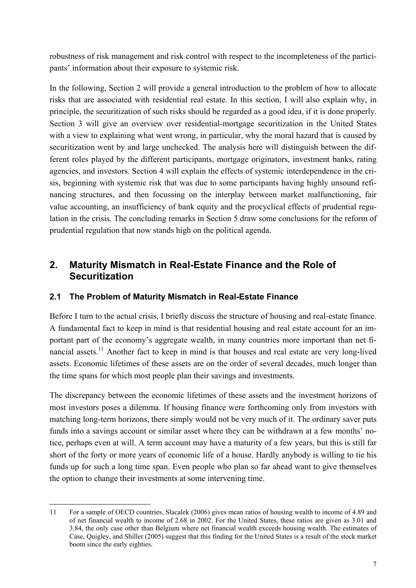robustness of risk management and risk control with respect to the incompleteness of the participants' information about their exposure to systemic risk.

In the following, Section 2 will provide a general introduction to the problem of how to allocate risks that are associated with residential real estate. In this section, I will also explain why, in principle, the securitization of such risks should be regarded as a good idea, if it is done properly. Section 3 will give an overview over residential-mortgage securitization in the United States with a view to explaining what went wrong, in particular, why the moral hazard that is caused by securitization went by and large unchecked. The analysis here will distinguish between the different roles played by the different participants, mortgage originators, investment banks, rating agencies, and investors. Section 4 will explain the effects of systemic interdependence in the crisis, beginning with systemic risk that was due to some participants having highly unsound refinancing structures, and then focussing on the interplay between market malfunctioning, fair value accounting, an insufficiency of bank equity and the procyclical effects of prudential regulation in the crisis. The concluding remarks in Section 5 draw some conclusions for the reform of prudential regulation that now stands high on the political agenda.

### **2. Maturity Mismatch in Real-Estate Finance and the Role of Securitization**

### **2.1 The Problem of Maturity Mismatch in Real-Estate Finance**

 $\overline{a}$ 

Before I turn to the actual crisis, I briefly discuss the structure of housing and real-estate finance. A fundamental fact to keep in mind is that residential housing and real estate account for an important part of the economy's aggregate wealth, in many countries more important than net financial assets.<sup>11</sup> Another fact to keep in mind is that houses and real estate are very long-lived assets. Economic lifetimes of these assets are on the order of several decades, much longer than the time spans for which most people plan their savings and investments.

The discrepancy between the economic lifetimes of these assets and the investment horizons of most investors poses a dilemma. If housing finance were forthcoming only from investors with matching long-term horizons, there simply would not be very much of it. The ordinary saver puts funds into a savings account or similar asset where they can be withdrawn at a few months' notice, perhaps even at will. A term account may have a maturity of a few years, but this is still far short of the forty or more years of economic life of a house. Hardly anybody is willing to tie his funds up for such a long time span. Even people who plan so far ahead want to give themselves the option to change their investments at some intervening time.

<sup>11</sup> For a sample of OECD countries, Slacalek (2006) gives mean ratios of housing wealth to income of 4.89 and of net financial wealth to income of 2.68 in 2002. For the United States, these ratios are given as 3.01 and 3.84, the only case other than Belgium where net financial wealth exceeds housing wealth. The estimates of Case, Quigley, and Shiller (2005) suggest that this finding for the United States is a result of the stock market boom since the early eighties.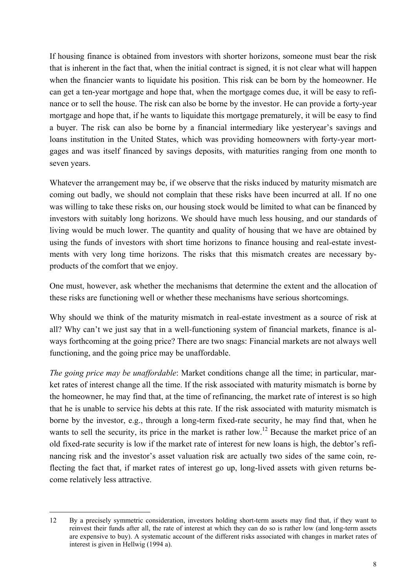If housing finance is obtained from investors with shorter horizons, someone must bear the risk that is inherent in the fact that, when the initial contract is signed, it is not clear what will happen when the financier wants to liquidate his position. This risk can be born by the homeowner. He can get a ten-year mortgage and hope that, when the mortgage comes due, it will be easy to refinance or to sell the house. The risk can also be borne by the investor. He can provide a forty-year mortgage and hope that, if he wants to liquidate this mortgage prematurely, it will be easy to find a buyer. The risk can also be borne by a financial intermediary like yesteryear's savings and loans institution in the United States, which was providing homeowners with forty-year mortgages and was itself financed by savings deposits, with maturities ranging from one month to seven years.

Whatever the arrangement may be, if we observe that the risks induced by maturity mismatch are coming out badly, we should not complain that these risks have been incurred at all. If no one was willing to take these risks on, our housing stock would be limited to what can be financed by investors with suitably long horizons. We should have much less housing, and our standards of living would be much lower. The quantity and quality of housing that we have are obtained by using the funds of investors with short time horizons to finance housing and real-estate investments with very long time horizons. The risks that this mismatch creates are necessary byproducts of the comfort that we enjoy.

One must, however, ask whether the mechanisms that determine the extent and the allocation of these risks are functioning well or whether these mechanisms have serious shortcomings.

Why should we think of the maturity mismatch in real-estate investment as a source of risk at all? Why can't we just say that in a well-functioning system of financial markets, finance is always forthcoming at the going price? There are two snags: Financial markets are not always well functioning, and the going price may be unaffordable.

*The going price may be unaffordable*: Market conditions change all the time; in particular, market rates of interest change all the time. If the risk associated with maturity mismatch is borne by the homeowner, he may find that, at the time of refinancing, the market rate of interest is so high that he is unable to service his debts at this rate. If the risk associated with maturity mismatch is borne by the investor, e.g., through a long-term fixed-rate security, he may find that, when he wants to sell the security, its price in the market is rather low.<sup>12</sup> Because the market price of an old fixed-rate security is low if the market rate of interest for new loans is high, the debtor's refinancing risk and the investor's asset valuation risk are actually two sides of the same coin, reflecting the fact that, if market rates of interest go up, long-lived assets with given returns become relatively less attractive.

<sup>12</sup> By a precisely symmetric consideration, investors holding short-term assets may find that, if they want to reinvest their funds after all, the rate of interest at which they can do so is rather low (and long-term assets are expensive to buy). A systematic account of the different risks associated with changes in market rates of interest is given in Hellwig (1994 a).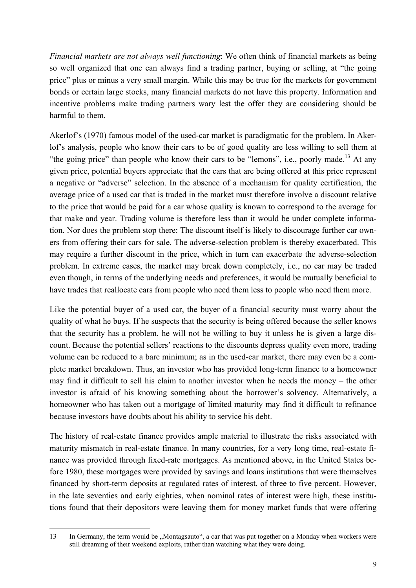*Financial markets are not always well functioning*: We often think of financial markets as being so well organized that one can always find a trading partner, buying or selling, at "the going price" plus or minus a very small margin. While this may be true for the markets for government bonds or certain large stocks, many financial markets do not have this property. Information and incentive problems make trading partners wary lest the offer they are considering should be harmful to them.

Akerlof's (1970) famous model of the used-car market is paradigmatic for the problem. In Akerlof's analysis, people who know their cars to be of good quality are less willing to sell them at "the going price" than people who know their cars to be "lemons", i.e., poorly made.<sup>13</sup> At any given price, potential buyers appreciate that the cars that are being offered at this price represent a negative or "adverse" selection. In the absence of a mechanism for quality certification, the average price of a used car that is traded in the market must therefore involve a discount relative to the price that would be paid for a car whose quality is known to correspond to the average for that make and year. Trading volume is therefore less than it would be under complete information. Nor does the problem stop there: The discount itself is likely to discourage further car owners from offering their cars for sale. The adverse-selection problem is thereby exacerbated. This may require a further discount in the price, which in turn can exacerbate the adverse-selection problem. In extreme cases, the market may break down completely, i.e., no car may be traded even though, in terms of the underlying needs and preferences, it would be mutually beneficial to have trades that reallocate cars from people who need them less to people who need them more.

Like the potential buyer of a used car, the buyer of a financial security must worry about the quality of what he buys. If he suspects that the security is being offered because the seller knows that the security has a problem, he will not be willing to buy it unless he is given a large discount. Because the potential sellers' reactions to the discounts depress quality even more, trading volume can be reduced to a bare minimum; as in the used-car market, there may even be a complete market breakdown. Thus, an investor who has provided long-term finance to a homeowner may find it difficult to sell his claim to another investor when he needs the money – the other investor is afraid of his knowing something about the borrower's solvency. Alternatively, a homeowner who has taken out a mortgage of limited maturity may find it difficult to refinance because investors have doubts about his ability to service his debt.

The history of real-estate finance provides ample material to illustrate the risks associated with maturity mismatch in real-estate finance. In many countries, for a very long time, real-estate finance was provided through fixed-rate mortgages. As mentioned above, in the United States before 1980, these mortgages were provided by savings and loans institutions that were themselves financed by short-term deposits at regulated rates of interest, of three to five percent. However, in the late seventies and early eighties, when nominal rates of interest were high, these institutions found that their depositors were leaving them for money market funds that were offering

 $\overline{a}$ 13 In Germany, the term would be "Montagsauto", a car that was put together on a Monday when workers were still dreaming of their weekend exploits, rather than watching what they were doing.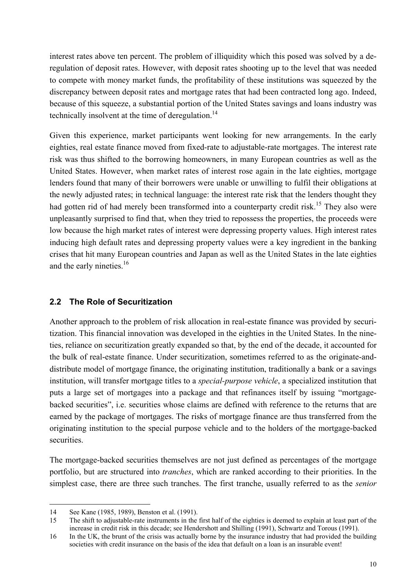interest rates above ten percent. The problem of illiquidity which this posed was solved by a deregulation of deposit rates. However, with deposit rates shooting up to the level that was needed to compete with money market funds, the profitability of these institutions was squeezed by the discrepancy between deposit rates and mortgage rates that had been contracted long ago. Indeed, because of this squeeze, a substantial portion of the United States savings and loans industry was technically insolvent at the time of deregulation.<sup>14</sup>

Given this experience, market participants went looking for new arrangements. In the early eighties, real estate finance moved from fixed-rate to adjustable-rate mortgages. The interest rate risk was thus shifted to the borrowing homeowners, in many European countries as well as the United States. However, when market rates of interest rose again in the late eighties, mortgage lenders found that many of their borrowers were unable or unwilling to fulfil their obligations at the newly adjusted rates; in technical language: the interest rate risk that the lenders thought they had gotten rid of had merely been transformed into a counterparty credit risk.<sup>15</sup> They also were unpleasantly surprised to find that, when they tried to repossess the properties, the proceeds were low because the high market rates of interest were depressing property values. High interest rates inducing high default rates and depressing property values were a key ingredient in the banking crises that hit many European countries and Japan as well as the United States in the late eighties and the early nineties.<sup>16</sup>

### **2.2 The Role of Securitization**

Another approach to the problem of risk allocation in real-estate finance was provided by securitization. This financial innovation was developed in the eighties in the United States. In the nineties, reliance on securitization greatly expanded so that, by the end of the decade, it accounted for the bulk of real-estate finance. Under securitization, sometimes referred to as the originate-anddistribute model of mortgage finance, the originating institution, traditionally a bank or a savings institution, will transfer mortgage titles to a *special-purpose vehicle*, a specialized institution that puts a large set of mortgages into a package and that refinances itself by issuing "mortgagebacked securities", i.e. securities whose claims are defined with reference to the returns that are earned by the package of mortgages. The risks of mortgage finance are thus transferred from the originating institution to the special purpose vehicle and to the holders of the mortgage-backed securities.

The mortgage-backed securities themselves are not just defined as percentages of the mortgage portfolio, but are structured into *tranches*, which are ranked according to their priorities. In the simplest case, there are three such tranches. The first tranche, usually referred to as the *senior* 

<sup>14</sup> See Kane (1985, 1989), Benston et al. (1991).

<sup>15</sup> The shift to adjustable-rate instruments in the first half of the eighties is deemed to explain at least part of the increase in credit risk in this decade; see Hendershott and Shilling (1991), Schwartz and Torous (1991).

<sup>16</sup> In the UK, the brunt of the crisis was actually borne by the insurance industry that had provided the building societies with credit insurance on the basis of the idea that default on a loan is an insurable event!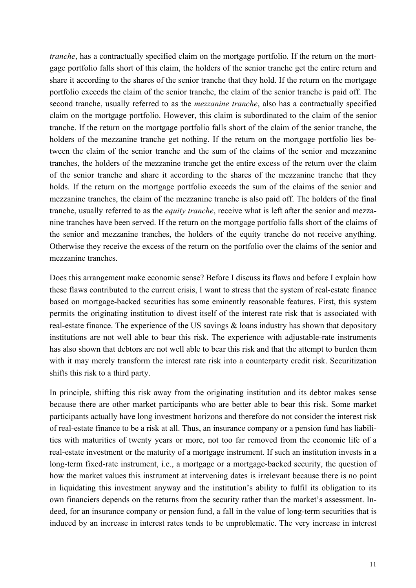*tranche*, has a contractually specified claim on the mortgage portfolio. If the return on the mortgage portfolio falls short of this claim, the holders of the senior tranche get the entire return and share it according to the shares of the senior tranche that they hold. If the return on the mortgage portfolio exceeds the claim of the senior tranche, the claim of the senior tranche is paid off. The second tranche, usually referred to as the *mezzanine tranche*, also has a contractually specified claim on the mortgage portfolio. However, this claim is subordinated to the claim of the senior tranche. If the return on the mortgage portfolio falls short of the claim of the senior tranche, the holders of the mezzanine tranche get nothing. If the return on the mortgage portfolio lies between the claim of the senior tranche and the sum of the claims of the senior and mezzanine tranches, the holders of the mezzanine tranche get the entire excess of the return over the claim of the senior tranche and share it according to the shares of the mezzanine tranche that they holds. If the return on the mortgage portfolio exceeds the sum of the claims of the senior and mezzanine tranches, the claim of the mezzanine tranche is also paid off. The holders of the final tranche, usually referred to as the *equity tranche*, receive what is left after the senior and mezzanine tranches have been served. If the return on the mortgage portfolio falls short of the claims of the senior and mezzanine tranches, the holders of the equity tranche do not receive anything. Otherwise they receive the excess of the return on the portfolio over the claims of the senior and mezzanine tranches.

Does this arrangement make economic sense? Before I discuss its flaws and before I explain how these flaws contributed to the current crisis, I want to stress that the system of real-estate finance based on mortgage-backed securities has some eminently reasonable features. First, this system permits the originating institution to divest itself of the interest rate risk that is associated with real-estate finance. The experience of the US savings & loans industry has shown that depository institutions are not well able to bear this risk. The experience with adjustable-rate instruments has also shown that debtors are not well able to bear this risk and that the attempt to burden them with it may merely transform the interest rate risk into a counterparty credit risk. Securitization shifts this risk to a third party.

In principle, shifting this risk away from the originating institution and its debtor makes sense because there are other market participants who are better able to bear this risk. Some market participants actually have long investment horizons and therefore do not consider the interest risk of real-estate finance to be a risk at all. Thus, an insurance company or a pension fund has liabilities with maturities of twenty years or more, not too far removed from the economic life of a real-estate investment or the maturity of a mortgage instrument. If such an institution invests in a long-term fixed-rate instrument, i.e., a mortgage or a mortgage-backed security, the question of how the market values this instrument at intervening dates is irrelevant because there is no point in liquidating this investment anyway and the institution's ability to fulfil its obligation to its own financiers depends on the returns from the security rather than the market's assessment. Indeed, for an insurance company or pension fund, a fall in the value of long-term securities that is induced by an increase in interest rates tends to be unproblematic. The very increase in interest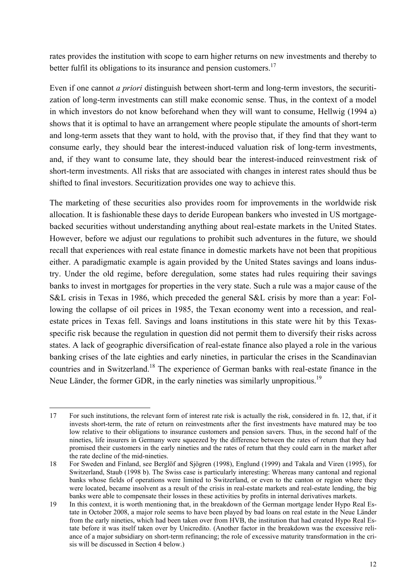rates provides the institution with scope to earn higher returns on new investments and thereby to better fulfil its obligations to its insurance and pension customers.<sup>17</sup>

Even if one cannot *a priori* distinguish between short-term and long-term investors, the securitization of long-term investments can still make economic sense. Thus, in the context of a model in which investors do not know beforehand when they will want to consume, Hellwig (1994 a) shows that it is optimal to have an arrangement where people stipulate the amounts of short-term and long-term assets that they want to hold, with the proviso that, if they find that they want to consume early, they should bear the interest-induced valuation risk of long-term investments, and, if they want to consume late, they should bear the interest-induced reinvestment risk of short-term investments. All risks that are associated with changes in interest rates should thus be shifted to final investors. Securitization provides one way to achieve this.

The marketing of these securities also provides room for improvements in the worldwide risk allocation. It is fashionable these days to deride European bankers who invested in US mortgagebacked securities without understanding anything about real-estate markets in the United States. However, before we adjust our regulations to prohibit such adventures in the future, we should recall that experiences with real estate finance in domestic markets have not been that propitious either. A paradigmatic example is again provided by the United States savings and loans industry. Under the old regime, before deregulation, some states had rules requiring their savings banks to invest in mortgages for properties in the very state. Such a rule was a major cause of the S&L crisis in Texas in 1986, which preceded the general S&L crisis by more than a year: Following the collapse of oil prices in 1985, the Texan economy went into a recession, and realestate prices in Texas fell. Savings and loans institutions in this state were hit by this Texasspecific risk because the regulation in question did not permit them to diversify their risks across states. A lack of geographic diversification of real-estate finance also played a role in the various banking crises of the late eighties and early nineties, in particular the crises in the Scandinavian countries and in Switzerland.18 The experience of German banks with real-estate finance in the Neue Länder, the former GDR, in the early nineties was similarly unpropitious.<sup>19</sup>

<sup>17</sup> For such institutions, the relevant form of interest rate risk is actually the risk, considered in fn. 12, that, if it invests short-term, the rate of return on reinvestments after the first investments have matured may be too low relative to their obligations to insurance customers and pension savers. Thus, in the second half of the nineties, life insurers in Germany were squeezed by the difference between the rates of return that they had promised their customers in the early nineties and the rates of return that they could earn in the market after the rate decline of the mid-nineties.

<sup>18</sup> For Sweden and Finland, see Berglöf and Sjögren (1998), Englund (1999) and Takala and Viren (1995), for Switzerland, Staub (1998 b). The Swiss case is particularly interesting: Whereas many cantonal and regional banks whose fields of operations were limited to Switzerland, or even to the canton or region where they were located, became insolvent as a result of the crisis in real-estate markets and real-estate lending, the big banks were able to compensate their losses in these activities by profits in internal derivatives markets.

<sup>19</sup> In this context, it is worth mentioning that, in the breakdown of the German mortgage lender Hypo Real Estate in October 2008, a major role seems to have been played by bad loans on real estate in the Neue Länder from the early nineties, which had been taken over from HVB, the institution that had created Hypo Real Estate before it was itself taken over by Unicredito. (Another factor in the breakdown was the excessive reliance of a major subsidiary on short-term refinancing; the role of excessive maturity transformation in the crisis will be discussed in Section 4 below.)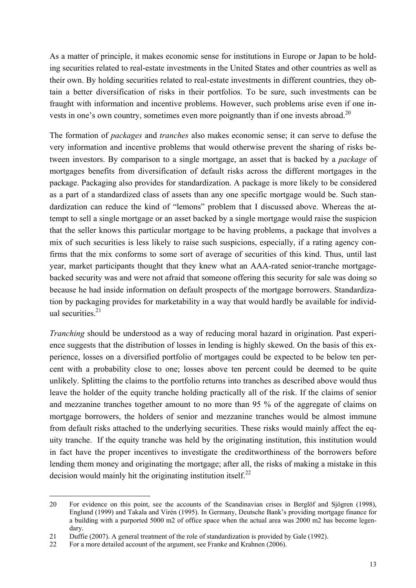As a matter of principle, it makes economic sense for institutions in Europe or Japan to be holding securities related to real-estate investments in the United States and other countries as well as their own. By holding securities related to real-estate investments in different countries, they obtain a better diversification of risks in their portfolios. To be sure, such investments can be fraught with information and incentive problems. However, such problems arise even if one invests in one's own country, sometimes even more poignantly than if one invests abroad.<sup>20</sup>

The formation of *packages* and *tranches* also makes economic sense; it can serve to defuse the very information and incentive problems that would otherwise prevent the sharing of risks between investors. By comparison to a single mortgage, an asset that is backed by a *package* of mortgages benefits from diversification of default risks across the different mortgages in the package. Packaging also provides for standardization. A package is more likely to be considered as a part of a standardized class of assets than any one specific mortgage would be. Such standardization can reduce the kind of "lemons" problem that I discussed above. Whereas the attempt to sell a single mortgage or an asset backed by a single mortgage would raise the suspicion that the seller knows this particular mortgage to be having problems, a package that involves a mix of such securities is less likely to raise such suspicions, especially, if a rating agency confirms that the mix conforms to some sort of average of securities of this kind. Thus, until last year, market participants thought that they knew what an AAA-rated senior-tranche mortgagebacked security was and were not afraid that someone offering this security for sale was doing so because he had inside information on default prospects of the mortgage borrowers. Standardization by packaging provides for marketability in a way that would hardly be available for individual securities  $21$ 

*Tranching* should be understood as a way of reducing moral hazard in origination. Past experience suggests that the distribution of losses in lending is highly skewed. On the basis of this experience, losses on a diversified portfolio of mortgages could be expected to be below ten percent with a probability close to one; losses above ten percent could be deemed to be quite unlikely. Splitting the claims to the portfolio returns into tranches as described above would thus leave the holder of the equity tranche holding practically all of the risk. If the claims of senior and mezzanine tranches together amount to no more than 95 % of the aggregate of claims on mortgage borrowers, the holders of senior and mezzanine tranches would be almost immune from default risks attached to the underlying securities. These risks would mainly affect the equity tranche. If the equity tranche was held by the originating institution, this institution would in fact have the proper incentives to investigate the creditworthiness of the borrowers before lending them money and originating the mortgage; after all, the risks of making a mistake in this decision would mainly hit the originating institution itself. $^{22}$ 

<sup>20</sup> For evidence on this point, see the accounts of the Scandinavian crises in Berglöf and Sjögren (1998), Englund (1999) and Takala and Virén (1995). In Germany, Deutsche Bank's providing mortgage finance for a building with a purported 5000 m2 of office space when the actual area was 2000 m2 has become legendary.

<sup>21</sup> Duffie (2007). A general treatment of the role of standardization is provided by Gale (1992).

<sup>22</sup> For a more detailed account of the argument, see Franke and Krahnen (2006).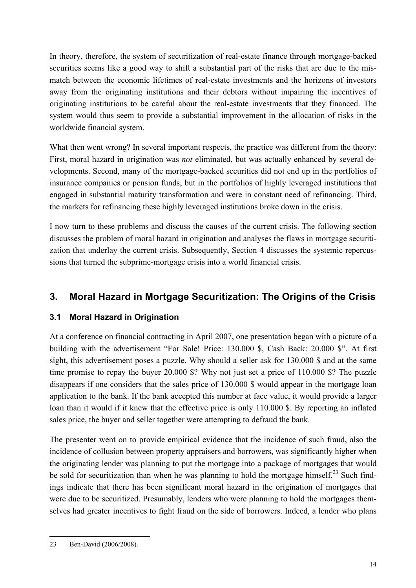In theory, therefore, the system of securitization of real-estate finance through mortgage-backed securities seems like a good way to shift a substantial part of the risks that are due to the mismatch between the economic lifetimes of real-estate investments and the horizons of investors away from the originating institutions and their debtors without impairing the incentives of originating institutions to be careful about the real-estate investments that they financed. The system would thus seem to provide a substantial improvement in the allocation of risks in the worldwide financial system.

What then went wrong? In several important respects, the practice was different from the theory: First, moral hazard in origination was *not* eliminated, but was actually enhanced by several developments. Second, many of the mortgage-backed securities did not end up in the portfolios of insurance companies or pension funds, but in the portfolios of highly leveraged institutions that engaged in substantial maturity transformation and were in constant need of refinancing. Third, the markets for refinancing these highly leveraged institutions broke down in the crisis.

I now turn to these problems and discuss the causes of the current crisis. The following section discusses the problem of moral hazard in origination and analyses the flaws in mortgage securitization that underlay the current crisis. Subsequently, Section 4 discusses the systemic repercussions that turned the subprime-mortgage crisis into a world financial crisis.

# **3. Moral Hazard in Mortgage Securitization: The Origins of the Crisis**

### **3.1 Moral Hazard in Origination**

At a conference on financial contracting in April 2007, one presentation began with a picture of a building with the advertisement "For Sale! Price: 130.000 \$, Cash Back: 20.000 \$". At first sight, this advertisement poses a puzzle. Why should a seller ask for 130.000 \$ and at the same time promise to repay the buyer 20.000 \$? Why not just set a price of 110.000 \$? The puzzle disappears if one considers that the sales price of 130.000 \$ would appear in the mortgage loan application to the bank. If the bank accepted this number at face value, it would provide a larger loan than it would if it knew that the effective price is only 110.000 \$. By reporting an inflated sales price, the buyer and seller together were attempting to defraud the bank.

The presenter went on to provide empirical evidence that the incidence of such fraud, also the incidence of collusion between property appraisers and borrowers, was significantly higher when the originating lender was planning to put the mortgage into a package of mortgages that would be sold for securitization than when he was planning to hold the mortgage himself.<sup>23</sup> Such findings indicate that there has been significant moral hazard in the origination of mortgages that were due to be securitized. Presumably, lenders who were planning to hold the mortgages themselves had greater incentives to fight fraud on the side of borrowers. Indeed, a lender who plans

j 23 Ben-David (2006/2008).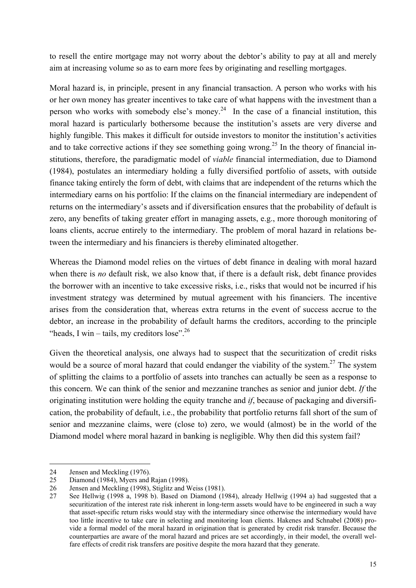to resell the entire mortgage may not worry about the debtor's ability to pay at all and merely aim at increasing volume so as to earn more fees by originating and reselling mortgages.

Moral hazard is, in principle, present in any financial transaction. A person who works with his or her own money has greater incentives to take care of what happens with the investment than a person who works with somebody else's money.<sup>24</sup> In the case of a financial institution, this moral hazard is particularly bothersome because the institution's assets are very diverse and highly fungible. This makes it difficult for outside investors to monitor the institution's activities and to take corrective actions if they see something going wrong.<sup>25</sup> In the theory of financial institutions, therefore, the paradigmatic model of *viable* financial intermediation, due to Diamond (1984), postulates an intermediary holding a fully diversified portfolio of assets, with outside finance taking entirely the form of debt, with claims that are independent of the returns which the intermediary earns on his portfolio: If the claims on the financial intermediary are independent of returns on the intermediary's assets and if diversification ensures that the probability of default is zero, any benefits of taking greater effort in managing assets, e.g., more thorough monitoring of loans clients, accrue entirely to the intermediary. The problem of moral hazard in relations between the intermediary and his financiers is thereby eliminated altogether.

Whereas the Diamond model relies on the virtues of debt finance in dealing with moral hazard when there is *no* default risk, we also know that, if there is a default risk, debt finance provides the borrower with an incentive to take excessive risks, i.e., risks that would not be incurred if his investment strategy was determined by mutual agreement with his financiers. The incentive arises from the consideration that, whereas extra returns in the event of success accrue to the debtor, an increase in the probability of default harms the creditors, according to the principle "heads, I win – tails, my creditors lose".<sup>26</sup>

Given the theoretical analysis, one always had to suspect that the securitization of credit risks would be a source of moral hazard that could endanger the viability of the system.<sup>27</sup> The system of splitting the claims to a portfolio of assets into tranches can actually be seen as a response to this concern. We can think of the senior and mezzanine tranches as senior and junior debt. *If* the originating institution were holding the equity tranche and *if*, because of packaging and diversification, the probability of default, i.e., the probability that portfolio returns fall short of the sum of senior and mezzanine claims, were (close to) zero, we would (almost) be in the world of the Diamond model where moral hazard in banking is negligible. Why then did this system fail?

<sup>24</sup> Jensen and Meckling (1976).

<sup>25</sup> Diamond (1984), Myers and Rajan (1998).

<sup>26</sup> Jensen and Meckling (1998), Stiglitz and Weiss (1981).

<sup>27</sup> See Hellwig (1998 a, 1998 b). Based on Diamond (1984), already Hellwig (1994 a) had suggested that a securitization of the interest rate risk inherent in long-term assets would have to be engineered in such a way that asset-specific return risks would stay with the intermediary since otherwise the intermediary would have too little incentive to take care in selecting and monitoring loan clients. Hakenes and Schnabel (2008) provide a formal model of the moral hazard in origination that is generated by credit risk transfer. Because the counterparties are aware of the moral hazard and prices are set accordingly, in their model, the overall welfare effects of credit risk transfers are positive despite the mora hazard that they generate.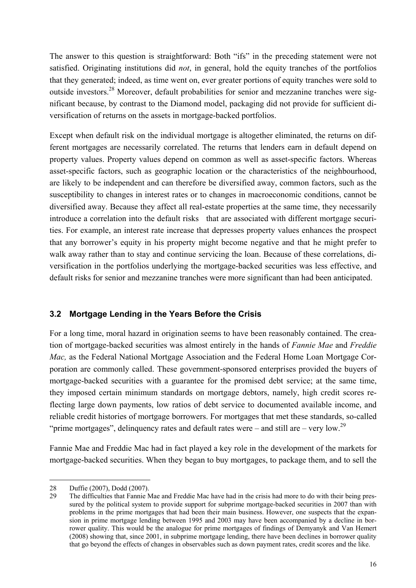The answer to this question is straightforward: Both "ifs" in the preceding statement were not satisfied. Originating institutions did *not*, in general, hold the equity tranches of the portfolios that they generated; indeed, as time went on, ever greater portions of equity tranches were sold to outside investors.28 Moreover, default probabilities for senior and mezzanine tranches were significant because, by contrast to the Diamond model, packaging did not provide for sufficient diversification of returns on the assets in mortgage-backed portfolios.

Except when default risk on the individual mortgage is altogether eliminated, the returns on different mortgages are necessarily correlated. The returns that lenders earn in default depend on property values. Property values depend on common as well as asset-specific factors. Whereas asset-specific factors, such as geographic location or the characteristics of the neighbourhood, are likely to be independent and can therefore be diversified away, common factors, such as the susceptibility to changes in interest rates or to changes in macroeconomic conditions, cannot be diversified away. Because they affect all real-estate properties at the same time, they necessarily introduce a correlation into the default risks that are associated with different mortgage securities. For example, an interest rate increase that depresses property values enhances the prospect that any borrower's equity in his property might become negative and that he might prefer to walk away rather than to stay and continue servicing the loan. Because of these correlations, diversification in the portfolios underlying the mortgage-backed securities was less effective, and default risks for senior and mezzanine tranches were more significant than had been anticipated.

### **3.2 Mortgage Lending in the Years Before the Crisis**

For a long time, moral hazard in origination seems to have been reasonably contained. The creation of mortgage-backed securities was almost entirely in the hands of *Fannie Mae* and *Freddie Mac,* as the Federal National Mortgage Association and the Federal Home Loan Mortgage Corporation are commonly called. These government-sponsored enterprises provided the buyers of mortgage-backed securities with a guarantee for the promised debt service; at the same time, they imposed certain minimum standards on mortgage debtors, namely, high credit scores reflecting large down payments, low ratios of debt service to documented available income, and reliable credit histories of mortgage borrowers. For mortgages that met these standards, so-called "prime mortgages", delinquency rates and default rates were – and still are – very low.<sup>29</sup>

Fannie Mae and Freddie Mac had in fact played a key role in the development of the markets for mortgage-backed securities. When they began to buy mortgages, to package them, and to sell the

j 28 Duffie (2007), Dodd (2007).

<sup>29</sup> The difficulties that Fannie Mae and Freddie Mac have had in the crisis had more to do with their being pressured by the political system to provide support for subprime mortgage-backed securities in 2007 than with problems in the prime mortgages that had been their main business. However, one suspects that the expansion in prime mortgage lending between 1995 and 2003 may have been accompanied by a decline in borrower quality. This would be the analogue for prime mortgages of findings of Demyanyk and Van Hemert (2008) showing that, since 2001, in subprime mortgage lending, there have been declines in borrower quality that go beyond the effects of changes in observables such as down payment rates, credit scores and the like.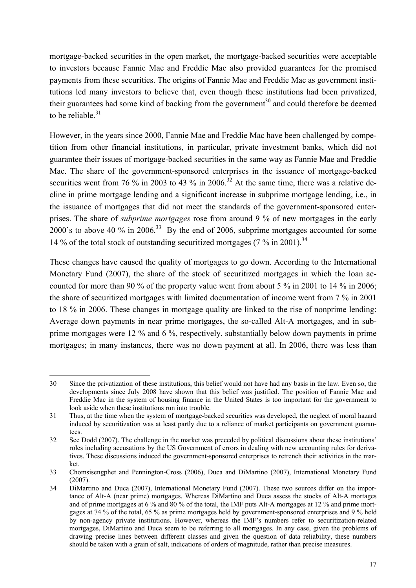mortgage-backed securities in the open market, the mortgage-backed securities were acceptable to investors because Fannie Mae and Freddie Mac also provided guarantees for the promised payments from these securities. The origins of Fannie Mae and Freddie Mac as government institutions led many investors to believe that, even though these institutions had been privatized, their guarantees had some kind of backing from the government<sup>30</sup> and could therefore be deemed to be reliable. $31$ 

However, in the years since 2000, Fannie Mae and Freddie Mac have been challenged by competition from other financial institutions, in particular, private investment banks, which did not guarantee their issues of mortgage-backed securities in the same way as Fannie Mae and Freddie Mac. The share of the government-sponsored enterprises in the issuance of mortgage-backed securities went from 76 % in 2003 to 43 % in 2006.<sup>32</sup> At the same time, there was a relative decline in prime mortgage lending and a significant increase in subprime mortgage lending, i.e., in the issuance of mortgages that did not meet the standards of the government-sponsored enterprises. The share of *subprime mortgages* rose from around 9 % of new mortgages in the early 2000's to above 40 % in 2006.<sup>33</sup> By the end of 2006, subprime mortgages accounted for some 14 % of the total stock of outstanding securitized mortgages (7 % in 2001).<sup>34</sup>

These changes have caused the quality of mortgages to go down. According to the International Monetary Fund (2007), the share of the stock of securitized mortgages in which the loan accounted for more than 90 % of the property value went from about 5 % in 2001 to 14 % in 2006; the share of securitized mortgages with limited documentation of income went from 7 % in 2001 to 18 % in 2006. These changes in mortgage quality are linked to the rise of nonprime lending: Average down payments in near prime mortgages, the so-called Alt-A mortgages, and in subprime mortgages were 12 % and 6 %, respectively, substantially below down payments in prime mortgages; in many instances, there was no down payment at all. In 2006, there was less than

 $\overline{a}$ 30 Since the privatization of these institutions, this belief would not have had any basis in the law. Even so, the developments since July 2008 have shown that this belief was justified. The position of Fannie Mae and Freddie Mac in the system of housing finance in the United States is too important for the government to look aside when these institutions run into trouble.

<sup>31</sup> Thus, at the time when the system of mortgage-backed securities was developed, the neglect of moral hazard induced by securitization was at least partly due to a reliance of market participants on government guarantees.

<sup>32</sup> See Dodd (2007). The challenge in the market was preceded by political discussions about these institutions' roles including accusations by the US Government of errors in dealing with new accounting rules for derivatives. These discussions induced the government-sponsored enterprises to retrench their activities in the market.

<sup>33</sup> Chomsisengphet and Pennington-Cross (2006), Duca and DiMartino (2007), International Monetary Fund  $(2007)$ 

<sup>34</sup> DiMartino and Duca (2007), International Monetary Fund (2007). These two sources differ on the importance of Alt-A (near prime) mortgages. Whereas DiMartino and Duca assess the stocks of Alt-A mortages and of prime mortgages at 6 % and 80 % of the total, the IMF puts Alt-A mortgages at 12 % and prime mortgages at 74 % of the total, 65 % as prime mortgages held by government-sponsored enterprises and 9 % held by non-agency private institutions. However, whereas the IMF's numbers refer to securitization-related mortgages, DiMartino and Duca seem to be referring to all mortgages. In any case, given the problems of drawing precise lines between different classes and given the question of data reliability, these numbers should be taken with a grain of salt, indications of orders of magnitude, rather than precise measures.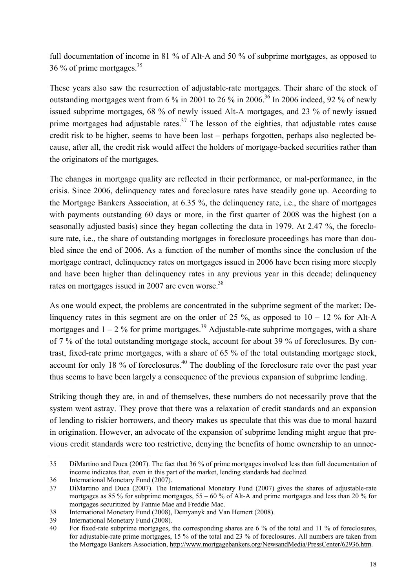full documentation of income in 81 % of Alt-A and 50 % of subprime mortgages, as opposed to 36 % of prime mortgages.35

These years also saw the resurrection of adjustable-rate mortgages. Their share of the stock of outstanding mortgages went from 6 % in 2001 to 26 % in 2006.<sup>36</sup> In 2006 indeed, 92 % of newly issued subprime mortgages, 68 % of newly issued Alt-A mortgages, and 23 % of newly issued prime mortgages had adjustable rates.<sup>37</sup> The lesson of the eighties, that adjustable rates cause credit risk to be higher, seems to have been lost – perhaps forgotten, perhaps also neglected because, after all, the credit risk would affect the holders of mortgage-backed securities rather than the originators of the mortgages.

The changes in mortgage quality are reflected in their performance, or mal-performance, in the crisis. Since 2006, delinquency rates and foreclosure rates have steadily gone up. According to the Mortgage Bankers Association, at 6.35 %, the delinquency rate, i.e., the share of mortgages with payments outstanding 60 days or more, in the first quarter of 2008 was the highest (on a seasonally adjusted basis) since they began collecting the data in 1979. At 2.47 %, the foreclosure rate, i.e., the share of outstanding mortgages in foreclosure proceedings has more than doubled since the end of 2006. As a function of the number of months since the conclusion of the mortgage contract, delinquency rates on mortgages issued in 2006 have been rising more steeply and have been higher than delinquency rates in any previous year in this decade; delinquency rates on mortgages issued in 2007 are even worse.<sup>38</sup>

As one would expect, the problems are concentrated in the subprime segment of the market: Delinguency rates in this segment are on the order of 25 %, as opposed to  $10 - 12$  % for Alt-A mortgages and  $1 - 2$ % for prime mortgages.<sup>39</sup> Adjustable-rate subprime mortgages, with a share of 7 % of the total outstanding mortgage stock, account for about 39 % of foreclosures. By contrast, fixed-rate prime mortgages, with a share of 65 % of the total outstanding mortgage stock, account for only 18 % of foreclosures.<sup>40</sup> The doubling of the foreclosure rate over the past year thus seems to have been largely a consequence of the previous expansion of subprime lending.

Striking though they are, in and of themselves, these numbers do not necessarily prove that the system went astray. They prove that there was a relaxation of credit standards and an expansion of lending to riskier borrowers, and theory makes us speculate that this was due to moral hazard in origination. However, an advocate of the expansion of subprime lending might argue that previous credit standards were too restrictive, denying the benefits of home ownership to an unnec-

j 35 DiMartino and Duca (2007). The fact that 36 % of prime mortgages involved less than full documentation of income indicates that, even in this part of the market, lending standards had declined.

<sup>36</sup> International Monetary Fund (2007).

<sup>37</sup> DiMartino and Duca (2007). The International Monetary Fund (2007) gives the shares of adjustable-rate mortgages as 85 % for subprime mortgages,  $55 - 60$  % of Alt-A and prime mortgages and less than 20 % for mortgages securitized by Fannie Mae and Freddie Mac.

<sup>38</sup> International Monetary Fund (2008), Demyanyk and Van Hemert (2008).

<sup>39</sup> International Monetary Fund (2008).

<sup>40</sup> For fixed-rate subprime mortgages, the corresponding shares are 6 % of the total and 11 % of foreclosures, for adjustable-rate prime mortgages, 15 % of the total and 23 % of foreclosures. All numbers are taken from the Mortgage Bankers Association, http://www.mortgagebankers.org/NewsandMedia/PressCenter/62936.htm.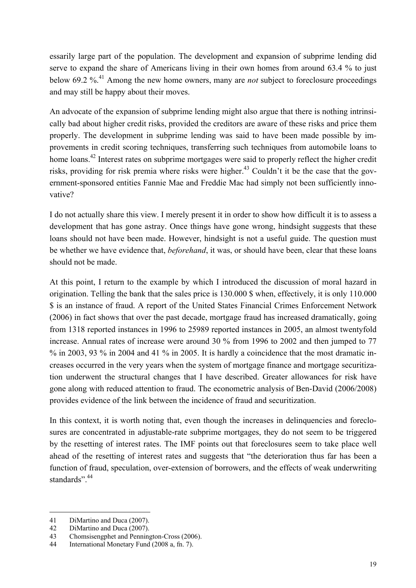essarily large part of the population. The development and expansion of subprime lending did serve to expand the share of Americans living in their own homes from around 63.4 % to just below 69.2 %.41 Among the new home owners, many are *not* subject to foreclosure proceedings and may still be happy about their moves.

An advocate of the expansion of subprime lending might also argue that there is nothing intrinsically bad about higher credit risks, provided the creditors are aware of these risks and price them properly. The development in subprime lending was said to have been made possible by improvements in credit scoring techniques, transferring such techniques from automobile loans to home loans.<sup>42</sup> Interest rates on subprime mortgages were said to properly reflect the higher credit risks, providing for risk premia where risks were higher.<sup>43</sup> Couldn't it be the case that the government-sponsored entities Fannie Mae and Freddie Mac had simply not been sufficiently innovative?

I do not actually share this view. I merely present it in order to show how difficult it is to assess a development that has gone astray. Once things have gone wrong, hindsight suggests that these loans should not have been made. However, hindsight is not a useful guide. The question must be whether we have evidence that, *beforehand*, it was, or should have been, clear that these loans should not be made.

At this point, I return to the example by which I introduced the discussion of moral hazard in origination. Telling the bank that the sales price is 130.000 \$ when, effectively, it is only 110.000 \$ is an instance of fraud. A report of the United States Financial Crimes Enforcement Network (2006) in fact shows that over the past decade, mortgage fraud has increased dramatically, going from 1318 reported instances in 1996 to 25989 reported instances in 2005, an almost twentyfold increase. Annual rates of increase were around 30 % from 1996 to 2002 and then jumped to 77 % in 2003, 93 % in 2004 and 41 % in 2005. It is hardly a coincidence that the most dramatic increases occurred in the very years when the system of mortgage finance and mortgage securitization underwent the structural changes that I have described. Greater allowances for risk have gone along with reduced attention to fraud. The econometric analysis of Ben-David (2006/2008) provides evidence of the link between the incidence of fraud and securitization.

In this context, it is worth noting that, even though the increases in delinquencies and foreclosures are concentrated in adjustable-rate subprime mortgages, they do not seem to be triggered by the resetting of interest rates. The IMF points out that foreclosures seem to take place well ahead of the resetting of interest rates and suggests that "the deterioration thus far has been a function of fraud, speculation, over-extension of borrowers, and the effects of weak underwriting standards"<sup>44</sup>

<sup>41</sup> DiMartino and Duca (2007).

<sup>42</sup> DiMartino and Duca (2007).

<sup>43</sup> Chomsisengphet and Pennington-Cross (2006).

<sup>44</sup> International Monetary Fund (2008 a, fn. 7).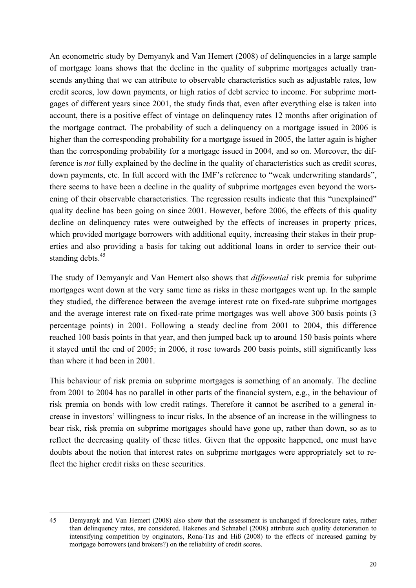An econometric study by Demyanyk and Van Hemert (2008) of delinquencies in a large sample of mortgage loans shows that the decline in the quality of subprime mortgages actually transcends anything that we can attribute to observable characteristics such as adjustable rates, low credit scores, low down payments, or high ratios of debt service to income. For subprime mortgages of different years since 2001, the study finds that, even after everything else is taken into account, there is a positive effect of vintage on delinquency rates 12 months after origination of the mortgage contract. The probability of such a delinquency on a mortgage issued in 2006 is higher than the corresponding probability for a mortgage issued in 2005, the latter again is higher than the corresponding probability for a mortgage issued in 2004, and so on. Moreover, the difference is *not* fully explained by the decline in the quality of characteristics such as credit scores, down payments, etc. In full accord with the IMF's reference to "weak underwriting standards", there seems to have been a decline in the quality of subprime mortgages even beyond the worsening of their observable characteristics. The regression results indicate that this "unexplained" quality decline has been going on since 2001. However, before 2006, the effects of this quality decline on delinquency rates were outweighed by the effects of increases in property prices, which provided mortgage borrowers with additional equity, increasing their stakes in their properties and also providing a basis for taking out additional loans in order to service their outstanding debts.<sup>45</sup>

The study of Demyanyk and Van Hemert also shows that *differential* risk premia for subprime mortgages went down at the very same time as risks in these mortgages went up. In the sample they studied, the difference between the average interest rate on fixed-rate subprime mortgages and the average interest rate on fixed-rate prime mortgages was well above 300 basis points (3 percentage points) in 2001. Following a steady decline from 2001 to 2004, this difference reached 100 basis points in that year, and then jumped back up to around 150 basis points where it stayed until the end of 2005; in 2006, it rose towards 200 basis points, still significantly less than where it had been in 2001.

This behaviour of risk premia on subprime mortgages is something of an anomaly. The decline from 2001 to 2004 has no parallel in other parts of the financial system, e.g., in the behaviour of risk premia on bonds with low credit ratings. Therefore it cannot be ascribed to a general increase in investors' willingness to incur risks. In the absence of an increase in the willingness to bear risk, risk premia on subprime mortgages should have gone up, rather than down, so as to reflect the decreasing quality of these titles. Given that the opposite happened, one must have doubts about the notion that interest rates on subprime mortgages were appropriately set to reflect the higher credit risks on these securities.

<sup>45</sup> Demyanyk and Van Hemert (2008) also show that the assessment is unchanged if foreclosure rates, rather than delinquency rates, are considered. Hakenes and Schnabel (2008) attribute such quality deterioration to intensifying competition by originators, Rona-Tas and Hiß (2008) to the effects of increased gaming by mortgage borrowers (and brokers?) on the reliability of credit scores.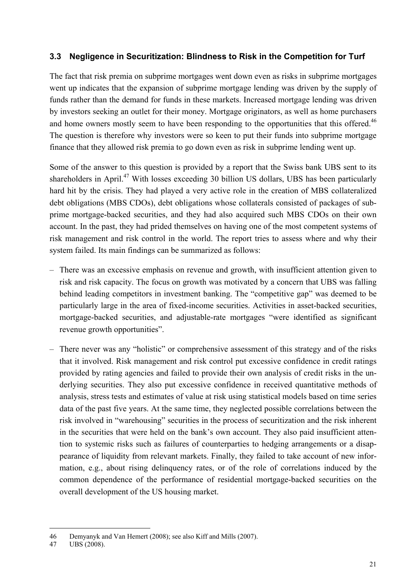### **3.3 Negligence in Securitization: Blindness to Risk in the Competition for Turf**

The fact that risk premia on subprime mortgages went down even as risks in subprime mortgages went up indicates that the expansion of subprime mortgage lending was driven by the supply of funds rather than the demand for funds in these markets. Increased mortgage lending was driven by investors seeking an outlet for their money. Mortgage originators, as well as home purchasers and home owners mostly seem to have been responding to the opportunities that this offered.<sup>46</sup> The question is therefore why investors were so keen to put their funds into subprime mortgage finance that they allowed risk premia to go down even as risk in subprime lending went up.

Some of the answer to this question is provided by a report that the Swiss bank UBS sent to its shareholders in April.<sup>47</sup> With losses exceeding 30 billion US dollars, UBS has been particularly hard hit by the crisis. They had played a very active role in the creation of MBS collateralized debt obligations (MBS CDOs), debt obligations whose collaterals consisted of packages of subprime mortgage-backed securities, and they had also acquired such MBS CDOs on their own account. In the past, they had prided themselves on having one of the most competent systems of risk management and risk control in the world. The report tries to assess where and why their system failed. Its main findings can be summarized as follows:

- There was an excessive emphasis on revenue and growth, with insufficient attention given to risk and risk capacity. The focus on growth was motivated by a concern that UBS was falling behind leading competitors in investment banking. The "competitive gap" was deemed to be particularly large in the area of fixed-income securities. Activities in asset-backed securities, mortgage-backed securities, and adjustable-rate mortgages "were identified as significant revenue growth opportunities".
- There never was any "holistic" or comprehensive assessment of this strategy and of the risks that it involved. Risk management and risk control put excessive confidence in credit ratings provided by rating agencies and failed to provide their own analysis of credit risks in the underlying securities. They also put excessive confidence in received quantitative methods of analysis, stress tests and estimates of value at risk using statistical models based on time series data of the past five years. At the same time, they neglected possible correlations between the risk involved in "warehousing" securities in the process of securitization and the risk inherent in the securities that were held on the bank's own account. They also paid insufficient attention to systemic risks such as failures of counterparties to hedging arrangements or a disappearance of liquidity from relevant markets. Finally, they failed to take account of new information, e.g., about rising delinquency rates, or of the role of correlations induced by the common dependence of the performance of residential mortgage-backed securities on the overall development of the US housing market.

<sup>46</sup> Demyanyk and Van Hemert (2008); see also Kiff and Mills (2007).

<sup>47</sup> UBS (2008).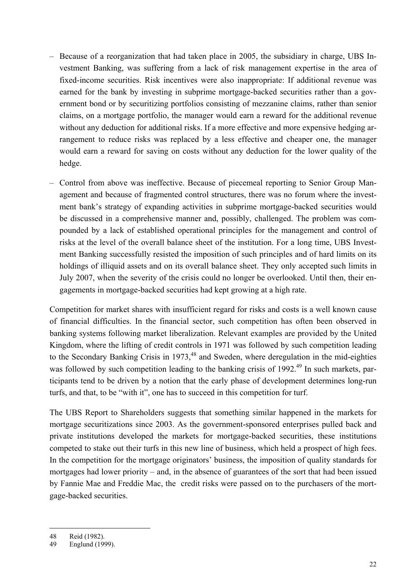- Because of a reorganization that had taken place in 2005, the subsidiary in charge, UBS Investment Banking, was suffering from a lack of risk management expertise in the area of fixed-income securities. Risk incentives were also inappropriate: If additional revenue was earned for the bank by investing in subprime mortgage-backed securities rather than a government bond or by securitizing portfolios consisting of mezzanine claims, rather than senior claims, on a mortgage portfolio, the manager would earn a reward for the additional revenue without any deduction for additional risks. If a more effective and more expensive hedging arrangement to reduce risks was replaced by a less effective and cheaper one, the manager would earn a reward for saving on costs without any deduction for the lower quality of the hedge.
- Control from above was ineffective. Because of piecemeal reporting to Senior Group Management and because of fragmented control structures, there was no forum where the investment bank's strategy of expanding activities in subprime mortgage-backed securities would be discussed in a comprehensive manner and, possibly, challenged. The problem was compounded by a lack of established operational principles for the management and control of risks at the level of the overall balance sheet of the institution. For a long time, UBS Investment Banking successfully resisted the imposition of such principles and of hard limits on its holdings of illiquid assets and on its overall balance sheet. They only accepted such limits in July 2007, when the severity of the crisis could no longer be overlooked. Until then, their engagements in mortgage-backed securities had kept growing at a high rate.

Competition for market shares with insufficient regard for risks and costs is a well known cause of financial difficulties. In the financial sector, such competition has often been observed in banking systems following market liberalization. Relevant examples are provided by the United Kingdom, where the lifting of credit controls in 1971 was followed by such competition leading to the Secondary Banking Crisis in  $1973<sup>48</sup>$  and Sweden, where deregulation in the mid-eighties was followed by such competition leading to the banking crisis of 1992.<sup>49</sup> In such markets, participants tend to be driven by a notion that the early phase of development determines long-run turfs, and that, to be "with it", one has to succeed in this competition for turf.

The UBS Report to Shareholders suggests that something similar happened in the markets for mortgage securitizations since 2003. As the government-sponsored enterprises pulled back and private institutions developed the markets for mortgage-backed securities, these institutions competed to stake out their turfs in this new line of business, which held a prospect of high fees. In the competition for the mortgage originators' business, the imposition of quality standards for mortgages had lower priority – and, in the absence of guarantees of the sort that had been issued by Fannie Mae and Freddie Mac, the credit risks were passed on to the purchasers of the mortgage-backed securities.

<sup>48</sup> Reid (1982).

<sup>49</sup> Englund (1999).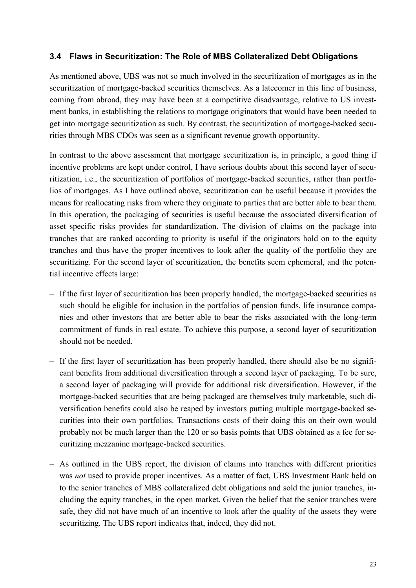### **3.4 Flaws in Securitization: The Role of MBS Collateralized Debt Obligations**

As mentioned above, UBS was not so much involved in the securitization of mortgages as in the securitization of mortgage-backed securities themselves. As a latecomer in this line of business, coming from abroad, they may have been at a competitive disadvantage, relative to US investment banks, in establishing the relations to mortgage originators that would have been needed to get into mortgage securitization as such. By contrast, the securitization of mortgage-backed securities through MBS CDOs was seen as a significant revenue growth opportunity.

In contrast to the above assessment that mortgage securitization is, in principle, a good thing if incentive problems are kept under control, I have serious doubts about this second layer of securitization, i.e., the securitization of portfolios of mortgage-backed securities, rather than portfolios of mortgages. As I have outlined above, securitization can be useful because it provides the means for reallocating risks from where they originate to parties that are better able to bear them. In this operation, the packaging of securities is useful because the associated diversification of asset specific risks provides for standardization. The division of claims on the package into tranches that are ranked according to priority is useful if the originators hold on to the equity tranches and thus have the proper incentives to look after the quality of the portfolio they are securitizing. For the second layer of securitization, the benefits seem ephemeral, and the potential incentive effects large:

- If the first layer of securitization has been properly handled, the mortgage-backed securities as such should be eligible for inclusion in the portfolios of pension funds, life insurance companies and other investors that are better able to bear the risks associated with the long-term commitment of funds in real estate. To achieve this purpose, a second layer of securitization should not be needed.
- If the first layer of securitization has been properly handled, there should also be no significant benefits from additional diversification through a second layer of packaging. To be sure, a second layer of packaging will provide for additional risk diversification. However, if the mortgage-backed securities that are being packaged are themselves truly marketable, such diversification benefits could also be reaped by investors putting multiple mortgage-backed securities into their own portfolios. Transactions costs of their doing this on their own would probably not be much larger than the 120 or so basis points that UBS obtained as a fee for securitizing mezzanine mortgage-backed securities.
- As outlined in the UBS report, the division of claims into tranches with different priorities was *not* used to provide proper incentives. As a matter of fact, UBS Investment Bank held on to the senior tranches of MBS collateralized debt obligations and sold the junior tranches, including the equity tranches, in the open market. Given the belief that the senior tranches were safe, they did not have much of an incentive to look after the quality of the assets they were securitizing. The UBS report indicates that, indeed, they did not.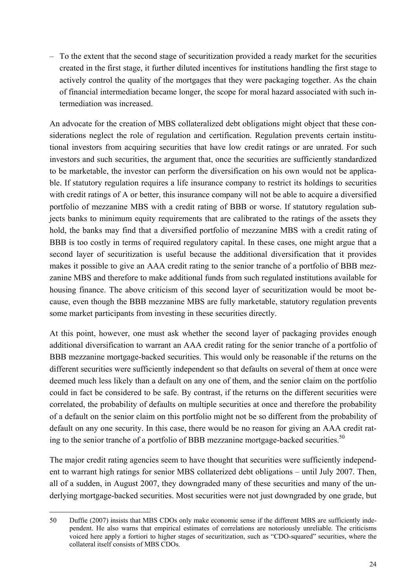– To the extent that the second stage of securitization provided a ready market for the securities created in the first stage, it further diluted incentives for institutions handling the first stage to actively control the quality of the mortgages that they were packaging together. As the chain of financial intermediation became longer, the scope for moral hazard associated with such intermediation was increased.

An advocate for the creation of MBS collateralized debt obligations might object that these considerations neglect the role of regulation and certification. Regulation prevents certain institutional investors from acquiring securities that have low credit ratings or are unrated. For such investors and such securities, the argument that, once the securities are sufficiently standardized to be marketable, the investor can perform the diversification on his own would not be applicable. If statutory regulation requires a life insurance company to restrict its holdings to securities with credit ratings of A or better, this insurance company will not be able to acquire a diversified portfolio of mezzanine MBS with a credit rating of BBB or worse. If statutory regulation subjects banks to minimum equity requirements that are calibrated to the ratings of the assets they hold, the banks may find that a diversified portfolio of mezzanine MBS with a credit rating of BBB is too costly in terms of required regulatory capital. In these cases, one might argue that a second layer of securitization is useful because the additional diversification that it provides makes it possible to give an AAA credit rating to the senior tranche of a portfolio of BBB mezzanine MBS and therefore to make additional funds from such regulated institutions available for housing finance. The above criticism of this second layer of securitization would be moot because, even though the BBB mezzanine MBS are fully marketable, statutory regulation prevents some market participants from investing in these securities directly.

At this point, however, one must ask whether the second layer of packaging provides enough additional diversification to warrant an AAA credit rating for the senior tranche of a portfolio of BBB mezzanine mortgage-backed securities. This would only be reasonable if the returns on the different securities were sufficiently independent so that defaults on several of them at once were deemed much less likely than a default on any one of them, and the senior claim on the portfolio could in fact be considered to be safe. By contrast, if the returns on the different securities were correlated, the probability of defaults on multiple securities at once and therefore the probability of a default on the senior claim on this portfolio might not be so different from the probability of default on any one security. In this case, there would be no reason for giving an AAA credit rating to the senior tranche of a portfolio of BBB mezzanine mortgage-backed securities.<sup>50</sup>

The major credit rating agencies seem to have thought that securities were sufficiently independent to warrant high ratings for senior MBS collaterized debt obligations – until July 2007. Then, all of a sudden, in August 2007, they downgraded many of these securities and many of the underlying mortgage-backed securities. Most securities were not just downgraded by one grade, but

<sup>50</sup> Duffie (2007) insists that MBS CDOs only make economic sense if the different MBS are sufficiently independent. He also warns that empirical estimates of correlations are notoriously unreliable. The criticisms voiced here apply a fortiori to higher stages of securitization, such as "CDO-squared" securities, where the collateral itself consists of MBS CDOs.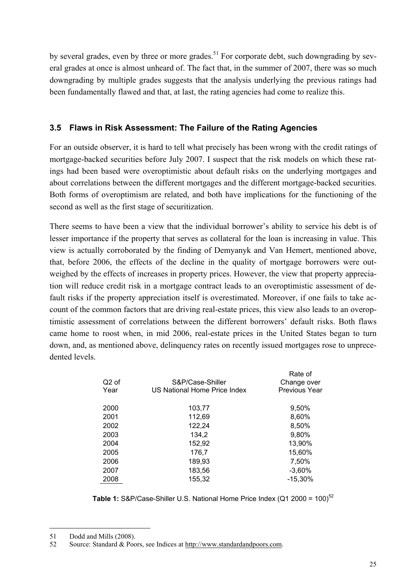by several grades, even by three or more grades.<sup>51</sup> For corporate debt, such downgrading by several grades at once is almost unheard of. The fact that, in the summer of 2007, there was so much downgrading by multiple grades suggests that the analysis underlying the previous ratings had been fundamentally flawed and that, at last, the rating agencies had come to realize this.

#### **3.5 Flaws in Risk Assessment: The Failure of the Rating Agencies**

For an outside observer, it is hard to tell what precisely has been wrong with the credit ratings of mortgage-backed securities before July 2007. I suspect that the risk models on which these ratings had been based were overoptimistic about default risks on the underlying mortgages and about correlations between the different mortgages and the different mortgage-backed securities. Both forms of overoptimism are related, and both have implications for the functioning of the second as well as the first stage of securitization.

There seems to have been a view that the individual borrower's ability to service his debt is of lesser importance if the property that serves as collateral for the loan is increasing in value. This view is actually corroborated by the finding of Demyanyk and Van Hemert, mentioned above, that, before 2006, the effects of the decline in the quality of mortgage borrowers were outweighed by the effects of increases in property prices. However, the view that property appreciation will reduce credit risk in a mortgage contract leads to an overoptimistic assessment of default risks if the property appreciation itself is overestimated. Moreover, if one fails to take account of the common factors that are driving real-estate prices, this view also leads to an overoptimistic assessment of correlations between the different borrowers' default risks. Both flaws came home to roost when, in mid 2006, real-estate prices in the United States began to turn down, and, as mentioned above, delinquency rates on recently issued mortgages rose to unprecedented levels.

|                   |                              | Rate of       |
|-------------------|------------------------------|---------------|
| Q <sub>2</sub> of | S&P/Case-Shiller             | Change over   |
| Year              | US National Home Price Index | Previous Year |
|                   |                              |               |
| 2000              | 103,77                       | 9,50%         |
| 2001              | 112,69                       | 8,60%         |
| 2002              | 122,24                       | 8,50%         |
| 2003              | 134,2                        | 9,80%         |
| 2004              | 152,92                       | 13,90%        |
| 2005              | 176,7                        | 15,60%        |
| 2006              | 189,93                       | 7,50%         |
| 2007              | 183,56                       | $-3,60%$      |
| 2008              | 155.32                       | $-15,30%$     |
|                   |                              |               |

**Table 1:** S&P/Case-Shiller U.S. National Home Price Index (Q1 2000 = 100)<sup>52</sup>

<sup>51</sup> Dodd and Mills (2008).

<sup>52</sup> Source: Standard & Poors, see Indices at http://www.standardandpoors.com.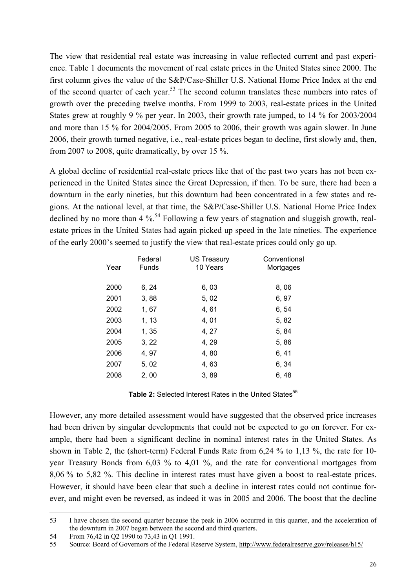The view that residential real estate was increasing in value reflected current and past experience. Table 1 documents the movement of real estate prices in the United States since 2000. The first column gives the value of the S&P/Case-Shiller U.S. National Home Price Index at the end of the second quarter of each year.<sup>53</sup> The second column translates these numbers into rates of growth over the preceding twelve months. From 1999 to 2003, real-estate prices in the United States grew at roughly 9 % per year. In 2003, their growth rate jumped, to 14 % for 2003/2004 and more than 15 % for 2004/2005. From 2005 to 2006, their growth was again slower. In June 2006, their growth turned negative, i.e., real-estate prices began to decline, first slowly and, then, from 2007 to 2008, quite dramatically, by over 15 %.

A global decline of residential real-estate prices like that of the past two years has not been experienced in the United States since the Great Depression, if then. To be sure, there had been a downturn in the early nineties, but this downturn had been concentrated in a few states and regions. At the national level, at that time, the S&P/Case-Shiller U.S. National Home Price Index declined by no more than 4 %.<sup>54</sup> Following a few years of stagnation and sluggish growth, realestate prices in the United States had again picked up speed in the late nineties. The experience of the early 2000's seemed to justify the view that real-estate prices could only go up.

| Year | Federal<br>Funds | <b>US Treasury</b><br>10 Years | Conventional<br>Mortgages |
|------|------------------|--------------------------------|---------------------------|
| 2000 | 6, 24            | 6,03                           | 8,06                      |
| 2001 | 3,88             | 5,02                           | 6, 97                     |
| 2002 | 1,67             | 4,61                           | 6, 54                     |
| 2003 | 1, 13            | 4, 01                          | 5, 82                     |
| 2004 | 1, 35            | 4, 27                          | 5, 84                     |
| 2005 | 3, 22            | 4, 29                          | 5,86                      |
| 2006 | 4, 97            | 4,80                           | 6, 41                     |
| 2007 | 5, 02            | 4,63                           | 6, 34                     |
| 2008 | 2,00             | 3,89                           | 6, 48                     |

Table 2: Selected Interest Rates in the United States<sup>55</sup>

However, any more detailed assessment would have suggested that the observed price increases had been driven by singular developments that could not be expected to go on forever. For example, there had been a significant decline in nominal interest rates in the United States. As shown in Table 2, the (short-term) Federal Funds Rate from 6,24 % to 1,13 %, the rate for 10 year Treasury Bonds from 6,03 % to 4,01 %, and the rate for conventional mortgages from 8,06 % to 5,82 %. This decline in interest rates must have given a boost to real-estate prices. However, it should have been clear that such a decline in interest rates could not continue forever, and might even be reversed, as indeed it was in 2005 and 2006. The boost that the decline

<sup>53</sup> I have chosen the second quarter because the peak in 2006 occurred in this quarter, and the acceleration of the downturn in 2007 began between the second and third quarters.

<sup>54</sup> From 76,42 in Q2 1990 to 73,43 in Q1 1991.

<sup>55</sup> Source: Board of Governors of the Federal Reserve System, http://www.federalreserve.gov/releases/h15/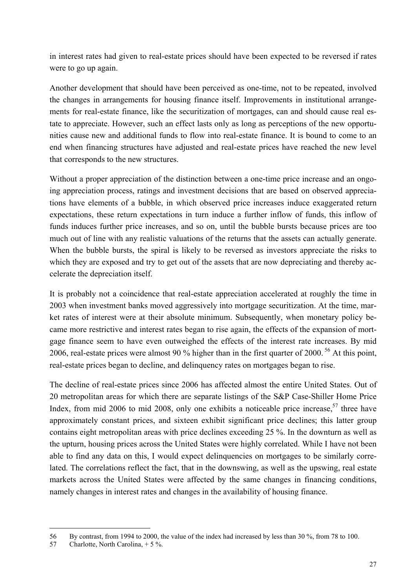in interest rates had given to real-estate prices should have been expected to be reversed if rates were to go up again.

Another development that should have been perceived as one-time, not to be repeated, involved the changes in arrangements for housing finance itself. Improvements in institutional arrangements for real-estate finance, like the securitization of mortgages, can and should cause real estate to appreciate. However, such an effect lasts only as long as perceptions of the new opportunities cause new and additional funds to flow into real-estate finance. It is bound to come to an end when financing structures have adjusted and real-estate prices have reached the new level that corresponds to the new structures.

Without a proper appreciation of the distinction between a one-time price increase and an ongoing appreciation process, ratings and investment decisions that are based on observed appreciations have elements of a bubble, in which observed price increases induce exaggerated return expectations, these return expectations in turn induce a further inflow of funds, this inflow of funds induces further price increases, and so on, until the bubble bursts because prices are too much out of line with any realistic valuations of the returns that the assets can actually generate. When the bubble bursts, the spiral is likely to be reversed as investors appreciate the risks to which they are exposed and try to get out of the assets that are now depreciating and thereby accelerate the depreciation itself.

It is probably not a coincidence that real-estate appreciation accelerated at roughly the time in 2003 when investment banks moved aggressively into mortgage securitization. At the time, market rates of interest were at their absolute minimum. Subsequently, when monetary policy became more restrictive and interest rates began to rise again, the effects of the expansion of mortgage finance seem to have even outweighed the effects of the interest rate increases. By mid 2006, real-estate prices were almost 90 % higher than in the first quarter of 2000. 56 At this point, real-estate prices began to decline, and delinquency rates on mortgages began to rise.

The decline of real-estate prices since 2006 has affected almost the entire United States. Out of 20 metropolitan areas for which there are separate listings of the S&P Case-Shiller Home Price Index, from mid 2006 to mid 2008, only one exhibits a noticeable price increase,  $57$  three have approximately constant prices, and sixteen exhibit significant price declines; this latter group contains eight metropolitan areas with price declines exceeding 25 %. In the downturn as well as the upturn, housing prices across the United States were highly correlated. While I have not been able to find any data on this, I would expect delinquencies on mortgages to be similarly correlated. The correlations reflect the fact, that in the downswing, as well as the upswing, real estate markets across the United States were affected by the same changes in financing conditions, namely changes in interest rates and changes in the availability of housing finance.

<sup>56</sup> By contrast, from 1994 to 2000, the value of the index had increased by less than 30 %, from 78 to 100.

<sup>57</sup> Charlotte, North Carolina, + 5 %.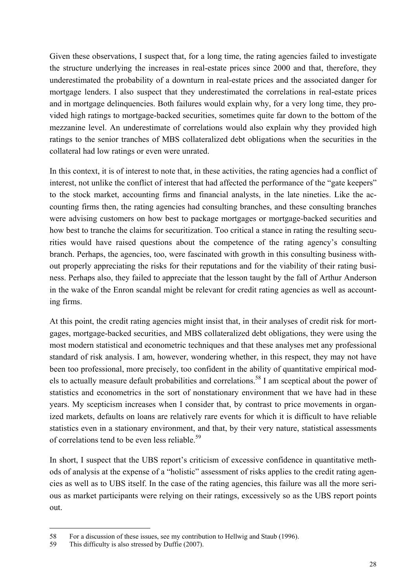Given these observations, I suspect that, for a long time, the rating agencies failed to investigate the structure underlying the increases in real-estate prices since 2000 and that, therefore, they underestimated the probability of a downturn in real-estate prices and the associated danger for mortgage lenders. I also suspect that they underestimated the correlations in real-estate prices and in mortgage delinquencies. Both failures would explain why, for a very long time, they provided high ratings to mortgage-backed securities, sometimes quite far down to the bottom of the mezzanine level. An underestimate of correlations would also explain why they provided high ratings to the senior tranches of MBS collateralized debt obligations when the securities in the collateral had low ratings or even were unrated.

In this context, it is of interest to note that, in these activities, the rating agencies had a conflict of interest, not unlike the conflict of interest that had affected the performance of the "gate keepers" to the stock market, accounting firms and financial analysts, in the late nineties. Like the accounting firms then, the rating agencies had consulting branches, and these consulting branches were advising customers on how best to package mortgages or mortgage-backed securities and how best to tranche the claims for securitization. Too critical a stance in rating the resulting securities would have raised questions about the competence of the rating agency's consulting branch. Perhaps, the agencies, too, were fascinated with growth in this consulting business without properly appreciating the risks for their reputations and for the viability of their rating business. Perhaps also, they failed to appreciate that the lesson taught by the fall of Arthur Anderson in the wake of the Enron scandal might be relevant for credit rating agencies as well as accounting firms.

At this point, the credit rating agencies might insist that, in their analyses of credit risk for mortgages, mortgage-backed securities, and MBS collateralized debt obligations, they were using the most modern statistical and econometric techniques and that these analyses met any professional standard of risk analysis. I am, however, wondering whether, in this respect, they may not have been too professional, more precisely, too confident in the ability of quantitative empirical models to actually measure default probabilities and correlations.<sup>58</sup> I am sceptical about the power of statistics and econometrics in the sort of nonstationary environment that we have had in these years. My scepticism increases when I consider that, by contrast to price movements in organized markets, defaults on loans are relatively rare events for which it is difficult to have reliable statistics even in a stationary environment, and that, by their very nature, statistical assessments of correlations tend to be even less reliable.<sup>59</sup>

In short, I suspect that the UBS report's criticism of excessive confidence in quantitative methods of analysis at the expense of a "holistic" assessment of risks applies to the credit rating agencies as well as to UBS itself. In the case of the rating agencies, this failure was all the more serious as market participants were relying on their ratings, excessively so as the UBS report points out.

<sup>58</sup> For a discussion of these issues, see my contribution to Hellwig and Staub (1996).

<sup>59</sup> This difficulty is also stressed by Duffie (2007).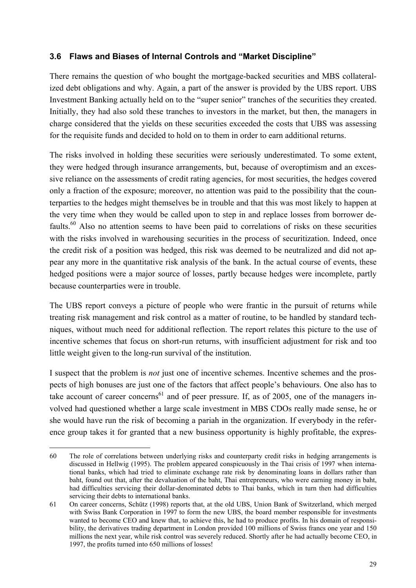### **3.6 Flaws and Biases of Internal Controls and "Market Discipline"**

There remains the question of who bought the mortgage-backed securities and MBS collateralized debt obligations and why. Again, a part of the answer is provided by the UBS report. UBS Investment Banking actually held on to the "super senior" tranches of the securities they created. Initially, they had also sold these tranches to investors in the market, but then, the managers in charge considered that the yields on these securities exceeded the costs that UBS was assessing for the requisite funds and decided to hold on to them in order to earn additional returns.

The risks involved in holding these securities were seriously underestimated. To some extent, they were hedged through insurance arrangements, but, because of overoptimism and an excessive reliance on the assessments of credit rating agencies, for most securities, the hedges covered only a fraction of the exposure; moreover, no attention was paid to the possibility that the counterparties to the hedges might themselves be in trouble and that this was most likely to happen at the very time when they would be called upon to step in and replace losses from borrower defaults.<sup>60</sup> Also no attention seems to have been paid to correlations of risks on these securities with the risks involved in warehousing securities in the process of securitization. Indeed, once the credit risk of a position was hedged, this risk was deemed to be neutralized and did not appear any more in the quantitative risk analysis of the bank. In the actual course of events, these hedged positions were a major source of losses, partly because hedges were incomplete, partly because counterparties were in trouble.

The UBS report conveys a picture of people who were frantic in the pursuit of returns while treating risk management and risk control as a matter of routine, to be handled by standard techniques, without much need for additional reflection. The report relates this picture to the use of incentive schemes that focus on short-run returns, with insufficient adjustment for risk and too little weight given to the long-run survival of the institution.

I suspect that the problem is *not* just one of incentive schemes. Incentive schemes and the prospects of high bonuses are just one of the factors that affect people's behaviours. One also has to take account of career concerns<sup>61</sup> and of peer pressure. If, as of 2005, one of the managers involved had questioned whether a large scale investment in MBS CDOs really made sense, he or she would have run the risk of becoming a pariah in the organization. If everybody in the reference group takes it for granted that a new business opportunity is highly profitable, the expres-

 $\overline{a}$ 60 The role of correlations between underlying risks and counterparty credit risks in hedging arrangements is discussed in Hellwig (1995). The problem appeared conspicuously in the Thai crisis of 1997 when international banks, which had tried to eliminate exchange rate risk by denominating loans in dollars rather than baht, found out that, after the devaluation of the baht, Thai entrepreneurs, who were earning money in baht, had difficulties servicing their dollar-denominated debts to Thai banks, which in turn then had difficulties servicing their debts to international banks.

<sup>61</sup> On career concerns, Schütz (1998) reports that, at the old UBS, Union Bank of Switzerland, which merged with Swiss Bank Corporation in 1997 to form the new UBS, the board member responsible for investments wanted to become CEO and knew that, to achieve this, he had to produce profits. In his domain of responsibility, the derivatives trading department in London provided 100 millions of Swiss francs one year and 150 millions the next year, while risk control was severely reduced. Shortly after he had actually become CEO, in 1997, the profits turned into 650 millions of losses!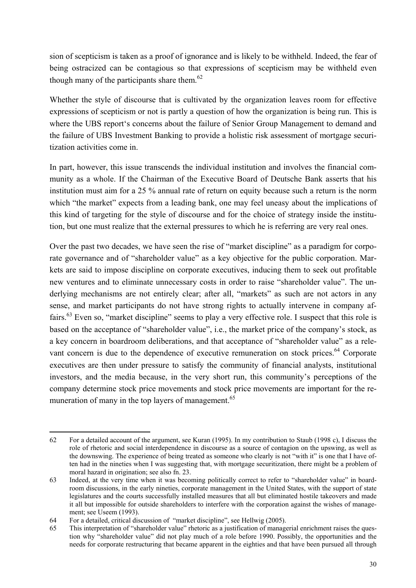sion of scepticism is taken as a proof of ignorance and is likely to be withheld. Indeed, the fear of being ostracized can be contagious so that expressions of scepticism may be withheld even though many of the participants share them. $62$ 

Whether the style of discourse that is cultivated by the organization leaves room for effective expressions of scepticism or not is partly a question of how the organization is being run. This is where the UBS report's concerns about the failure of Senior Group Management to demand and the failure of UBS Investment Banking to provide a holistic risk assessment of mortgage securitization activities come in.

In part, however, this issue transcends the individual institution and involves the financial community as a whole. If the Chairman of the Executive Board of Deutsche Bank asserts that his institution must aim for a 25 % annual rate of return on equity because such a return is the norm which "the market" expects from a leading bank, one may feel uneasy about the implications of this kind of targeting for the style of discourse and for the choice of strategy inside the institution, but one must realize that the external pressures to which he is referring are very real ones.

Over the past two decades, we have seen the rise of "market discipline" as a paradigm for corporate governance and of "shareholder value" as a key objective for the public corporation. Markets are said to impose discipline on corporate executives, inducing them to seek out profitable new ventures and to eliminate unnecessary costs in order to raise "shareholder value". The underlying mechanisms are not entirely clear; after all, "markets" as such are not actors in any sense, and market participants do not have strong rights to actually intervene in company affairs.63 Even so, "market discipline" seems to play a very effective role. I suspect that this role is based on the acceptance of "shareholder value", i.e., the market price of the company's stock, as a key concern in boardroom deliberations, and that acceptance of "shareholder value" as a relevant concern is due to the dependence of executive remuneration on stock prices.<sup>64</sup> Corporate executives are then under pressure to satisfy the community of financial analysts, institutional investors, and the media because, in the very short run, this community's perceptions of the company determine stock price movements and stock price movements are important for the remuneration of many in the top layers of management.<sup>65</sup>

j 62 For a detailed account of the argument, see Kuran (1995). In my contribution to Staub (1998 c), I discuss the role of rhetoric and social interdependence in discourse as a source of contagion on the upswing, as well as the downswing. The experience of being treated as someone who clearly is not "with it" is one that I have often had in the nineties when I was suggesting that, with mortgage securitization, there might be a problem of moral hazard in origination; see also fn. 23.

<sup>63</sup> Indeed, at the very time when it was becoming politically correct to refer to "shareholder value" in boardroom discussions, in the early nineties, corporate management in the United States, with the support of state legislatures and the courts successfully installed measures that all but eliminated hostile takeovers and made it all but impossible for outside shareholders to interfere with the corporation against the wishes of management; see Useem (1993).

<sup>64</sup> For a detailed, critical discussion of "market discipline", see Hellwig (2005).

<sup>65</sup> This interpretation of "shareholder value" rhetoric as a justification of managerial enrichment raises the question why "shareholder value" did not play much of a role before 1990. Possibly, the opportunities and the needs for corporate restructuring that became apparent in the eighties and that have been pursued all through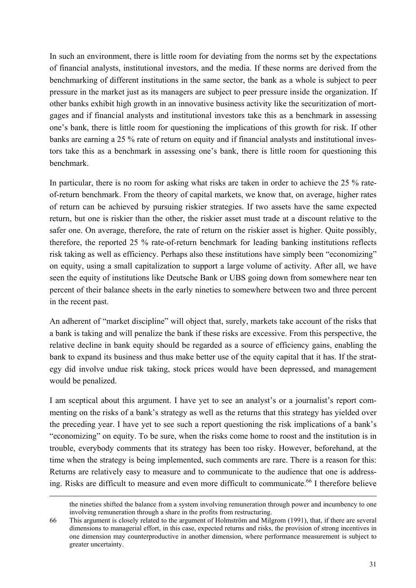In such an environment, there is little room for deviating from the norms set by the expectations of financial analysts, institutional investors, and the media. If these norms are derived from the benchmarking of different institutions in the same sector, the bank as a whole is subject to peer pressure in the market just as its managers are subject to peer pressure inside the organization. If other banks exhibit high growth in an innovative business activity like the securitization of mortgages and if financial analysts and institutional investors take this as a benchmark in assessing one's bank, there is little room for questioning the implications of this growth for risk. If other banks are earning a 25 % rate of return on equity and if financial analysts and institutional investors take this as a benchmark in assessing one's bank, there is little room for questioning this benchmark.

In particular, there is no room for asking what risks are taken in order to achieve the 25 % rateof-return benchmark. From the theory of capital markets, we know that, on average, higher rates of return can be achieved by pursuing riskier strategies. If two assets have the same expected return, but one is riskier than the other, the riskier asset must trade at a discount relative to the safer one. On average, therefore, the rate of return on the riskier asset is higher. Quite possibly, therefore, the reported 25 % rate-of-return benchmark for leading banking institutions reflects risk taking as well as efficiency. Perhaps also these institutions have simply been "economizing" on equity, using a small capitalization to support a large volume of activity. After all, we have seen the equity of institutions like Deutsche Bank or UBS going down from somewhere near ten percent of their balance sheets in the early nineties to somewhere between two and three percent in the recent past.

An adherent of "market discipline" will object that, surely, markets take account of the risks that a bank is taking and will penalize the bank if these risks are excessive. From this perspective, the relative decline in bank equity should be regarded as a source of efficiency gains, enabling the bank to expand its business and thus make better use of the equity capital that it has. If the strategy did involve undue risk taking, stock prices would have been depressed, and management would be penalized.

I am sceptical about this argument. I have yet to see an analyst's or a journalist's report commenting on the risks of a bank's strategy as well as the returns that this strategy has yielded over the preceding year. I have yet to see such a report questioning the risk implications of a bank's "economizing" on equity. To be sure, when the risks come home to roost and the institution is in trouble, everybody comments that its strategy has been too risky. However, beforehand, at the time when the strategy is being implemented, such comments are rare. There is a reason for this: Returns are relatively easy to measure and to communicate to the audience that one is addressing. Risks are difficult to measure and even more difficult to communicate.<sup>66</sup> I therefore believe

the nineties shifted the balance from a system involving remuneration through power and incumbency to one involving remuneration through a share in the profits from restructuring.

<sup>66</sup> This argument is closely related to the argument of Holmström and Milgrom (1991), that, if there are several dimensions to managerial effort, in this case, expected returns and risks, the provision of strong incentives in one dimension may counterproductive in another dimension, where performance measurement is subject to greater uncertainty.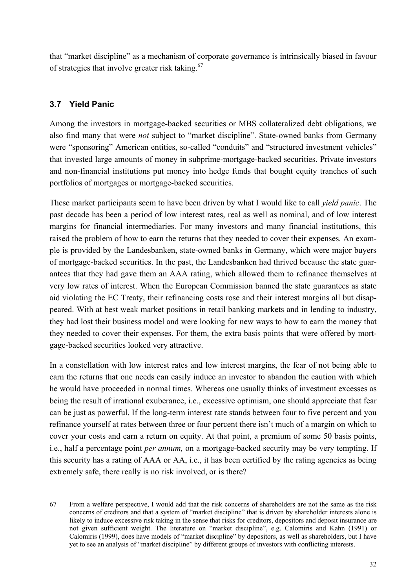that "market discipline" as a mechanism of corporate governance is intrinsically biased in favour of strategies that involve greater risk taking. $67$ 

### **3.7 Yield Panic**

Among the investors in mortgage-backed securities or MBS collateralized debt obligations, we also find many that were *not* subject to "market discipline". State-owned banks from Germany were "sponsoring" American entities, so-called "conduits" and "structured investment vehicles" that invested large amounts of money in subprime-mortgage-backed securities. Private investors and non-financial institutions put money into hedge funds that bought equity tranches of such portfolios of mortgages or mortgage-backed securities.

These market participants seem to have been driven by what I would like to call *yield panic*. The past decade has been a period of low interest rates, real as well as nominal, and of low interest margins for financial intermediaries. For many investors and many financial institutions, this raised the problem of how to earn the returns that they needed to cover their expenses. An example is provided by the Landesbanken, state-owned banks in Germany, which were major buyers of mortgage-backed securities. In the past, the Landesbanken had thrived because the state guarantees that they had gave them an AAA rating, which allowed them to refinance themselves at very low rates of interest. When the European Commission banned the state guarantees as state aid violating the EC Treaty, their refinancing costs rose and their interest margins all but disappeared. With at best weak market positions in retail banking markets and in lending to industry, they had lost their business model and were looking for new ways to how to earn the money that they needed to cover their expenses. For them, the extra basis points that were offered by mortgage-backed securities looked very attractive.

In a constellation with low interest rates and low interest margins, the fear of not being able to earn the returns that one needs can easily induce an investor to abandon the caution with which he would have proceeded in normal times. Whereas one usually thinks of investment excesses as being the result of irrational exuberance, i.e., excessive optimism, one should appreciate that fear can be just as powerful. If the long-term interest rate stands between four to five percent and you refinance yourself at rates between three or four percent there isn't much of a margin on which to cover your costs and earn a return on equity. At that point, a premium of some 50 basis points, i.e., half a percentage point *per annum,* on a mortgage-backed security may be very tempting. If this security has a rating of AAA or AA, i.e., it has been certified by the rating agencies as being extremely safe, there really is no risk involved, or is there?

 $\overline{a}$ 67 From a welfare perspective, I would add that the risk concerns of shareholders are not the same as the risk concerns of creditors and that a system of "market discipline" that is driven by shareholder interests alone is likely to induce excessive risk taking in the sense that risks for creditors, depositors and deposit insurance are not given sufficient weight. The literature on "market discipline", e.g. Calomiris and Kahn (1991) or Calomiris (1999), does have models of "market discipline" by depositors, as well as shareholders, but I have yet to see an analysis of "market discipline" by different groups of investors with conflicting interests.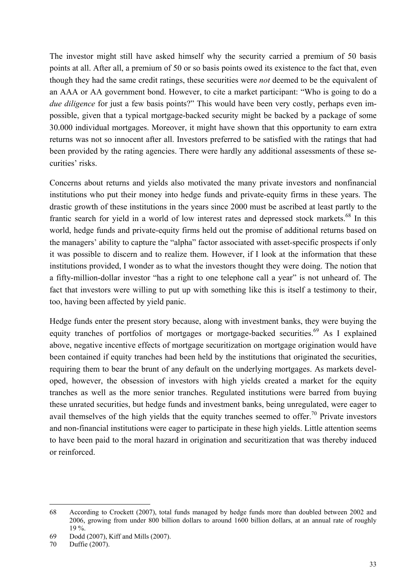The investor might still have asked himself why the security carried a premium of 50 basis points at all. After all, a premium of 50 or so basis points owed its existence to the fact that, even though they had the same credit ratings, these securities were *not* deemed to be the equivalent of an AAA or AA government bond. However, to cite a market participant: "Who is going to do a *due diligence* for just a few basis points?" This would have been very costly, perhaps even impossible, given that a typical mortgage-backed security might be backed by a package of some 30.000 individual mortgages. Moreover, it might have shown that this opportunity to earn extra returns was not so innocent after all. Investors preferred to be satisfied with the ratings that had been provided by the rating agencies. There were hardly any additional assessments of these securities' risks.

Concerns about returns and yields also motivated the many private investors and nonfinancial institutions who put their money into hedge funds and private-equity firms in these years. The drastic growth of these institutions in the years since 2000 must be ascribed at least partly to the frantic search for yield in a world of low interest rates and depressed stock markets.<sup>68</sup> In this world, hedge funds and private-equity firms held out the promise of additional returns based on the managers' ability to capture the "alpha" factor associated with asset-specific prospects if only it was possible to discern and to realize them. However, if I look at the information that these institutions provided, I wonder as to what the investors thought they were doing. The notion that a fifty-million-dollar investor "has a right to one telephone call a year" is not unheard of. The fact that investors were willing to put up with something like this is itself a testimony to their, too, having been affected by yield panic.

Hedge funds enter the present story because, along with investment banks, they were buying the equity tranches of portfolios of mortgages or mortgage-backed securities.<sup>69</sup> As I explained above, negative incentive effects of mortgage securitization on mortgage origination would have been contained if equity tranches had been held by the institutions that originated the securities, requiring them to bear the brunt of any default on the underlying mortgages. As markets developed, however, the obsession of investors with high yields created a market for the equity tranches as well as the more senior tranches. Regulated institutions were barred from buying these unrated securities, but hedge funds and investment banks, being unregulated, were eager to avail themselves of the high yields that the equity tranches seemed to offer.<sup>70</sup> Private investors and non-financial institutions were eager to participate in these high yields. Little attention seems to have been paid to the moral hazard in origination and securitization that was thereby induced or reinforced.

<sup>68</sup> According to Crockett (2007), total funds managed by hedge funds more than doubled between 2002 and 2006, growing from under 800 billion dollars to around 1600 billion dollars, at an annual rate of roughly 19 %.

<sup>69</sup> Dodd (2007), Kiff and Mills (2007).

<sup>70</sup> Duffie (2007).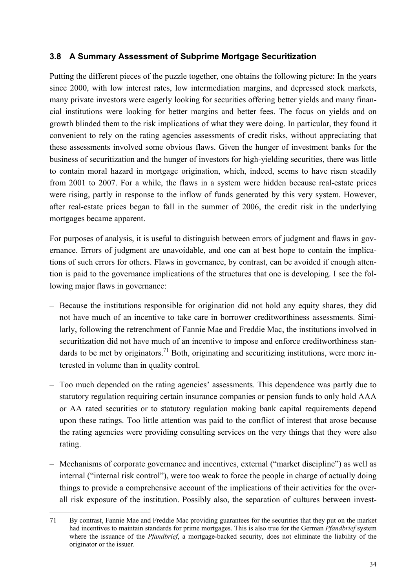### **3.8 A Summary Assessment of Subprime Mortgage Securitization**

Putting the different pieces of the puzzle together, one obtains the following picture: In the years since 2000, with low interest rates, low intermediation margins, and depressed stock markets, many private investors were eagerly looking for securities offering better yields and many financial institutions were looking for better margins and better fees. The focus on yields and on growth blinded them to the risk implications of what they were doing. In particular, they found it convenient to rely on the rating agencies assessments of credit risks, without appreciating that these assessments involved some obvious flaws. Given the hunger of investment banks for the business of securitization and the hunger of investors for high-yielding securities, there was little to contain moral hazard in mortgage origination, which, indeed, seems to have risen steadily from 2001 to 2007. For a while, the flaws in a system were hidden because real-estate prices were rising, partly in response to the inflow of funds generated by this very system. However, after real-estate prices began to fall in the summer of 2006, the credit risk in the underlying mortgages became apparent.

For purposes of analysis, it is useful to distinguish between errors of judgment and flaws in governance. Errors of judgment are unavoidable, and one can at best hope to contain the implications of such errors for others. Flaws in governance, by contrast, can be avoided if enough attention is paid to the governance implications of the structures that one is developing. I see the following major flaws in governance:

- Because the institutions responsible for origination did not hold any equity shares, they did not have much of an incentive to take care in borrower creditworthiness assessments. Similarly, following the retrenchment of Fannie Mae and Freddie Mac, the institutions involved in securitization did not have much of an incentive to impose and enforce creditworthiness standards to be met by originators.<sup>71</sup> Both, originating and securitizing institutions, were more interested in volume than in quality control.
- Too much depended on the rating agencies' assessments. This dependence was partly due to statutory regulation requiring certain insurance companies or pension funds to only hold AAA or AA rated securities or to statutory regulation making bank capital requirements depend upon these ratings. Too little attention was paid to the conflict of interest that arose because the rating agencies were providing consulting services on the very things that they were also rating.
- Mechanisms of corporate governance and incentives, external ("market discipline") as well as internal ("internal risk control"), were too weak to force the people in charge of actually doing things to provide a comprehensive account of the implications of their activities for the overall risk exposure of the institution. Possibly also, the separation of cultures between invest-

j 71 By contrast, Fannie Mae and Freddie Mac providing guarantees for the securities that they put on the market had incentives to maintain standards for prime mortgages. This is also true for the German *Pfandbrief* system where the issuance of the *Pfandbrief*, a mortgage-backed security, does not eliminate the liability of the originator or the issuer.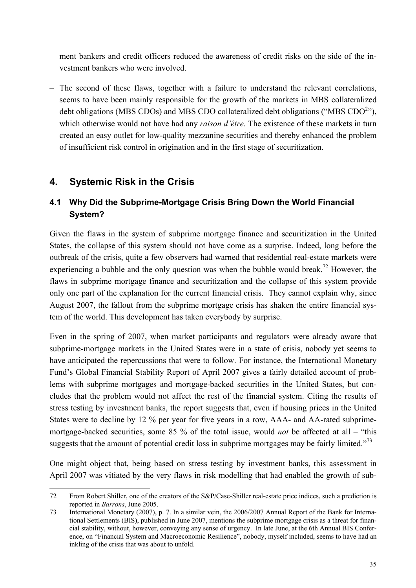ment bankers and credit officers reduced the awareness of credit risks on the side of the investment bankers who were involved.

– The second of these flaws, together with a failure to understand the relevant correlations, seems to have been mainly responsible for the growth of the markets in MBS collateralized debt obligations (MBS CDOs) and MBS CDO collateralized debt obligations ("MBS  $CDO<sup>2</sup>$ "), which otherwise would not have had any *raison d'être*. The existence of these markets in turn created an easy outlet for low-quality mezzanine securities and thereby enhanced the problem of insufficient risk control in origination and in the first stage of securitization.

## **4. Systemic Risk in the Crisis**

j

## **4.1 Why Did the Subprime-Mortgage Crisis Bring Down the World Financial System?**

Given the flaws in the system of subprime mortgage finance and securitization in the United States, the collapse of this system should not have come as a surprise. Indeed, long before the outbreak of the crisis, quite a few observers had warned that residential real-estate markets were experiencing a bubble and the only question was when the bubble would break.<sup>72</sup> However, the flaws in subprime mortgage finance and securitization and the collapse of this system provide only one part of the explanation for the current financial crisis. They cannot explain why, since August 2007, the fallout from the subprime mortgage crisis has shaken the entire financial system of the world. This development has taken everybody by surprise.

Even in the spring of 2007, when market participants and regulators were already aware that subprime-mortgage markets in the United States were in a state of crisis, nobody yet seems to have anticipated the repercussions that were to follow. For instance, the International Monetary Fund's Global Financial Stability Report of April 2007 gives a fairly detailed account of problems with subprime mortgages and mortgage-backed securities in the United States, but concludes that the problem would not affect the rest of the financial system. Citing the results of stress testing by investment banks, the report suggests that, even if housing prices in the United States were to decline by 12 % per year for five years in a row, AAA- and AA-rated subprimemortgage-backed securities, some 85 % of the total issue, would *not* be affected at all – "this suggests that the amount of potential credit loss in subprime mortgages may be fairly limited."<sup>73</sup>

One might object that, being based on stress testing by investment banks, this assessment in April 2007 was vitiated by the very flaws in risk modelling that had enabled the growth of sub-

<sup>72</sup> From Robert Shiller, one of the creators of the S&P/Case-Shiller real-estate price indices, such a prediction is reported in *Barrons*, June 2005.

<sup>73</sup> International Monetary (2007), p. 7. In a similar vein, the 2006/2007 Annual Report of the Bank for International Settlements (BIS), published in June 2007, mentions the subprime mortgage crisis as a threat for financial stability, without, however, conveying any sense of urgency. In late June, at the 6th Annual BIS Conference, on "Financial System and Macroeconomic Resilience", nobody, myself included, seems to have had an inkling of the crisis that was about to unfold.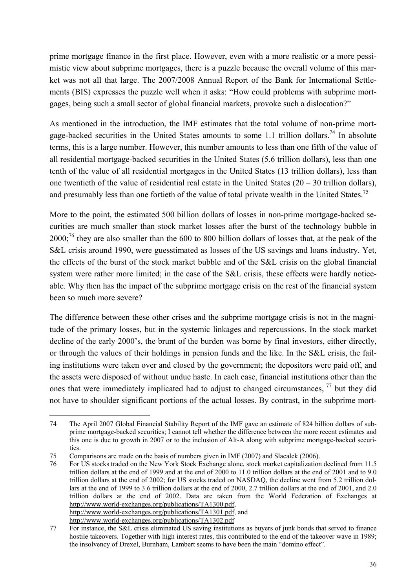prime mortgage finance in the first place. However, even with a more realistic or a more pessimistic view about subprime mortgages, there is a puzzle because the overall volume of this market was not all that large. The 2007/2008 Annual Report of the Bank for International Settlements (BIS) expresses the puzzle well when it asks: "How could problems with subprime mortgages, being such a small sector of global financial markets, provoke such a dislocation?"

As mentioned in the introduction, the IMF estimates that the total volume of non-prime mortgage-backed securities in the United States amounts to some 1.1 trillion dollars.<sup>74</sup> In absolute terms, this is a large number. However, this number amounts to less than one fifth of the value of all residential mortgage-backed securities in the United States (5.6 trillion dollars), less than one tenth of the value of all residential mortgages in the United States (13 trillion dollars), less than one twentieth of the value of residential real estate in the United States (20 – 30 trillion dollars), and presumably less than one fortieth of the value of total private wealth in the United States.<sup>75</sup>

More to the point, the estimated 500 billion dollars of losses in non-prime mortgage-backed securities are much smaller than stock market losses after the burst of the technology bubble in  $2000$ ;<sup>76</sup> they are also smaller than the 600 to 800 billion dollars of losses that, at the peak of the S&L crisis around 1990, were guesstimated as losses of the US savings and loans industry. Yet, the effects of the burst of the stock market bubble and of the S&L crisis on the global financial system were rather more limited; in the case of the S&L crisis, these effects were hardly noticeable. Why then has the impact of the subprime mortgage crisis on the rest of the financial system been so much more severe?

The difference between these other crises and the subprime mortgage crisis is not in the magnitude of the primary losses, but in the systemic linkages and repercussions. In the stock market decline of the early 2000's, the brunt of the burden was borne by final investors, either directly, or through the values of their holdings in pension funds and the like. In the S&L crisis, the failing institutions were taken over and closed by the government; the depositors were paid off, and the assets were disposed of without undue haste. In each case, financial institutions other than the ones that were immediately implicated had to adjust to changed circumstances,  $^{77}$  but they did not have to shoulder significant portions of the actual losses. By contrast, in the subprime mort-

j 74 The April 2007 Global Financial Stability Report of the IMF gave an estimate of 824 billion dollars of subprime mortgage-backed securities; I cannot tell whether the difference between the more recent estimates and this one is due to growth in 2007 or to the inclusion of Alt-A along with subprime mortgage-backed securities.

<sup>75</sup> Comparisons are made on the basis of numbers given in IMF (2007) and Slacalek (2006).

<sup>76</sup> For US stocks traded on the New York Stock Exchange alone, stock market capitalization declined from 11.5 trillion dollars at the end of 1999 and at the end of 2000 to 11.0 trillion dollars at the end of 2001 and to 9.0 trillion dollars at the end of 2002; for US stocks traded on NASDAQ, the decline went from 5.2 trillion dollars at the end of 1999 to 3.6 trillion dollars at the end of 2000, 2.7 trillion dollars at the end of 2001, and 2.0 trillion dollars at the end of 2002. Data are taken from the World Federation of Exchanges at http://www.world-exchanges.org/publications/TA1300.pdf, http://www.world-exchanges.org/publications/TA1301.pdf, and

http://www.world-exchanges.org/publications/TA1302.pdf

<sup>77</sup> For instance, the S&L crisis eliminated US saving institutions as buyers of junk bonds that served to finance hostile takeovers. Together with high interest rates, this contributed to the end of the takeover wave in 1989; the insolvency of Drexel, Burnham, Lambert seems to have been the main "domino effect".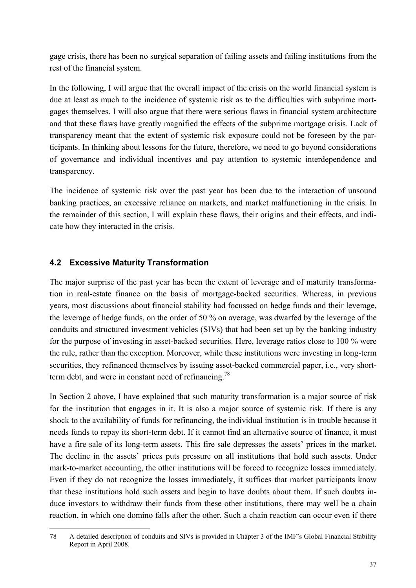gage crisis, there has been no surgical separation of failing assets and failing institutions from the rest of the financial system.

In the following, I will argue that the overall impact of the crisis on the world financial system is due at least as much to the incidence of systemic risk as to the difficulties with subprime mortgages themselves. I will also argue that there were serious flaws in financial system architecture and that these flaws have greatly magnified the effects of the subprime mortgage crisis. Lack of transparency meant that the extent of systemic risk exposure could not be foreseen by the participants. In thinking about lessons for the future, therefore, we need to go beyond considerations of governance and individual incentives and pay attention to systemic interdependence and transparency.

The incidence of systemic risk over the past year has been due to the interaction of unsound banking practices, an excessive reliance on markets, and market malfunctioning in the crisis. In the remainder of this section, I will explain these flaws, their origins and their effects, and indicate how they interacted in the crisis.

## **4.2 Excessive Maturity Transformation**

The major surprise of the past year has been the extent of leverage and of maturity transformation in real-estate finance on the basis of mortgage-backed securities. Whereas, in previous years, most discussions about financial stability had focussed on hedge funds and their leverage, the leverage of hedge funds, on the order of 50 % on average, was dwarfed by the leverage of the conduits and structured investment vehicles (SIVs) that had been set up by the banking industry for the purpose of investing in asset-backed securities. Here, leverage ratios close to 100 % were the rule, rather than the exception. Moreover, while these institutions were investing in long-term securities, they refinanced themselves by issuing asset-backed commercial paper, i.e., very shortterm debt, and were in constant need of refinancing.<sup>78</sup>

In Section 2 above, I have explained that such maturity transformation is a major source of risk for the institution that engages in it. It is also a major source of systemic risk. If there is any shock to the availability of funds for refinancing, the individual institution is in trouble because it needs funds to repay its short-term debt. If it cannot find an alternative source of finance, it must have a fire sale of its long-term assets. This fire sale depresses the assets' prices in the market. The decline in the assets' prices puts pressure on all institutions that hold such assets. Under mark-to-market accounting, the other institutions will be forced to recognize losses immediately. Even if they do not recognize the losses immediately, it suffices that market participants know that these institutions hold such assets and begin to have doubts about them. If such doubts induce investors to withdraw their funds from these other institutions, there may well be a chain reaction, in which one domino falls after the other. Such a chain reaction can occur even if there

 $\overline{a}$ 78 A detailed description of conduits and SIVs is provided in Chapter 3 of the IMF's Global Financial Stability Report in April 2008.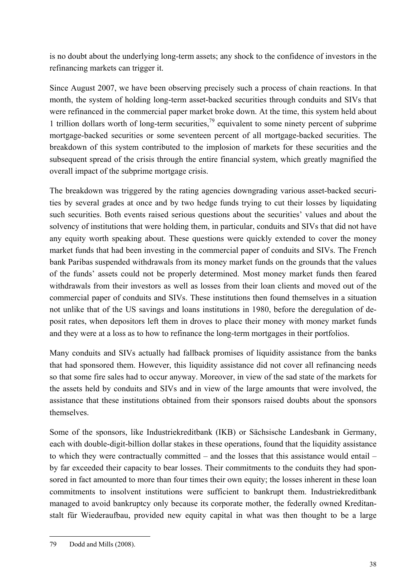is no doubt about the underlying long-term assets; any shock to the confidence of investors in the refinancing markets can trigger it.

Since August 2007, we have been observing precisely such a process of chain reactions. In that month, the system of holding long-term asset-backed securities through conduits and SIVs that were refinanced in the commercial paper market broke down. At the time, this system held about 1 trillion dollars worth of long-term securities,  $\frac{79}{2}$  equivalent to some ninety percent of subprime mortgage-backed securities or some seventeen percent of all mortgage-backed securities. The breakdown of this system contributed to the implosion of markets for these securities and the subsequent spread of the crisis through the entire financial system, which greatly magnified the overall impact of the subprime mortgage crisis.

The breakdown was triggered by the rating agencies downgrading various asset-backed securities by several grades at once and by two hedge funds trying to cut their losses by liquidating such securities. Both events raised serious questions about the securities' values and about the solvency of institutions that were holding them, in particular, conduits and SIVs that did not have any equity worth speaking about. These questions were quickly extended to cover the money market funds that had been investing in the commercial paper of conduits and SIVs. The French bank Paribas suspended withdrawals from its money market funds on the grounds that the values of the funds' assets could not be properly determined. Most money market funds then feared withdrawals from their investors as well as losses from their loan clients and moved out of the commercial paper of conduits and SIVs. These institutions then found themselves in a situation not unlike that of the US savings and loans institutions in 1980, before the deregulation of deposit rates, when depositors left them in droves to place their money with money market funds and they were at a loss as to how to refinance the long-term mortgages in their portfolios.

Many conduits and SIVs actually had fallback promises of liquidity assistance from the banks that had sponsored them. However, this liquidity assistance did not cover all refinancing needs so that some fire sales had to occur anyway. Moreover, in view of the sad state of the markets for the assets held by conduits and SIVs and in view of the large amounts that were involved, the assistance that these institutions obtained from their sponsors raised doubts about the sponsors themselves.

Some of the sponsors, like Industriekreditbank (IKB) or Sächsische Landesbank in Germany, each with double-digit-billion dollar stakes in these operations, found that the liquidity assistance to which they were contractually committed – and the losses that this assistance would entail – by far exceeded their capacity to bear losses. Their commitments to the conduits they had sponsored in fact amounted to more than four times their own equity; the losses inherent in these loan commitments to insolvent institutions were sufficient to bankrupt them. Industriekreditbank managed to avoid bankruptcy only because its corporate mother, the federally owned Kreditanstalt für Wiederaufbau, provided new equity capital in what was then thought to be a large

j 79 Dodd and Mills (2008).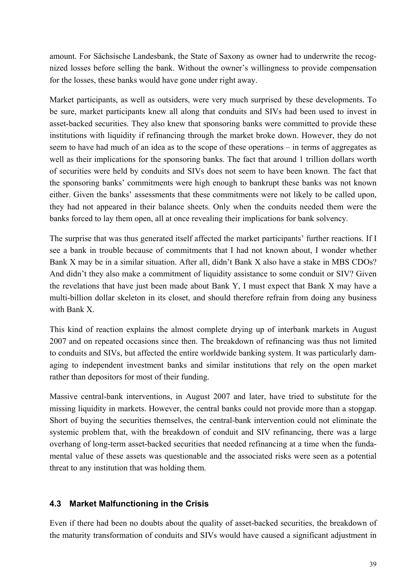amount. For Sächsische Landesbank, the State of Saxony as owner had to underwrite the recognized losses before selling the bank. Without the owner's willingness to provide compensation for the losses, these banks would have gone under right away.

Market participants, as well as outsiders, were very much surprised by these developments. To be sure, market participants knew all along that conduits and SIVs had been used to invest in asset-backed securities. They also knew that sponsoring banks were committed to provide these institutions with liquidity if refinancing through the market broke down. However, they do not seem to have had much of an idea as to the scope of these operations – in terms of aggregates as well as their implications for the sponsoring banks. The fact that around 1 trillion dollars worth of securities were held by conduits and SIVs does not seem to have been known. The fact that the sponsoring banks' commitments were high enough to bankrupt these banks was not known either. Given the banks' assessments that these commitments were not likely to be called upon, they had not appeared in their balance sheets. Only when the conduits needed them were the banks forced to lay them open, all at once revealing their implications for bank solvency.

The surprise that was thus generated itself affected the market participants' further reactions. If I see a bank in trouble because of commitments that I had not known about, I wonder whether Bank X may be in a similar situation. After all, didn't Bank X also have a stake in MBS CDOs? And didn't they also make a commitment of liquidity assistance to some conduit or SIV? Given the revelations that have just been made about Bank Y, I must expect that Bank X may have a multi-billion dollar skeleton in its closet, and should therefore refrain from doing any business with Bank X.

This kind of reaction explains the almost complete drying up of interbank markets in August 2007 and on repeated occasions since then. The breakdown of refinancing was thus not limited to conduits and SIVs, but affected the entire worldwide banking system. It was particularly damaging to independent investment banks and similar institutions that rely on the open market rather than depositors for most of their funding.

Massive central-bank interventions, in August 2007 and later, have tried to substitute for the missing liquidity in markets. However, the central banks could not provide more than a stopgap. Short of buying the securities themselves, the central-bank intervention could not eliminate the systemic problem that, with the breakdown of conduit and SIV refinancing, there was a large overhang of long-term asset-backed securities that needed refinancing at a time when the fundamental value of these assets was questionable and the associated risks were seen as a potential threat to any institution that was holding them.

### **4.3 Market Malfunctioning in the Crisis**

Even if there had been no doubts about the quality of asset-backed securities, the breakdown of the maturity transformation of conduits and SIVs would have caused a significant adjustment in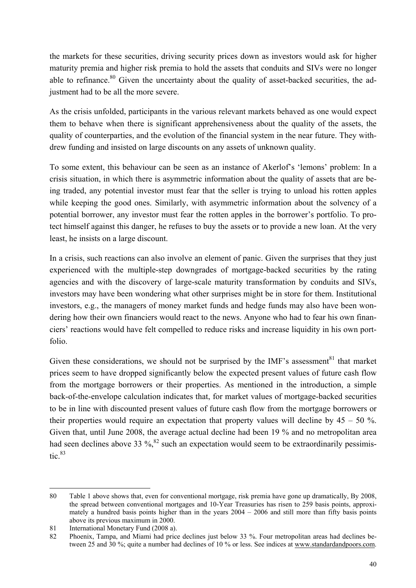the markets for these securities, driving security prices down as investors would ask for higher maturity premia and higher risk premia to hold the assets that conduits and SIVs were no longer able to refinance.<sup>80</sup> Given the uncertainty about the quality of asset-backed securities, the adjustment had to be all the more severe.

As the crisis unfolded, participants in the various relevant markets behaved as one would expect them to behave when there is significant apprehensiveness about the quality of the assets, the quality of counterparties, and the evolution of the financial system in the near future. They withdrew funding and insisted on large discounts on any assets of unknown quality.

To some extent, this behaviour can be seen as an instance of Akerlof's 'lemons' problem: In a crisis situation, in which there is asymmetric information about the quality of assets that are being traded, any potential investor must fear that the seller is trying to unload his rotten apples while keeping the good ones. Similarly, with asymmetric information about the solvency of a potential borrower, any investor must fear the rotten apples in the borrower's portfolio. To protect himself against this danger, he refuses to buy the assets or to provide a new loan. At the very least, he insists on a large discount.

In a crisis, such reactions can also involve an element of panic. Given the surprises that they just experienced with the multiple-step downgrades of mortgage-backed securities by the rating agencies and with the discovery of large-scale maturity transformation by conduits and SIVs, investors may have been wondering what other surprises might be in store for them. Institutional investors, e.g., the managers of money market funds and hedge funds may also have been wondering how their own financiers would react to the news. Anyone who had to fear his own financiers' reactions would have felt compelled to reduce risks and increase liquidity in his own portfolio.

Given these considerations, we should not be surprised by the IMF's assessment $^{81}$  that market prices seem to have dropped significantly below the expected present values of future cash flow from the mortgage borrowers or their properties. As mentioned in the introduction, a simple back-of-the-envelope calculation indicates that, for market values of mortgage-backed securities to be in line with discounted present values of future cash flow from the mortgage borrowers or their properties would require an expectation that property values will decline by  $45 - 50$  %. Given that, until June 2008, the average actual decline had been 19 % and no metropolitan area had seen declines above 33  $\%$ <sup>82</sup> such an expectation would seem to be extraordinarily pessimistic. $83$ 

<sup>80</sup> Table 1 above shows that, even for conventional mortgage, risk premia have gone up dramatically, By 2008, the spread between conventional mortgages and 10-Year Treasuries has risen to 259 basis points, approximately a hundred basis points higher than in the years 2004 – 2006 and still more than fifty basis points above its previous maximum in 2000.

<sup>81</sup> International Monetary Fund (2008 a).

<sup>82</sup> Phoenix, Tampa, and Miami had price declines just below 33 %. Four metropolitan areas had declines between 25 and 30 %; quite a number had declines of 10 % or less. See indices at www.standardandpoors.com.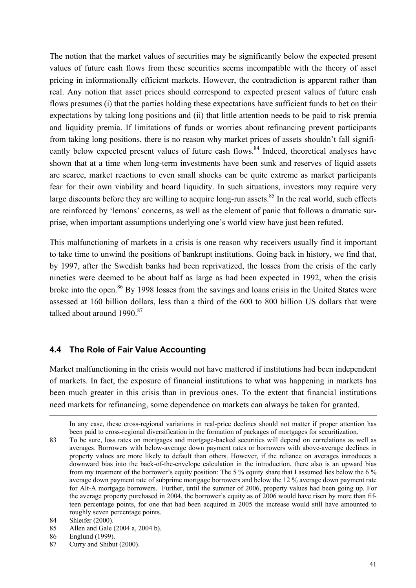The notion that the market values of securities may be significantly below the expected present values of future cash flows from these securities seems incompatible with the theory of asset pricing in informationally efficient markets. However, the contradiction is apparent rather than real. Any notion that asset prices should correspond to expected present values of future cash flows presumes (i) that the parties holding these expectations have sufficient funds to bet on their expectations by taking long positions and (ii) that little attention needs to be paid to risk premia and liquidity premia. If limitations of funds or worries about refinancing prevent participants from taking long positions, there is no reason why market prices of assets shouldn't fall significantly below expected present values of future cash flows.<sup>84</sup> Indeed, theoretical analyses have shown that at a time when long-term investments have been sunk and reserves of liquid assets are scarce, market reactions to even small shocks can be quite extreme as market participants fear for their own viability and hoard liquidity. In such situations, investors may require very large discounts before they are willing to acquire long-run assets. $85$  In the real world, such effects are reinforced by 'lemons' concerns, as well as the element of panic that follows a dramatic surprise, when important assumptions underlying one's world view have just been refuted.

This malfunctioning of markets in a crisis is one reason why receivers usually find it important to take time to unwind the positions of bankrupt institutions. Going back in history, we find that, by 1997, after the Swedish banks had been reprivatized, the losses from the crisis of the early nineties were deemed to be about half as large as had been expected in 1992, when the crisis broke into the open.<sup>86</sup> By 1998 losses from the savings and loans crisis in the United States were assessed at 160 billion dollars, less than a third of the 600 to 800 billion US dollars that were talked about around  $1990^{87}$ 

#### **4.4 The Role of Fair Value Accounting**

Market malfunctioning in the crisis would not have mattered if institutions had been independent of markets. In fact, the exposure of financial institutions to what was happening in markets has been much greater in this crisis than in previous ones. To the extent that financial institutions need markets for refinancing, some dependence on markets can always be taken for granted.

In any case, these cross-regional variations in real-price declines should not matter if proper attention has been paid to cross-regional diversification in the formation of packages of mortgages for securitization.

<sup>83</sup> To be sure, loss rates on mortgages and mortgage-backed securities will depend on correlations as well as averages. Borrowers with below-average down payment rates or borrowers with above-average declines in property values are more likely to default than others. However, if the reliance on averages introduces a downward bias into the back-of-the-envelope calculation in the introduction, there also is an upward bias from my treatment of the borrower's equity position: The 5 % equity share that I assumed lies below the 6 % average down payment rate of subprime mortgage borrowers and below the 12 % average down payment rate for Alt-A mortgage borrowers. Further, until the summer of 2006, property values had been going up. For the average property purchased in 2004, the borrower's equity as of 2006 would have risen by more than fifteen percentage points, for one that had been acquired in 2005 the increase would still have amounted to roughly seven percentage points.

<sup>84</sup> Shleifer (2000).

<sup>85</sup> Allen and Gale (2004 a, 2004 b).

<sup>86</sup> Englund (1999).

<sup>87</sup> Curry and Shibut (2000).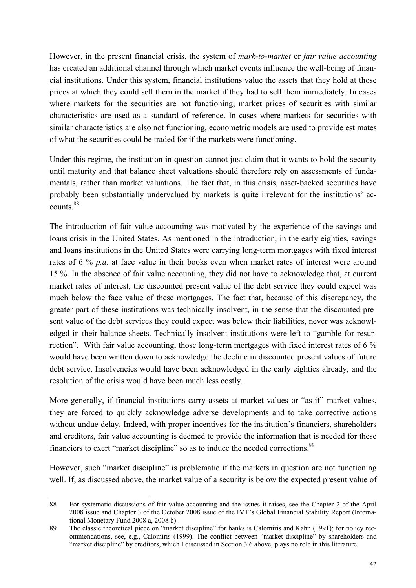However, in the present financial crisis, the system of *mark-to-market* or *fair value accounting* has created an additional channel through which market events influence the well-being of financial institutions. Under this system, financial institutions value the assets that they hold at those prices at which they could sell them in the market if they had to sell them immediately. In cases where markets for the securities are not functioning, market prices of securities with similar characteristics are used as a standard of reference. In cases where markets for securities with similar characteristics are also not functioning, econometric models are used to provide estimates of what the securities could be traded for if the markets were functioning.

Under this regime, the institution in question cannot just claim that it wants to hold the security until maturity and that balance sheet valuations should therefore rely on assessments of fundamentals, rather than market valuations. The fact that, in this crisis, asset-backed securities have probably been substantially undervalued by markets is quite irrelevant for the institutions' accounts.88

The introduction of fair value accounting was motivated by the experience of the savings and loans crisis in the United States. As mentioned in the introduction, in the early eighties, savings and loans institutions in the United States were carrying long-term mortgages with fixed interest rates of 6 % *p.a.* at face value in their books even when market rates of interest were around 15 %. In the absence of fair value accounting, they did not have to acknowledge that, at current market rates of interest, the discounted present value of the debt service they could expect was much below the face value of these mortgages. The fact that, because of this discrepancy, the greater part of these institutions was technically insolvent, in the sense that the discounted present value of the debt services they could expect was below their liabilities, never was acknowledged in their balance sheets. Technically insolvent institutions were left to "gamble for resurrection". With fair value accounting, those long-term mortgages with fixed interest rates of 6 % would have been written down to acknowledge the decline in discounted present values of future debt service. Insolvencies would have been acknowledged in the early eighties already, and the resolution of the crisis would have been much less costly.

More generally, if financial institutions carry assets at market values or "as-if" market values, they are forced to quickly acknowledge adverse developments and to take corrective actions without undue delay. Indeed, with proper incentives for the institution's financiers, shareholders and creditors, fair value accounting is deemed to provide the information that is needed for these financiers to exert "market discipline" so as to induce the needed corrections.<sup>89</sup>

However, such "market discipline" is problematic if the markets in question are not functioning well. If, as discussed above, the market value of a security is below the expected present value of

 $\overline{a}$ 88 For systematic discussions of fair value accounting and the issues it raises, see the Chapter 2 of the April 2008 issue and Chapter 3 of the October 2008 issue of the IMF's Global Financial Stability Report (International Monetary Fund 2008 a, 2008 b).

<sup>89</sup> The classic theoretical piece on "market discipline" for banks is Calomiris and Kahn (1991); for policy recommendations, see, e.g., Calomiris (1999). The conflict between "market discipline" by shareholders and "market discipline" by creditors, which I discussed in Section 3.6 above, plays no role in this literature.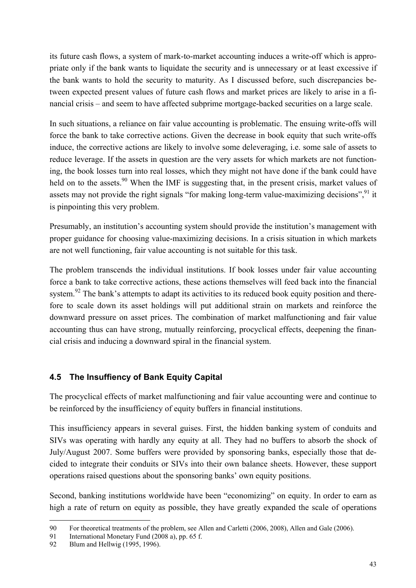its future cash flows, a system of mark-to-market accounting induces a write-off which is appropriate only if the bank wants to liquidate the security and is unnecessary or at least excessive if the bank wants to hold the security to maturity. As I discussed before, such discrepancies between expected present values of future cash flows and market prices are likely to arise in a financial crisis – and seem to have affected subprime mortgage-backed securities on a large scale.

In such situations, a reliance on fair value accounting is problematic. The ensuing write-offs will force the bank to take corrective actions. Given the decrease in book equity that such write-offs induce, the corrective actions are likely to involve some deleveraging, i.e. some sale of assets to reduce leverage. If the assets in question are the very assets for which markets are not functioning, the book losses turn into real losses, which they might not have done if the bank could have held on to the assets.<sup>90</sup> When the IMF is suggesting that, in the present crisis, market values of assets may not provide the right signals "for making long-term value-maximizing decisions",  $91$  it is pinpointing this very problem.

Presumably, an institution's accounting system should provide the institution's management with proper guidance for choosing value-maximizing decisions. In a crisis situation in which markets are not well functioning, fair value accounting is not suitable for this task.

The problem transcends the individual institutions. If book losses under fair value accounting force a bank to take corrective actions, these actions themselves will feed back into the financial system.<sup>92</sup> The bank's attempts to adapt its activities to its reduced book equity position and therefore to scale down its asset holdings will put additional strain on markets and reinforce the downward pressure on asset prices. The combination of market malfunctioning and fair value accounting thus can have strong, mutually reinforcing, procyclical effects, deepening the financial crisis and inducing a downward spiral in the financial system.

## **4.5 The Insuffiency of Bank Equity Capital**

The procyclical effects of market malfunctioning and fair value accounting were and continue to be reinforced by the insufficiency of equity buffers in financial institutions.

This insufficiency appears in several guises. First, the hidden banking system of conduits and SIVs was operating with hardly any equity at all. They had no buffers to absorb the shock of July/August 2007. Some buffers were provided by sponsoring banks, especially those that decided to integrate their conduits or SIVs into their own balance sheets. However, these support operations raised questions about the sponsoring banks' own equity positions.

Second, banking institutions worldwide have been "economizing" on equity. In order to earn as high a rate of return on equity as possible, they have greatly expanded the scale of operations

-

<sup>90</sup> For theoretical treatments of the problem, see Allen and Carletti (2006, 2008), Allen and Gale (2006).

<sup>91</sup> International Monetary Fund (2008 a), pp. 65 f.

<sup>92</sup> Blum and Hellwig (1995, 1996).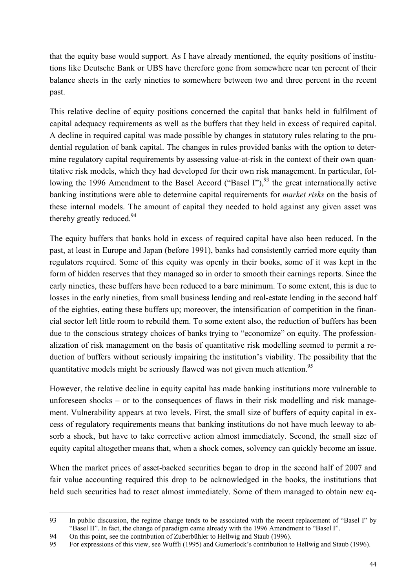that the equity base would support. As I have already mentioned, the equity positions of institutions like Deutsche Bank or UBS have therefore gone from somewhere near ten percent of their balance sheets in the early nineties to somewhere between two and three percent in the recent past.

This relative decline of equity positions concerned the capital that banks held in fulfilment of capital adequacy requirements as well as the buffers that they held in excess of required capital. A decline in required capital was made possible by changes in statutory rules relating to the prudential regulation of bank capital. The changes in rules provided banks with the option to determine regulatory capital requirements by assessing value-at-risk in the context of their own quantitative risk models, which they had developed for their own risk management. In particular, following the 1996 Amendment to the Basel Accord ("Basel I"),  $^{93}$  the great internationally active banking institutions were able to determine capital requirements for *market risks* on the basis of these internal models. The amount of capital they needed to hold against any given asset was thereby greatly reduced. $94$ 

The equity buffers that banks hold in excess of required capital have also been reduced. In the past, at least in Europe and Japan (before 1991), banks had consistently carried more equity than regulators required. Some of this equity was openly in their books, some of it was kept in the form of hidden reserves that they managed so in order to smooth their earnings reports. Since the early nineties, these buffers have been reduced to a bare minimum. To some extent, this is due to losses in the early nineties, from small business lending and real-estate lending in the second half of the eighties, eating these buffers up; moreover, the intensification of competition in the financial sector left little room to rebuild them. To some extent also, the reduction of buffers has been due to the conscious strategy choices of banks trying to "economize" on equity. The professionalization of risk management on the basis of quantitative risk modelling seemed to permit a reduction of buffers without seriously impairing the institution's viability. The possibility that the quantitative models might be seriously flawed was not given much attention.<sup>95</sup>

However, the relative decline in equity capital has made banking institutions more vulnerable to unforeseen shocks – or to the consequences of flaws in their risk modelling and risk management. Vulnerability appears at two levels. First, the small size of buffers of equity capital in excess of regulatory requirements means that banking institutions do not have much leeway to absorb a shock, but have to take corrective action almost immediately. Second, the small size of equity capital altogether means that, when a shock comes, solvency can quickly become an issue.

When the market prices of asset-backed securities began to drop in the second half of 2007 and fair value accounting required this drop to be acknowledged in the books, the institutions that held such securities had to react almost immediately. Some of them managed to obtain new eq-

<sup>93</sup> In public discussion, the regime change tends to be associated with the recent replacement of "Basel I" by "Basel II". In fact, the change of paradigm came already with the 1996 Amendment to "Basel I".

<sup>94</sup> On this point, see the contribution of Zuberbühler to Hellwig and Staub (1996).

<sup>95</sup> For expressions of this view, see Wuffli (1995) and Gumerlock's contribution to Hellwig and Staub (1996).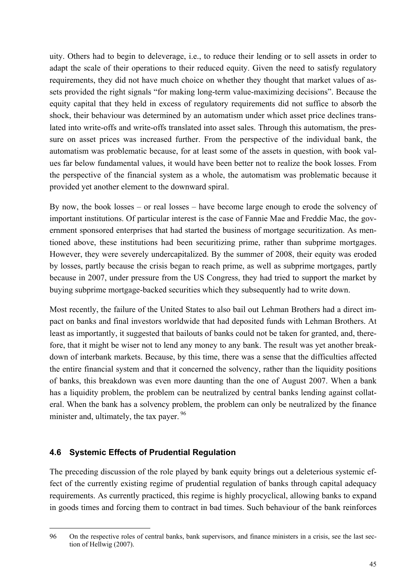uity. Others had to begin to deleverage, i.e., to reduce their lending or to sell assets in order to adapt the scale of their operations to their reduced equity. Given the need to satisfy regulatory requirements, they did not have much choice on whether they thought that market values of assets provided the right signals "for making long-term value-maximizing decisions". Because the equity capital that they held in excess of regulatory requirements did not suffice to absorb the shock, their behaviour was determined by an automatism under which asset price declines translated into write-offs and write-offs translated into asset sales. Through this automatism, the pressure on asset prices was increased further. From the perspective of the individual bank, the automatism was problematic because, for at least some of the assets in question, with book values far below fundamental values, it would have been better not to realize the book losses. From the perspective of the financial system as a whole, the automatism was problematic because it provided yet another element to the downward spiral.

By now, the book losses – or real losses – have become large enough to erode the solvency of important institutions. Of particular interest is the case of Fannie Mae and Freddie Mac, the government sponsored enterprises that had started the business of mortgage securitization. As mentioned above, these institutions had been securitizing prime, rather than subprime mortgages. However, they were severely undercapitalized. By the summer of 2008, their equity was eroded by losses, partly because the crisis began to reach prime, as well as subprime mortgages, partly because in 2007, under pressure from the US Congress, they had tried to support the market by buying subprime mortgage-backed securities which they subsequently had to write down.

Most recently, the failure of the United States to also bail out Lehman Brothers had a direct impact on banks and final investors worldwide that had deposited funds with Lehman Brothers. At least as importantly, it suggested that bailouts of banks could not be taken for granted, and, therefore, that it might be wiser not to lend any money to any bank. The result was yet another breakdown of interbank markets. Because, by this time, there was a sense that the difficulties affected the entire financial system and that it concerned the solvency, rather than the liquidity positions of banks, this breakdown was even more daunting than the one of August 2007. When a bank has a liquidity problem, the problem can be neutralized by central banks lending against collateral. When the bank has a solvency problem, the problem can only be neutralized by the finance minister and, ultimately, the tax payer. <sup>96</sup>

### **4.6 Systemic Effects of Prudential Regulation**

 $\overline{a}$ 

The preceding discussion of the role played by bank equity brings out a deleterious systemic effect of the currently existing regime of prudential regulation of banks through capital adequacy requirements. As currently practiced, this regime is highly procyclical, allowing banks to expand in goods times and forcing them to contract in bad times. Such behaviour of the bank reinforces

<sup>96</sup> On the respective roles of central banks, bank supervisors, and finance ministers in a crisis, see the last section of Hellwig (2007).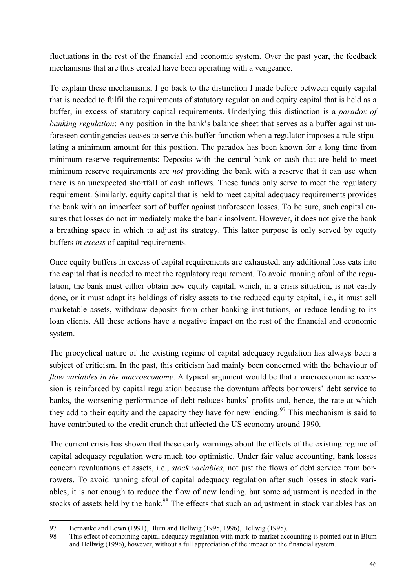fluctuations in the rest of the financial and economic system. Over the past year, the feedback mechanisms that are thus created have been operating with a vengeance.

To explain these mechanisms, I go back to the distinction I made before between equity capital that is needed to fulfil the requirements of statutory regulation and equity capital that is held as a buffer, in excess of statutory capital requirements. Underlying this distinction is a *paradox of banking regulation*: Any position in the bank's balance sheet that serves as a buffer against unforeseen contingencies ceases to serve this buffer function when a regulator imposes a rule stipulating a minimum amount for this position. The paradox has been known for a long time from minimum reserve requirements: Deposits with the central bank or cash that are held to meet minimum reserve requirements are *not* providing the bank with a reserve that it can use when there is an unexpected shortfall of cash inflows. These funds only serve to meet the regulatory requirement. Similarly, equity capital that is held to meet capital adequacy requirements provides the bank with an imperfect sort of buffer against unforeseen losses. To be sure, such capital ensures that losses do not immediately make the bank insolvent. However, it does not give the bank a breathing space in which to adjust its strategy. This latter purpose is only served by equity buffers *in excess* of capital requirements.

Once equity buffers in excess of capital requirements are exhausted, any additional loss eats into the capital that is needed to meet the regulatory requirement. To avoid running afoul of the regulation, the bank must either obtain new equity capital, which, in a crisis situation, is not easily done, or it must adapt its holdings of risky assets to the reduced equity capital, i.e., it must sell marketable assets, withdraw deposits from other banking institutions, or reduce lending to its loan clients. All these actions have a negative impact on the rest of the financial and economic system.

The procyclical nature of the existing regime of capital adequacy regulation has always been a subject of criticism. In the past, this criticism had mainly been concerned with the behaviour of *flow variables in the macroeconomy*. A typical argument would be that a macroeconomic recession is reinforced by capital regulation because the downturn affects borrowers' debt service to banks, the worsening performance of debt reduces banks' profits and, hence, the rate at which they add to their equity and the capacity they have for new lending.<sup>97</sup> This mechanism is said to have contributed to the credit crunch that affected the US economy around 1990.

The current crisis has shown that these early warnings about the effects of the existing regime of capital adequacy regulation were much too optimistic. Under fair value accounting, bank losses concern revaluations of assets, i.e., *stock variables*, not just the flows of debt service from borrowers. To avoid running afoul of capital adequacy regulation after such losses in stock variables, it is not enough to reduce the flow of new lending, but some adjustment is needed in the stocks of assets held by the bank.<sup>98</sup> The effects that such an adjustment in stock variables has on

-

<sup>97</sup> Bernanke and Lown (1991), Blum and Hellwig (1995, 1996), Hellwig (1995).

<sup>98</sup> This effect of combining capital adequacy regulation with mark-to-market accounting is pointed out in Blum and Hellwig (1996), however, without a full appreciation of the impact on the financial system.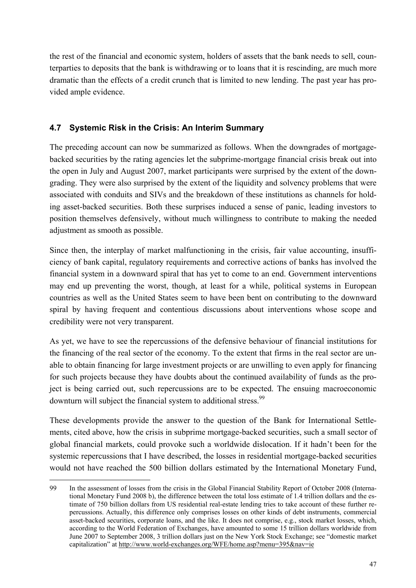the rest of the financial and economic system, holders of assets that the bank needs to sell, counterparties to deposits that the bank is withdrawing or to loans that it is rescinding, are much more dramatic than the effects of a credit crunch that is limited to new lending. The past year has provided ample evidence.

## **4.7 Systemic Risk in the Crisis: An Interim Summary**

The preceding account can now be summarized as follows. When the downgrades of mortgagebacked securities by the rating agencies let the subprime-mortgage financial crisis break out into the open in July and August 2007, market participants were surprised by the extent of the downgrading. They were also surprised by the extent of the liquidity and solvency problems that were associated with conduits and SIVs and the breakdown of these institutions as channels for holding asset-backed securities. Both these surprises induced a sense of panic, leading investors to position themselves defensively, without much willingness to contribute to making the needed adjustment as smooth as possible.

Since then, the interplay of market malfunctioning in the crisis, fair value accounting, insufficiency of bank capital, regulatory requirements and corrective actions of banks has involved the financial system in a downward spiral that has yet to come to an end. Government interventions may end up preventing the worst, though, at least for a while, political systems in European countries as well as the United States seem to have been bent on contributing to the downward spiral by having frequent and contentious discussions about interventions whose scope and credibility were not very transparent.

As yet, we have to see the repercussions of the defensive behaviour of financial institutions for the financing of the real sector of the economy. To the extent that firms in the real sector are unable to obtain financing for large investment projects or are unwilling to even apply for financing for such projects because they have doubts about the continued availability of funds as the project is being carried out, such repercussions are to be expected. The ensuing macroeconomic downturn will subject the financial system to additional stress.<sup>99</sup>

These developments provide the answer to the question of the Bank for International Settlements, cited above, how the crisis in subprime mortgage-backed securities, such a small sector of global financial markets, could provoke such a worldwide dislocation. If it hadn't been for the systemic repercussions that I have described, the losses in residential mortgage-backed securities would not have reached the 500 billion dollars estimated by the International Monetary Fund,

<sup>99</sup> In the assessment of losses from the crisis in the Global Financial Stability Report of October 2008 (International Monetary Fund 2008 b), the difference between the total loss estimate of 1.4 trillion dollars and the estimate of 750 billion dollars from US residential real-estate lending tries to take account of these further repercussions. Actually, this difference only comprises losses on other kinds of debt instruments, commercial asset-backed securities, corporate loans, and the like. It does not comprise, e.g., stock market losses, which, according to the World Federation of Exchanges, have amounted to some 15 trillion dollars worldwide from June 2007 to September 2008, 3 trillion dollars just on the New York Stock Exchange; see "domestic market capitalization" at http://www.world-exchanges.org/WFE/home.asp?menu=395&nav=ie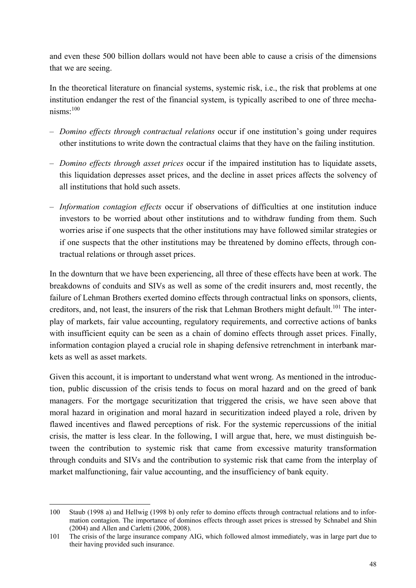and even these 500 billion dollars would not have been able to cause a crisis of the dimensions that we are seeing.

In the theoretical literature on financial systems, systemic risk, i.e., the risk that problems at one institution endanger the rest of the financial system, is typically ascribed to one of three mechanisms: $100$ 

- *Domino effects through contractual relations* occur if one institution's going under requires other institutions to write down the contractual claims that they have on the failing institution.
- *Domino effects through asset prices* occur if the impaired institution has to liquidate assets, this liquidation depresses asset prices, and the decline in asset prices affects the solvency of all institutions that hold such assets.
- *Information contagion effects* occur if observations of difficulties at one institution induce investors to be worried about other institutions and to withdraw funding from them. Such worries arise if one suspects that the other institutions may have followed similar strategies or if one suspects that the other institutions may be threatened by domino effects, through contractual relations or through asset prices.

In the downturn that we have been experiencing, all three of these effects have been at work. The breakdowns of conduits and SIVs as well as some of the credit insurers and, most recently, the failure of Lehman Brothers exerted domino effects through contractual links on sponsors, clients, creditors, and, not least, the insurers of the risk that Lehman Brothers might default.<sup>101</sup> The interplay of markets, fair value accounting, regulatory requirements, and corrective actions of banks with insufficient equity can be seen as a chain of domino effects through asset prices. Finally, information contagion played a crucial role in shaping defensive retrenchment in interbank markets as well as asset markets.

Given this account, it is important to understand what went wrong. As mentioned in the introduction, public discussion of the crisis tends to focus on moral hazard and on the greed of bank managers. For the mortgage securitization that triggered the crisis, we have seen above that moral hazard in origination and moral hazard in securitization indeed played a role, driven by flawed incentives and flawed perceptions of risk. For the systemic repercussions of the initial crisis, the matter is less clear. In the following, I will argue that, here, we must distinguish between the contribution to systemic risk that came from excessive maturity transformation through conduits and SIVs and the contribution to systemic risk that came from the interplay of market malfunctioning, fair value accounting, and the insufficiency of bank equity.

 $\overline{a}$ 

<sup>100</sup> Staub (1998 a) and Hellwig (1998 b) only refer to domino effects through contractual relations and to information contagion. The importance of dominos effects through asset prices is stressed by Schnabel and Shin (2004) and Allen and Carletti (2006, 2008).

<sup>101</sup> The crisis of the large insurance company AIG, which followed almost immediately, was in large part due to their having provided such insurance.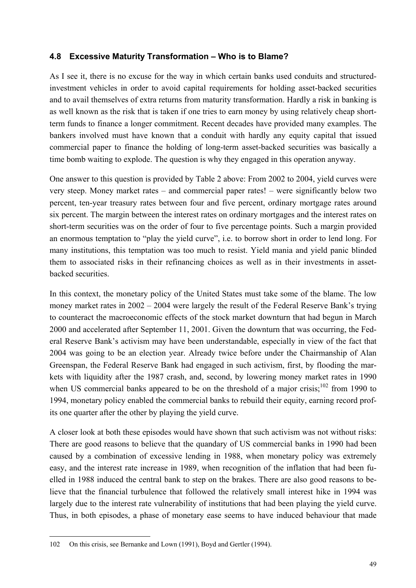### **4.8 Excessive Maturity Transformation – Who is to Blame?**

As I see it, there is no excuse for the way in which certain banks used conduits and structuredinvestment vehicles in order to avoid capital requirements for holding asset-backed securities and to avail themselves of extra returns from maturity transformation. Hardly a risk in banking is as well known as the risk that is taken if one tries to earn money by using relatively cheap shortterm funds to finance a longer commitment. Recent decades have provided many examples. The bankers involved must have known that a conduit with hardly any equity capital that issued commercial paper to finance the holding of long-term asset-backed securities was basically a time bomb waiting to explode. The question is why they engaged in this operation anyway.

One answer to this question is provided by Table 2 above: From 2002 to 2004, yield curves were very steep. Money market rates – and commercial paper rates! – were significantly below two percent, ten-year treasury rates between four and five percent, ordinary mortgage rates around six percent. The margin between the interest rates on ordinary mortgages and the interest rates on short-term securities was on the order of four to five percentage points. Such a margin provided an enormous temptation to "play the yield curve", i.e. to borrow short in order to lend long. For many institutions, this temptation was too much to resist. Yield mania and yield panic blinded them to associated risks in their refinancing choices as well as in their investments in assetbacked securities.

In this context, the monetary policy of the United States must take some of the blame. The low money market rates in 2002 – 2004 were largely the result of the Federal Reserve Bank's trying to counteract the macroeconomic effects of the stock market downturn that had begun in March 2000 and accelerated after September 11, 2001. Given the downturn that was occurring, the Federal Reserve Bank's activism may have been understandable, especially in view of the fact that 2004 was going to be an election year. Already twice before under the Chairmanship of Alan Greenspan, the Federal Reserve Bank had engaged in such activism, first, by flooding the markets with liquidity after the 1987 crash, and, second, by lowering money market rates in 1990 when US commercial banks appeared to be on the threshold of a major crisis;<sup>102</sup> from 1990 to 1994, monetary policy enabled the commercial banks to rebuild their equity, earning record profits one quarter after the other by playing the yield curve.

A closer look at both these episodes would have shown that such activism was not without risks: There are good reasons to believe that the quandary of US commercial banks in 1990 had been caused by a combination of excessive lending in 1988, when monetary policy was extremely easy, and the interest rate increase in 1989, when recognition of the inflation that had been fuelled in 1988 induced the central bank to step on the brakes. There are also good reasons to believe that the financial turbulence that followed the relatively small interest hike in 1994 was largely due to the interest rate vulnerability of institutions that had been playing the yield curve. Thus, in both episodes, a phase of monetary ease seems to have induced behaviour that made

<sup>102</sup> On this crisis, see Bernanke and Lown (1991), Boyd and Gertler (1994).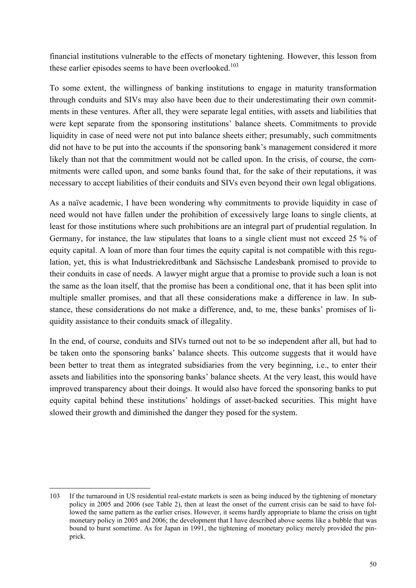financial institutions vulnerable to the effects of monetary tightening. However, this lesson from these earlier episodes seems to have been overlooked.<sup>103</sup>

To some extent, the willingness of banking institutions to engage in maturity transformation through conduits and SIVs may also have been due to their underestimating their own commitments in these ventures. After all, they were separate legal entities, with assets and liabilities that were kept separate from the sponsoring institutions' balance sheets. Commitments to provide liquidity in case of need were not put into balance sheets either; presumably, such commitments did not have to be put into the accounts if the sponsoring bank's management considered it more likely than not that the commitment would not be called upon. In the crisis, of course, the commitments were called upon, and some banks found that, for the sake of their reputations, it was necessary to accept liabilities of their conduits and SIVs even beyond their own legal obligations.

As a naïve academic, I have been wondering why commitments to provide liquidity in case of need would not have fallen under the prohibition of excessively large loans to single clients, at least for those institutions where such prohibitions are an integral part of prudential regulation. In Germany, for instance, the law stipulates that loans to a single client must not exceed 25 % of equity capital. A loan of more than four times the equity capital is not compatible with this regulation, yet, this is what Industriekreditbank and Sächsische Landesbank promised to provide to their conduits in case of needs. A lawyer might argue that a promise to provide such a loan is not the same as the loan itself, that the promise has been a conditional one, that it has been split into multiple smaller promises, and that all these considerations make a difference in law. In substance, these considerations do not make a difference, and, to me, these banks' promises of liquidity assistance to their conduits smack of illegality.

In the end, of course, conduits and SIVs turned out not to be so independent after all, but had to be taken onto the sponsoring banks' balance sheets. This outcome suggests that it would have been better to treat them as integrated subsidiaries from the very beginning, i.e., to enter their assets and liabilities into the sponsoring banks' balance sheets. At the very least, this would have improved transparency about their doings. It would also have forced the sponsoring banks to put equity capital behind these institutions' holdings of asset-backed securities. This might have slowed their growth and diminished the danger they posed for the system.

<sup>103</sup> If the turnaround in US residential real-estate markets is seen as being induced by the tightening of monetary policy in 2005 and 2006 (see Table 2), then at least the onset of the current crisis can be said to have followed the same pattern as the earlier crises. However, it seems hardly appropriate to blame the crisis on tight monetary policy in 2005 and 2006; the development that I have described above seems like a bubble that was bound to burst sometime. As for Japan in 1991, the tightening of monetary policy merely provided the pinprick.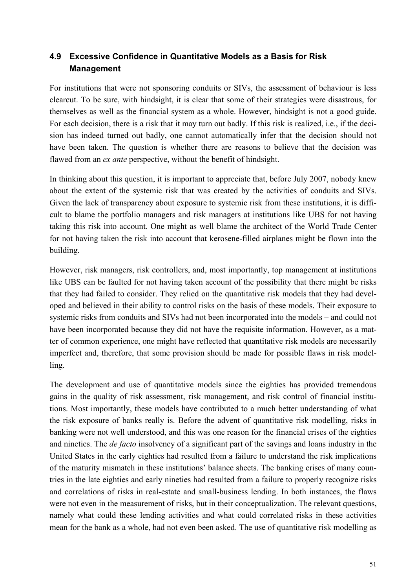## **4.9 Excessive Confidence in Quantitative Models as a Basis for Risk Management**

For institutions that were not sponsoring conduits or SIVs, the assessment of behaviour is less clearcut. To be sure, with hindsight, it is clear that some of their strategies were disastrous, for themselves as well as the financial system as a whole. However, hindsight is not a good guide. For each decision, there is a risk that it may turn out badly. If this risk is realized, i.e., if the decision has indeed turned out badly, one cannot automatically infer that the decision should not have been taken. The question is whether there are reasons to believe that the decision was flawed from an *ex ante* perspective, without the benefit of hindsight.

In thinking about this question, it is important to appreciate that, before July 2007, nobody knew about the extent of the systemic risk that was created by the activities of conduits and SIVs. Given the lack of transparency about exposure to systemic risk from these institutions, it is difficult to blame the portfolio managers and risk managers at institutions like UBS for not having taking this risk into account. One might as well blame the architect of the World Trade Center for not having taken the risk into account that kerosene-filled airplanes might be flown into the building.

However, risk managers, risk controllers, and, most importantly, top management at institutions like UBS can be faulted for not having taken account of the possibility that there might be risks that they had failed to consider. They relied on the quantitative risk models that they had developed and believed in their ability to control risks on the basis of these models. Their exposure to systemic risks from conduits and SIVs had not been incorporated into the models – and could not have been incorporated because they did not have the requisite information. However, as a matter of common experience, one might have reflected that quantitative risk models are necessarily imperfect and, therefore, that some provision should be made for possible flaws in risk modelling.

The development and use of quantitative models since the eighties has provided tremendous gains in the quality of risk assessment, risk management, and risk control of financial institutions. Most importantly, these models have contributed to a much better understanding of what the risk exposure of banks really is. Before the advent of quantitative risk modelling, risks in banking were not well understood, and this was one reason for the financial crises of the eighties and nineties. The *de facto* insolvency of a significant part of the savings and loans industry in the United States in the early eighties had resulted from a failure to understand the risk implications of the maturity mismatch in these institutions' balance sheets. The banking crises of many countries in the late eighties and early nineties had resulted from a failure to properly recognize risks and correlations of risks in real-estate and small-business lending. In both instances, the flaws were not even in the measurement of risks, but in their conceptualization. The relevant questions, namely what could these lending activities and what could correlated risks in these activities mean for the bank as a whole, had not even been asked. The use of quantitative risk modelling as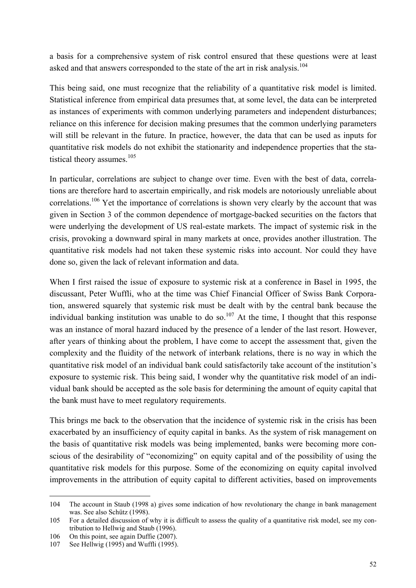a basis for a comprehensive system of risk control ensured that these questions were at least asked and that answers corresponded to the state of the art in risk analysis.<sup>104</sup>

This being said, one must recognize that the reliability of a quantitative risk model is limited. Statistical inference from empirical data presumes that, at some level, the data can be interpreted as instances of experiments with common underlying parameters and independent disturbances; reliance on this inference for decision making presumes that the common underlying parameters will still be relevant in the future. In practice, however, the data that can be used as inputs for quantitative risk models do not exhibit the stationarity and independence properties that the statistical theory assumes. $105$ 

In particular, correlations are subject to change over time. Even with the best of data, correlations are therefore hard to ascertain empirically, and risk models are notoriously unreliable about correlations.<sup>106</sup> Yet the importance of correlations is shown very clearly by the account that was given in Section 3 of the common dependence of mortgage-backed securities on the factors that were underlying the development of US real-estate markets. The impact of systemic risk in the crisis, provoking a downward spiral in many markets at once, provides another illustration. The quantitative risk models had not taken these systemic risks into account. Nor could they have done so, given the lack of relevant information and data.

When I first raised the issue of exposure to systemic risk at a conference in Basel in 1995, the discussant, Peter Wuffli, who at the time was Chief Financial Officer of Swiss Bank Corporation, answered squarely that systemic risk must be dealt with by the central bank because the individual banking institution was unable to do so.<sup>107</sup> At the time, I thought that this response was an instance of moral hazard induced by the presence of a lender of the last resort. However, after years of thinking about the problem, I have come to accept the assessment that, given the complexity and the fluidity of the network of interbank relations, there is no way in which the quantitative risk model of an individual bank could satisfactorily take account of the institution's exposure to systemic risk. This being said, I wonder why the quantitative risk model of an individual bank should be accepted as the sole basis for determining the amount of equity capital that the bank must have to meet regulatory requirements.

This brings me back to the observation that the incidence of systemic risk in the crisis has been exacerbated by an insufficiency of equity capital in banks. As the system of risk management on the basis of quantitative risk models was being implemented, banks were becoming more conscious of the desirability of "economizing" on equity capital and of the possibility of using the quantitative risk models for this purpose. Some of the economizing on equity capital involved improvements in the attribution of equity capital to different activities, based on improvements

 $\overline{a}$ 

<sup>104</sup> The account in Staub (1998 a) gives some indication of how revolutionary the change in bank management was. See also Schütz (1998).

<sup>105</sup> For a detailed discussion of why it is difficult to assess the quality of a quantitative risk model, see my contribution to Hellwig and Staub (1996).

<sup>106</sup> On this point, see again Duffie (2007).

<sup>107</sup> See Hellwig (1995) and Wuffli (1995).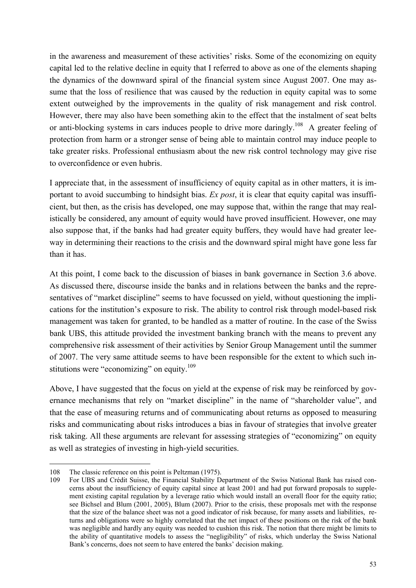in the awareness and measurement of these activities' risks. Some of the economizing on equity capital led to the relative decline in equity that I referred to above as one of the elements shaping the dynamics of the downward spiral of the financial system since August 2007. One may assume that the loss of resilience that was caused by the reduction in equity capital was to some extent outweighed by the improvements in the quality of risk management and risk control. However, there may also have been something akin to the effect that the instalment of seat belts or anti-blocking systems in cars induces people to drive more daringly.<sup>108</sup> A greater feeling of protection from harm or a stronger sense of being able to maintain control may induce people to take greater risks. Professional enthusiasm about the new risk control technology may give rise to overconfidence or even hubris.

I appreciate that, in the assessment of insufficiency of equity capital as in other matters, it is important to avoid succumbing to hindsight bias. *Ex post*, it is clear that equity capital was insufficient, but then, as the crisis has developed, one may suppose that, within the range that may realistically be considered, any amount of equity would have proved insufficient. However, one may also suppose that, if the banks had had greater equity buffers, they would have had greater leeway in determining their reactions to the crisis and the downward spiral might have gone less far than it has.

At this point, I come back to the discussion of biases in bank governance in Section 3.6 above. As discussed there, discourse inside the banks and in relations between the banks and the representatives of "market discipline" seems to have focussed on yield, without questioning the implications for the institution's exposure to risk. The ability to control risk through model-based risk management was taken for granted, to be handled as a matter of routine. In the case of the Swiss bank UBS, this attitude provided the investment banking branch with the means to prevent any comprehensive risk assessment of their activities by Senior Group Management until the summer of 2007. The very same attitude seems to have been responsible for the extent to which such institutions were "economizing" on equity.<sup>109</sup>

Above, I have suggested that the focus on yield at the expense of risk may be reinforced by governance mechanisms that rely on "market discipline" in the name of "shareholder value", and that the ease of measuring returns and of communicating about returns as opposed to measuring risks and communicating about risks introduces a bias in favour of strategies that involve greater risk taking. All these arguments are relevant for assessing strategies of "economizing" on equity as well as strategies of investing in high-yield securities.

j 108 The classic reference on this point is Peltzman (1975).

<sup>109</sup> For UBS and Crédit Suisse, the Financial Stability Department of the Swiss National Bank has raised concerns about the insufficiency of equity capital since at least 2001 and had put forward proposals to supplement existing capital regulation by a leverage ratio which would install an overall floor for the equity ratio; see Bichsel and Blum (2001, 2005), Blum (2007). Prior to the crisis, these proposals met with the response that the size of the balance sheet was not a good indicator of risk because, for many assets and liabilities, returns and obligations were so highly correlated that the net impact of these positions on the risk of the bank was negligible and hardly any equity was needed to cushion this risk. The notion that there might be limits to the ability of quantitative models to assess the "negligibility" of risks, which underlay the Swiss National Bank's concerns, does not seem to have entered the banks' decision making.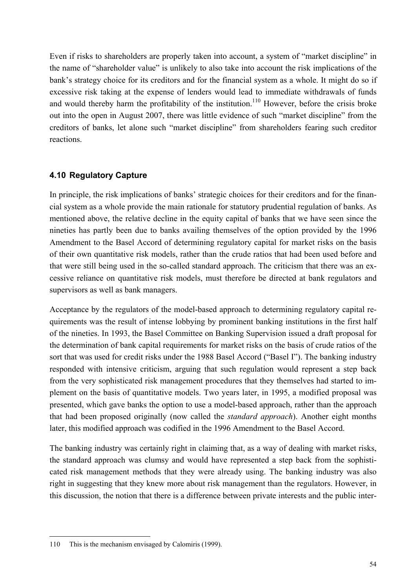Even if risks to shareholders are properly taken into account, a system of "market discipline" in the name of "shareholder value" is unlikely to also take into account the risk implications of the bank's strategy choice for its creditors and for the financial system as a whole. It might do so if excessive risk taking at the expense of lenders would lead to immediate withdrawals of funds and would thereby harm the profitability of the institution.<sup>110</sup> However, before the crisis broke out into the open in August 2007, there was little evidence of such "market discipline" from the creditors of banks, let alone such "market discipline" from shareholders fearing such creditor reactions.

#### **4.10 Regulatory Capture**

In principle, the risk implications of banks' strategic choices for their creditors and for the financial system as a whole provide the main rationale for statutory prudential regulation of banks. As mentioned above, the relative decline in the equity capital of banks that we have seen since the nineties has partly been due to banks availing themselves of the option provided by the 1996 Amendment to the Basel Accord of determining regulatory capital for market risks on the basis of their own quantitative risk models, rather than the crude ratios that had been used before and that were still being used in the so-called standard approach. The criticism that there was an excessive reliance on quantitative risk models, must therefore be directed at bank regulators and supervisors as well as bank managers.

Acceptance by the regulators of the model-based approach to determining regulatory capital requirements was the result of intense lobbying by prominent banking institutions in the first half of the nineties. In 1993, the Basel Committee on Banking Supervision issued a draft proposal for the determination of bank capital requirements for market risks on the basis of crude ratios of the sort that was used for credit risks under the 1988 Basel Accord ("Basel I"). The banking industry responded with intensive criticism, arguing that such regulation would represent a step back from the very sophisticated risk management procedures that they themselves had started to implement on the basis of quantitative models. Two years later, in 1995, a modified proposal was presented, which gave banks the option to use a model-based approach, rather than the approach that had been proposed originally (now called the *standard approach*). Another eight months later, this modified approach was codified in the 1996 Amendment to the Basel Accord.

The banking industry was certainly right in claiming that, as a way of dealing with market risks, the standard approach was clumsy and would have represented a step back from the sophisticated risk management methods that they were already using. The banking industry was also right in suggesting that they knew more about risk management than the regulators. However, in this discussion, the notion that there is a difference between private interests and the public inter-

<sup>110</sup> This is the mechanism envisaged by Calomiris (1999).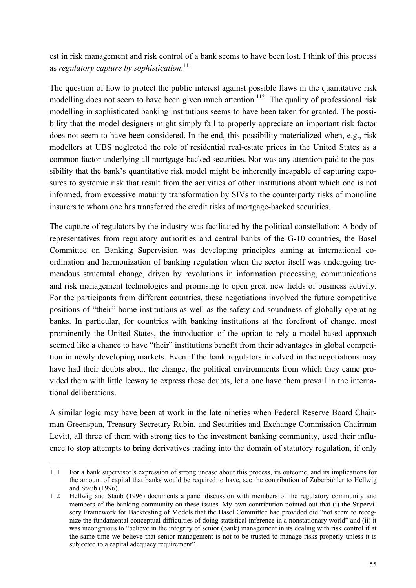est in risk management and risk control of a bank seems to have been lost. I think of this process as *regulatory capture by sophistication*. 111

The question of how to protect the public interest against possible flaws in the quantitative risk modelling does not seem to have been given much attention.<sup>112</sup> The quality of professional risk modelling in sophisticated banking institutions seems to have been taken for granted. The possibility that the model designers might simply fail to properly appreciate an important risk factor does not seem to have been considered. In the end, this possibility materialized when, e.g., risk modellers at UBS neglected the role of residential real-estate prices in the United States as a common factor underlying all mortgage-backed securities. Nor was any attention paid to the possibility that the bank's quantitative risk model might be inherently incapable of capturing exposures to systemic risk that result from the activities of other institutions about which one is not informed, from excessive maturity transformation by SIVs to the counterparty risks of monoline insurers to whom one has transferred the credit risks of mortgage-backed securities.

The capture of regulators by the industry was facilitated by the political constellation: A body of representatives from regulatory authorities and central banks of the G-10 countries, the Basel Committee on Banking Supervision was developing principles aiming at international coordination and harmonization of banking regulation when the sector itself was undergoing tremendous structural change, driven by revolutions in information processing, communications and risk management technologies and promising to open great new fields of business activity. For the participants from different countries, these negotiations involved the future competitive positions of "their" home institutions as well as the safety and soundness of globally operating banks. In particular, for countries with banking institutions at the forefront of change, most prominently the United States, the introduction of the option to rely a model-based approach seemed like a chance to have "their" institutions benefit from their advantages in global competition in newly developing markets. Even if the bank regulators involved in the negotiations may have had their doubts about the change, the political environments from which they came provided them with little leeway to express these doubts, let alone have them prevail in the international deliberations.

A similar logic may have been at work in the late nineties when Federal Reserve Board Chairman Greenspan, Treasury Secretary Rubin, and Securities and Exchange Commission Chairman Levitt, all three of them with strong ties to the investment banking community, used their influence to stop attempts to bring derivatives trading into the domain of statutory regulation, if only

j 111 For a bank supervisor's expression of strong unease about this process, its outcome, and its implications for the amount of capital that banks would be required to have, see the contribution of Zuberbühler to Hellwig and Staub (1996).

<sup>112</sup> Hellwig and Staub (1996) documents a panel discussion with members of the regulatory community and members of the banking community on these issues. My own contribution pointed out that (i) the Supervisory Framework for Backtesting of Models that the Basel Committee had provided did "not seem to recognize the fundamental conceptual difficulties of doing statistical inference in a nonstationary world" and (ii) it was incongruous to "believe in the integrity of senior (bank) management in its dealing with risk control if at the same time we believe that senior management is not to be trusted to manage risks properly unless it is subjected to a capital adequacy requirement".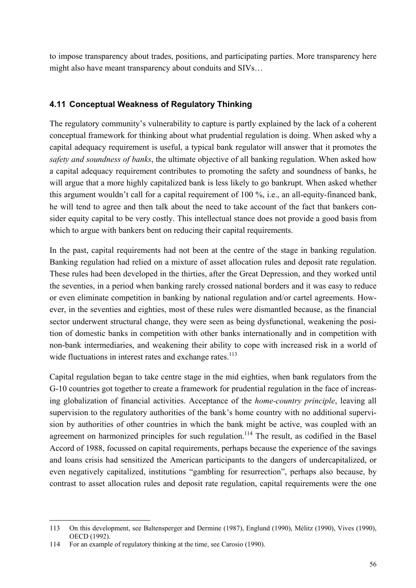to impose transparency about trades, positions, and participating parties. More transparency here might also have meant transparency about conduits and SIVs…

## **4.11 Conceptual Weakness of Regulatory Thinking**

The regulatory community's vulnerability to capture is partly explained by the lack of a coherent conceptual framework for thinking about what prudential regulation is doing. When asked why a capital adequacy requirement is useful, a typical bank regulator will answer that it promotes the *safety and soundness of banks*, the ultimate objective of all banking regulation. When asked how a capital adequacy requirement contributes to promoting the safety and soundness of banks, he will argue that a more highly capitalized bank is less likely to go bankrupt. When asked whether this argument wouldn't call for a capital requirement of 100 %, i.e., an all-equity-financed bank, he will tend to agree and then talk about the need to take account of the fact that bankers consider equity capital to be very costly. This intellectual stance does not provide a good basis from which to argue with bankers bent on reducing their capital requirements.

In the past, capital requirements had not been at the centre of the stage in banking regulation. Banking regulation had relied on a mixture of asset allocation rules and deposit rate regulation. These rules had been developed in the thirties, after the Great Depression, and they worked until the seventies, in a period when banking rarely crossed national borders and it was easy to reduce or even eliminate competition in banking by national regulation and/or cartel agreements. However, in the seventies and eighties, most of these rules were dismantled because, as the financial sector underwent structural change, they were seen as being dysfunctional, weakening the position of domestic banks in competition with other banks internationally and in competition with non-bank intermediaries, and weakening their ability to cope with increased risk in a world of wide fluctuations in interest rates and exchange rates.<sup>113</sup>

Capital regulation began to take centre stage in the mid eighties, when bank regulators from the G-10 countries got together to create a framework for prudential regulation in the face of increasing globalization of financial activities. Acceptance of the *home-country principle*, leaving all supervision to the regulatory authorities of the bank's home country with no additional supervision by authorities of other countries in which the bank might be active, was coupled with an agreement on harmonized principles for such regulation.<sup>114</sup> The result, as codified in the Basel Accord of 1988, focussed on capital requirements, perhaps because the experience of the savings and loans crisis had sensitized the American participants to the dangers of undercapitalized, or even negatively capitalized, institutions "gambling for resurrection", perhaps also because, by contrast to asset allocation rules and deposit rate regulation, capital requirements were the one

-

<sup>113</sup> On this development, see Baltensperger and Dermine (1987), Englund (1990), Mélitz (1990), Vives (1990), OECD (1992).

<sup>114</sup> For an example of regulatory thinking at the time, see Carosio (1990).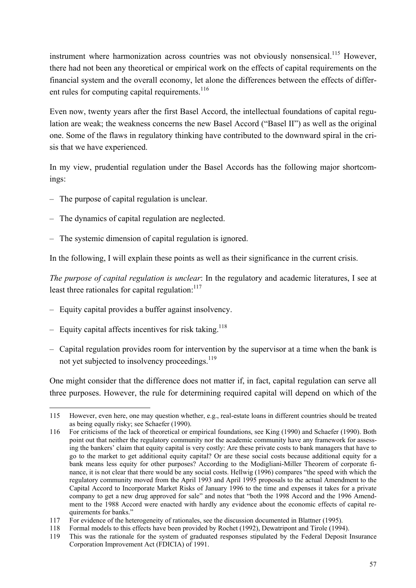instrument where harmonization across countries was not obviously nonsensical.<sup>115</sup> However, there had not been any theoretical or empirical work on the effects of capital requirements on the financial system and the overall economy, let alone the differences between the effects of different rules for computing capital requirements.<sup>116</sup>

Even now, twenty years after the first Basel Accord, the intellectual foundations of capital regulation are weak; the weakness concerns the new Basel Accord ("Basel II") as well as the original one. Some of the flaws in regulatory thinking have contributed to the downward spiral in the crisis that we have experienced.

In my view, prudential regulation under the Basel Accords has the following major shortcomings:

- The purpose of capital regulation is unclear.
- The dynamics of capital regulation are neglected.
- The systemic dimension of capital regulation is ignored.

In the following, I will explain these points as well as their significance in the current crisis.

*The purpose of capital regulation is unclear*: In the regulatory and academic literatures, I see at least three rationales for capital regulation: $117$ 

- Equity capital provides a buffer against insolvency.
- Equity capital affects incentives for risk taking.<sup>118</sup>

j

– Capital regulation provides room for intervention by the supervisor at a time when the bank is not yet subjected to insolvency proceedings.<sup>119</sup>

One might consider that the difference does not matter if, in fact, capital regulation can serve all three purposes. However, the rule for determining required capital will depend on which of the

<sup>115</sup> However, even here, one may question whether, e.g., real-estate loans in different countries should be treated as being equally risky; see Schaefer (1990).

<sup>116</sup> For criticisms of the lack of theoretical or empirical foundations, see King (1990) and Schaefer (1990). Both point out that neither the regulatory community nor the academic community have any framework for assessing the bankers' claim that equity capital is very costly: Are these private costs to bank managers that have to go to the market to get additional equity capital? Or are these social costs because additional equity for a bank means less equity for other purposes? According to the Modigliani-Miller Theorem of corporate finance, it is not clear that there would be any social costs. Hellwig (1996) compares "the speed with which the regulatory community moved from the April 1993 and April 1995 proposals to the actual Amendment to the Capital Accord to Incorporate Market Risks of January 1996 to the time and expenses it takes for a private company to get a new drug approved for sale" and notes that "both the 1998 Accord and the 1996 Amendment to the 1988 Accord were enacted with hardly any evidence about the economic effects of capital requirements for banks."

<sup>117</sup> For evidence of the heterogeneity of rationales, see the discussion documented in Blattner (1995).

<sup>118</sup> Formal models to this effects have been provided by Rochet (1992), Dewatripont and Tirole (1994).

<sup>119</sup> This was the rationale for the system of graduated responses stipulated by the Federal Deposit Insurance Corporation Improvement Act (FDICIA) of 1991.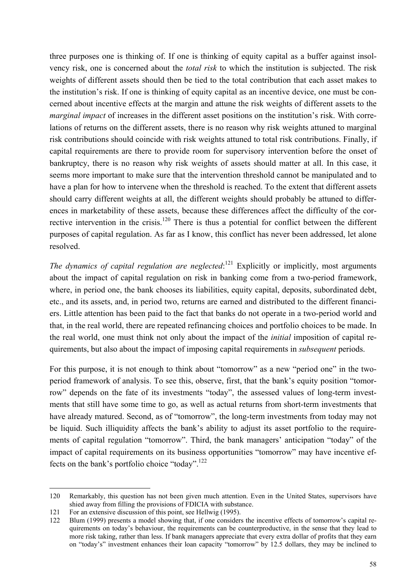three purposes one is thinking of. If one is thinking of equity capital as a buffer against insolvency risk, one is concerned about the *total risk* to which the institution is subjected. The risk weights of different assets should then be tied to the total contribution that each asset makes to the institution's risk. If one is thinking of equity capital as an incentive device, one must be concerned about incentive effects at the margin and attune the risk weights of different assets to the *marginal impact* of increases in the different asset positions on the institution's risk. With correlations of returns on the different assets, there is no reason why risk weights attuned to marginal risk contributions should coincide with risk weights attuned to total risk contributions. Finally, if capital requirements are there to provide room for supervisory intervention before the onset of bankruptcy, there is no reason why risk weights of assets should matter at all. In this case, it seems more important to make sure that the intervention threshold cannot be manipulated and to have a plan for how to intervene when the threshold is reached. To the extent that different assets should carry different weights at all, the different weights should probably be attuned to differences in marketability of these assets, because these differences affect the difficulty of the corrective intervention in the crisis.<sup>120</sup> There is thus a potential for conflict between the different purposes of capital regulation. As far as I know, this conflict has never been addressed, let alone resolved.

*The dynamics of capital regulation are neglected*: 121 Explicitly or implicitly, most arguments about the impact of capital regulation on risk in banking come from a two-period framework, where, in period one, the bank chooses its liabilities, equity capital, deposits, subordinated debt, etc., and its assets, and, in period two, returns are earned and distributed to the different financiers. Little attention has been paid to the fact that banks do not operate in a two-period world and that, in the real world, there are repeated refinancing choices and portfolio choices to be made. In the real world, one must think not only about the impact of the *initial* imposition of capital requirements, but also about the impact of imposing capital requirements in *subsequent* periods.

For this purpose, it is not enough to think about "tomorrow" as a new "period one" in the twoperiod framework of analysis. To see this, observe, first, that the bank's equity position "tomorrow" depends on the fate of its investments "today", the assessed values of long-term investments that still have some time to go, as well as actual returns from short-term investments that have already matured. Second, as of "tomorrow", the long-term investments from today may not be liquid. Such illiquidity affects the bank's ability to adjust its asset portfolio to the requirements of capital regulation "tomorrow". Third, the bank managers' anticipation "today" of the impact of capital requirements on its business opportunities "tomorrow" may have incentive effects on the bank's portfolio choice "today".<sup>122</sup>

<sup>120</sup> Remarkably, this question has not been given much attention. Even in the United States, supervisors have shied away from filling the provisions of FDICIA with substance.

<sup>121</sup> For an extensive discussion of this point, see Hellwig (1995).

<sup>122</sup> Blum (1999) presents a model showing that, if one considers the incentive effects of tomorrow's capital requirements on today's behaviour, the requirements can be counterproductive, in the sense that they lead to more risk taking, rather than less. If bank managers appreciate that every extra dollar of profits that they earn on "today's" investment enhances their loan capacity "tomorrow" by 12.5 dollars, they may be inclined to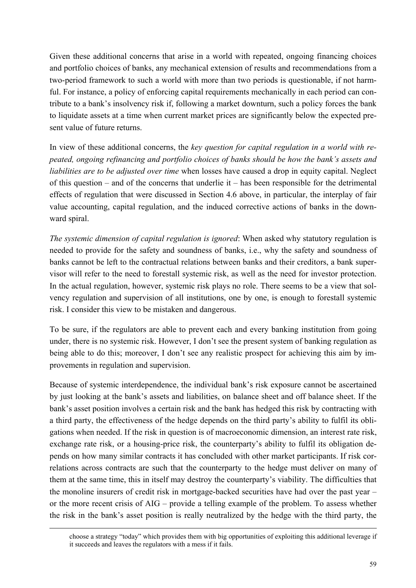Given these additional concerns that arise in a world with repeated, ongoing financing choices and portfolio choices of banks, any mechanical extension of results and recommendations from a two-period framework to such a world with more than two periods is questionable, if not harmful. For instance, a policy of enforcing capital requirements mechanically in each period can contribute to a bank's insolvency risk if, following a market downturn, such a policy forces the bank to liquidate assets at a time when current market prices are significantly below the expected present value of future returns.

In view of these additional concerns, the *key question for capital regulation in a world with repeated, ongoing refinancing and portfolio choices of banks should be how the bank's assets and liabilities are to be adjusted over time* when losses have caused a drop in equity capital. Neglect of this question – and of the concerns that underlie it – has been responsible for the detrimental effects of regulation that were discussed in Section 4.6 above, in particular, the interplay of fair value accounting, capital regulation, and the induced corrective actions of banks in the downward spiral.

*The systemic dimension of capital regulation is ignored*: When asked why statutory regulation is needed to provide for the safety and soundness of banks, i.e., why the safety and soundness of banks cannot be left to the contractual relations between banks and their creditors, a bank supervisor will refer to the need to forestall systemic risk, as well as the need for investor protection. In the actual regulation, however, systemic risk plays no role. There seems to be a view that solvency regulation and supervision of all institutions, one by one, is enough to forestall systemic risk. I consider this view to be mistaken and dangerous.

To be sure, if the regulators are able to prevent each and every banking institution from going under, there is no systemic risk. However, I don't see the present system of banking regulation as being able to do this; moreover, I don't see any realistic prospect for achieving this aim by improvements in regulation and supervision.

Because of systemic interdependence, the individual bank's risk exposure cannot be ascertained by just looking at the bank's assets and liabilities, on balance sheet and off balance sheet. If the bank's asset position involves a certain risk and the bank has hedged this risk by contracting with a third party, the effectiveness of the hedge depends on the third party's ability to fulfil its obligations when needed. If the risk in question is of macroeconomic dimension, an interest rate risk, exchange rate risk, or a housing-price risk, the counterparty's ability to fulfil its obligation depends on how many similar contracts it has concluded with other market participants. If risk correlations across contracts are such that the counterparty to the hedge must deliver on many of them at the same time, this in itself may destroy the counterparty's viability. The difficulties that the monoline insurers of credit risk in mortgage-backed securities have had over the past year – or the more recent crisis of AIG – provide a telling example of the problem. To assess whether the risk in the bank's asset position is really neutralized by the hedge with the third party, the

 $\overline{a}$ 

choose a strategy "today" which provides them with big opportunities of exploiting this additional leverage if it succeeds and leaves the regulators with a mess if it fails.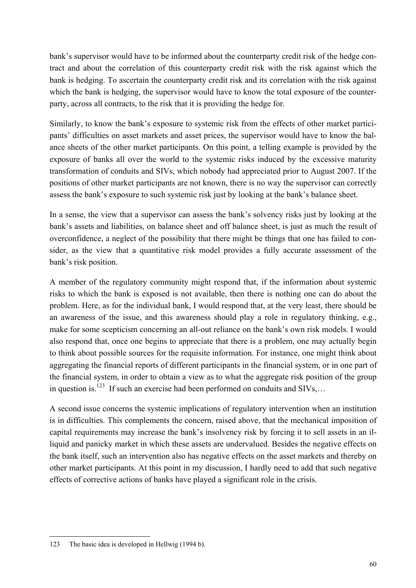bank's supervisor would have to be informed about the counterparty credit risk of the hedge contract and about the correlation of this counterparty credit risk with the risk against which the bank is hedging. To ascertain the counterparty credit risk and its correlation with the risk against which the bank is hedging, the supervisor would have to know the total exposure of the counterparty, across all contracts, to the risk that it is providing the hedge for.

Similarly, to know the bank's exposure to systemic risk from the effects of other market participants' difficulties on asset markets and asset prices, the supervisor would have to know the balance sheets of the other market participants. On this point, a telling example is provided by the exposure of banks all over the world to the systemic risks induced by the excessive maturity transformation of conduits and SIVs, which nobody had appreciated prior to August 2007. If the positions of other market participants are not known, there is no way the supervisor can correctly assess the bank's exposure to such systemic risk just by looking at the bank's balance sheet.

In a sense, the view that a supervisor can assess the bank's solvency risks just by looking at the bank's assets and liabilities, on balance sheet and off balance sheet, is just as much the result of overconfidence, a neglect of the possibility that there might be things that one has failed to consider, as the view that a quantitative risk model provides a fully accurate assessment of the bank's risk position.

A member of the regulatory community might respond that, if the information about systemic risks to which the bank is exposed is not available, then there is nothing one can do about the problem. Here, as for the individual bank, I would respond that, at the very least, there should be an awareness of the issue, and this awareness should play a role in regulatory thinking, e.g., make for some scepticism concerning an all-out reliance on the bank's own risk models. I would also respond that, once one begins to appreciate that there is a problem, one may actually begin to think about possible sources for the requisite information. For instance, one might think about aggregating the financial reports of different participants in the financial system, or in one part of the financial system, in order to obtain a view as to what the aggregate risk position of the group in question is.<sup>123</sup> If such an exercise had been performed on conduits and  $SIVs,...$ 

A second issue concerns the systemic implications of regulatory intervention when an institution is in difficulties. This complements the concern, raised above, that the mechanical imposition of capital requirements may increase the bank's insolvency risk by forcing it to sell assets in an illiquid and panicky market in which these assets are undervalued. Besides the negative effects on the bank itself, such an intervention also has negative effects on the asset markets and thereby on other market participants. At this point in my discussion, I hardly need to add that such negative effects of corrective actions of banks have played a significant role in the crisis.

<sup>123</sup> The basic idea is developed in Hellwig (1994 b).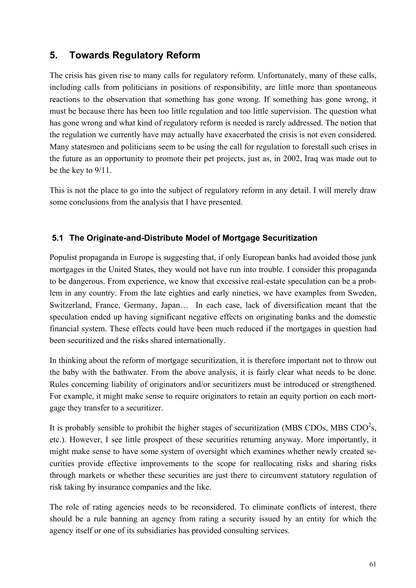# **5. Towards Regulatory Reform**

The crisis has given rise to many calls for regulatory reform. Unfortunately, many of these calls, including calls from politicians in positions of responsibility, are little more than spontaneous reactions to the observation that something has gone wrong. If something has gone wrong, it must be because there has been too little regulation and too little supervision. The question what has gone wrong and what kind of regulatory reform is needed is rarely addressed. The notion that the regulation we currently have may actually have exacerbated the crisis is not even considered. Many statesmen and politicians seem to be using the call for regulation to forestall such crises in the future as an opportunity to promote their pet projects, just as, in 2002, Iraq was made out to be the key to 9/11.

This is not the place to go into the subject of regulatory reform in any detail. I will merely draw some conclusions from the analysis that I have presented.

## **5.1 The Originate-and-Distribute Model of Mortgage Securitization**

Populist propaganda in Europe is suggesting that, if only European banks had avoided those junk mortgages in the United States, they would not have run into trouble. I consider this propaganda to be dangerous. From experience, we know that excessive real-estate speculation can be a problem in any country. From the late eighties and early nineties, we have examples from Sweden, Switzerland, France, Germany, Japan… In each case, lack of diversification meant that the speculation ended up having significant negative effects on originating banks and the domestic financial system. These effects could have been much reduced if the mortgages in question had been securitized and the risks shared internationally.

In thinking about the reform of mortgage securitization, it is therefore important not to throw out the baby with the bathwater. From the above analysis, it is fairly clear what needs to be done. Rules concerning liability of originators and/or securitizers must be introduced or strengthened. For example, it might make sense to require originators to retain an equity portion on each mortgage they transfer to a securitizer.

It is probably sensible to prohibit the higher stages of securitization (MBS CDOs, MBS CDO<sup>2</sup>s, etc.). However, I see little prospect of these securities returning anyway. More importantly, it might make sense to have some system of oversight which examines whether newly created securities provide effective improvements to the scope for reallocating risks and sharing risks through markets or whether these securities are just there to circumvent statutory regulation of risk taking by insurance companies and the like.

The role of rating agencies needs to be reconsidered. To eliminate conflicts of interest, there should be a rule banning an agency from rating a security issued by an entity for which the agency itself or one of its subsidiaries has provided consulting services.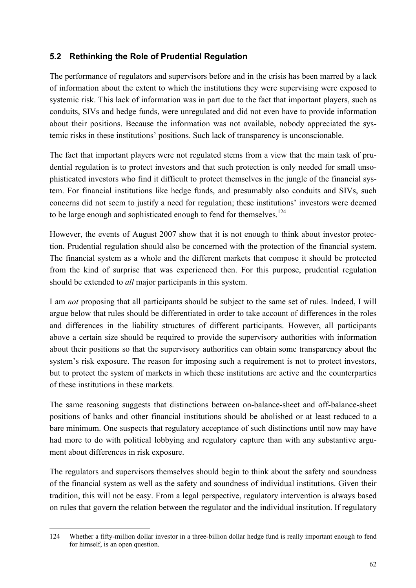## **5.2 Rethinking the Role of Prudential Regulation**

The performance of regulators and supervisors before and in the crisis has been marred by a lack of information about the extent to which the institutions they were supervising were exposed to systemic risk. This lack of information was in part due to the fact that important players, such as conduits, SIVs and hedge funds, were unregulated and did not even have to provide information about their positions. Because the information was not available, nobody appreciated the systemic risks in these institutions' positions. Such lack of transparency is unconscionable.

The fact that important players were not regulated stems from a view that the main task of prudential regulation is to protect investors and that such protection is only needed for small unsophisticated investors who find it difficult to protect themselves in the jungle of the financial system. For financial institutions like hedge funds, and presumably also conduits and SIVs, such concerns did not seem to justify a need for regulation; these institutions' investors were deemed to be large enough and sophisticated enough to fend for themselves.<sup>124</sup>

However, the events of August 2007 show that it is not enough to think about investor protection. Prudential regulation should also be concerned with the protection of the financial system. The financial system as a whole and the different markets that compose it should be protected from the kind of surprise that was experienced then. For this purpose, prudential regulation should be extended to *all* major participants in this system.

I am *not* proposing that all participants should be subject to the same set of rules. Indeed, I will argue below that rules should be differentiated in order to take account of differences in the roles and differences in the liability structures of different participants. However, all participants above a certain size should be required to provide the supervisory authorities with information about their positions so that the supervisory authorities can obtain some transparency about the system's risk exposure. The reason for imposing such a requirement is not to protect investors, but to protect the system of markets in which these institutions are active and the counterparties of these institutions in these markets.

The same reasoning suggests that distinctions between on-balance-sheet and off-balance-sheet positions of banks and other financial institutions should be abolished or at least reduced to a bare minimum. One suspects that regulatory acceptance of such distinctions until now may have had more to do with political lobbying and regulatory capture than with any substantive argument about differences in risk exposure.

The regulators and supervisors themselves should begin to think about the safety and soundness of the financial system as well as the safety and soundness of individual institutions. Given their tradition, this will not be easy. From a legal perspective, regulatory intervention is always based on rules that govern the relation between the regulator and the individual institution. If regulatory

 $\overline{a}$ 

<sup>124</sup> Whether a fifty-million dollar investor in a three-billion dollar hedge fund is really important enough to fend for himself, is an open question.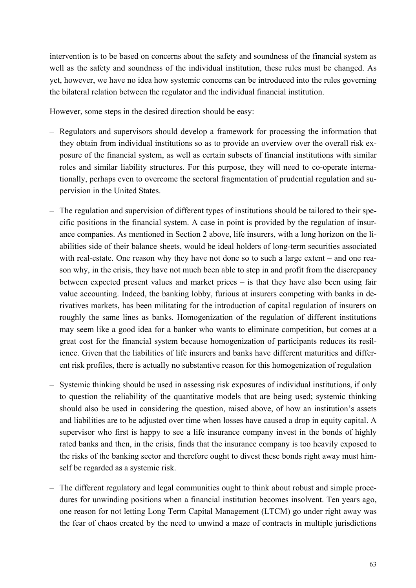intervention is to be based on concerns about the safety and soundness of the financial system as well as the safety and soundness of the individual institution, these rules must be changed. As yet, however, we have no idea how systemic concerns can be introduced into the rules governing the bilateral relation between the regulator and the individual financial institution.

However, some steps in the desired direction should be easy:

- Regulators and supervisors should develop a framework for processing the information that they obtain from individual institutions so as to provide an overview over the overall risk exposure of the financial system, as well as certain subsets of financial institutions with similar roles and similar liability structures. For this purpose, they will need to co-operate internationally, perhaps even to overcome the sectoral fragmentation of prudential regulation and supervision in the United States.
- The regulation and supervision of different types of institutions should be tailored to their specific positions in the financial system. A case in point is provided by the regulation of insurance companies. As mentioned in Section 2 above, life insurers, with a long horizon on the liabilities side of their balance sheets, would be ideal holders of long-term securities associated with real-estate. One reason why they have not done so to such a large extent – and one reason why, in the crisis, they have not much been able to step in and profit from the discrepancy between expected present values and market prices – is that they have also been using fair value accounting. Indeed, the banking lobby, furious at insurers competing with banks in derivatives markets, has been militating for the introduction of capital regulation of insurers on roughly the same lines as banks. Homogenization of the regulation of different institutions may seem like a good idea for a banker who wants to eliminate competition, but comes at a great cost for the financial system because homogenization of participants reduces its resilience. Given that the liabilities of life insurers and banks have different maturities and different risk profiles, there is actually no substantive reason for this homogenization of regulation
- Systemic thinking should be used in assessing risk exposures of individual institutions, if only to question the reliability of the quantitative models that are being used; systemic thinking should also be used in considering the question, raised above, of how an institution's assets and liabilities are to be adjusted over time when losses have caused a drop in equity capital. A supervisor who first is happy to see a life insurance company invest in the bonds of highly rated banks and then, in the crisis, finds that the insurance company is too heavily exposed to the risks of the banking sector and therefore ought to divest these bonds right away must himself be regarded as a systemic risk.
- The different regulatory and legal communities ought to think about robust and simple procedures for unwinding positions when a financial institution becomes insolvent. Ten years ago, one reason for not letting Long Term Capital Management (LTCM) go under right away was the fear of chaos created by the need to unwind a maze of contracts in multiple jurisdictions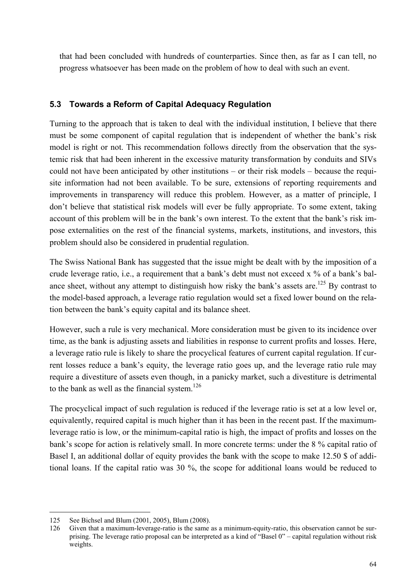that had been concluded with hundreds of counterparties. Since then, as far as I can tell, no progress whatsoever has been made on the problem of how to deal with such an event.

#### **5.3 Towards a Reform of Capital Adequacy Regulation**

Turning to the approach that is taken to deal with the individual institution, I believe that there must be some component of capital regulation that is independent of whether the bank's risk model is right or not. This recommendation follows directly from the observation that the systemic risk that had been inherent in the excessive maturity transformation by conduits and SIVs could not have been anticipated by other institutions – or their risk models – because the requisite information had not been available. To be sure, extensions of reporting requirements and improvements in transparency will reduce this problem. However, as a matter of principle, I don't believe that statistical risk models will ever be fully appropriate. To some extent, taking account of this problem will be in the bank's own interest. To the extent that the bank's risk impose externalities on the rest of the financial systems, markets, institutions, and investors, this problem should also be considered in prudential regulation.

The Swiss National Bank has suggested that the issue might be dealt with by the imposition of a crude leverage ratio, i.e., a requirement that a bank's debt must not exceed x % of a bank's balance sheet, without any attempt to distinguish how risky the bank's assets are.<sup>125</sup> By contrast to the model-based approach, a leverage ratio regulation would set a fixed lower bound on the relation between the bank's equity capital and its balance sheet.

However, such a rule is very mechanical. More consideration must be given to its incidence over time, as the bank is adjusting assets and liabilities in response to current profits and losses. Here, a leverage ratio rule is likely to share the procyclical features of current capital regulation. If current losses reduce a bank's equity, the leverage ratio goes up, and the leverage ratio rule may require a divestiture of assets even though, in a panicky market, such a divestiture is detrimental to the bank as well as the financial system.<sup>126</sup>

The procyclical impact of such regulation is reduced if the leverage ratio is set at a low level or, equivalently, required capital is much higher than it has been in the recent past. If the maximumleverage ratio is low, or the minimum-capital ratio is high, the impact of profits and losses on the bank's scope for action is relatively small. In more concrete terms: under the 8 % capital ratio of Basel I, an additional dollar of equity provides the bank with the scope to make 12.50 \$ of additional loans. If the capital ratio was 30 %, the scope for additional loans would be reduced to

<sup>125</sup> See Bichsel and Blum (2001, 2005), Blum (2008).

<sup>126</sup> Given that a maximum-leverage-ratio is the same as a minimum-equity-ratio, this observation cannot be surprising. The leverage ratio proposal can be interpreted as a kind of "Basel 0" – capital regulation without risk weights.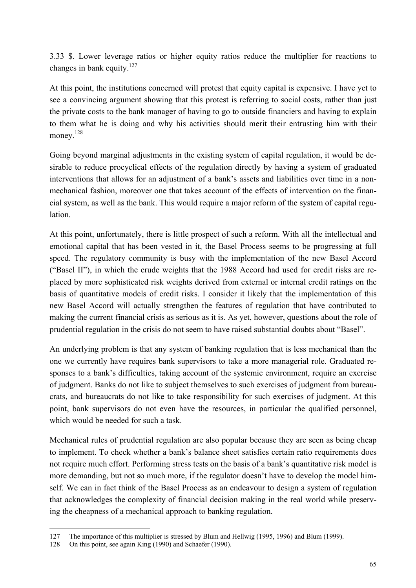3.33 \$. Lower leverage ratios or higher equity ratios reduce the multiplier for reactions to changes in bank equity.<sup>127</sup>

At this point, the institutions concerned will protest that equity capital is expensive. I have yet to see a convincing argument showing that this protest is referring to social costs, rather than just the private costs to the bank manager of having to go to outside financiers and having to explain to them what he is doing and why his activities should merit their entrusting him with their money.<sup>128</sup>

Going beyond marginal adjustments in the existing system of capital regulation, it would be desirable to reduce procyclical effects of the regulation directly by having a system of graduated interventions that allows for an adjustment of a bank's assets and liabilities over time in a nonmechanical fashion, moreover one that takes account of the effects of intervention on the financial system, as well as the bank. This would require a major reform of the system of capital regulation.

At this point, unfortunately, there is little prospect of such a reform. With all the intellectual and emotional capital that has been vested in it, the Basel Process seems to be progressing at full speed. The regulatory community is busy with the implementation of the new Basel Accord ("Basel II"), in which the crude weights that the 1988 Accord had used for credit risks are replaced by more sophisticated risk weights derived from external or internal credit ratings on the basis of quantitative models of credit risks. I consider it likely that the implementation of this new Basel Accord will actually strengthen the features of regulation that have contributed to making the current financial crisis as serious as it is. As yet, however, questions about the role of prudential regulation in the crisis do not seem to have raised substantial doubts about "Basel".

An underlying problem is that any system of banking regulation that is less mechanical than the one we currently have requires bank supervisors to take a more managerial role. Graduated responses to a bank's difficulties, taking account of the systemic environment, require an exercise of judgment. Banks do not like to subject themselves to such exercises of judgment from bureaucrats, and bureaucrats do not like to take responsibility for such exercises of judgment. At this point, bank supervisors do not even have the resources, in particular the qualified personnel, which would be needed for such a task.

Mechanical rules of prudential regulation are also popular because they are seen as being cheap to implement. To check whether a bank's balance sheet satisfies certain ratio requirements does not require much effort. Performing stress tests on the basis of a bank's quantitative risk model is more demanding, but not so much more, if the regulator doesn't have to develop the model himself. We can in fact think of the Basel Process as an endeavour to design a system of regulation that acknowledges the complexity of financial decision making in the real world while preserving the cheapness of a mechanical approach to banking regulation.

 $\overline{a}$ 

<sup>127</sup> The importance of this multiplier is stressed by Blum and Hellwig (1995, 1996) and Blum (1999).

<sup>128</sup> On this point, see again King (1990) and Schaefer (1990).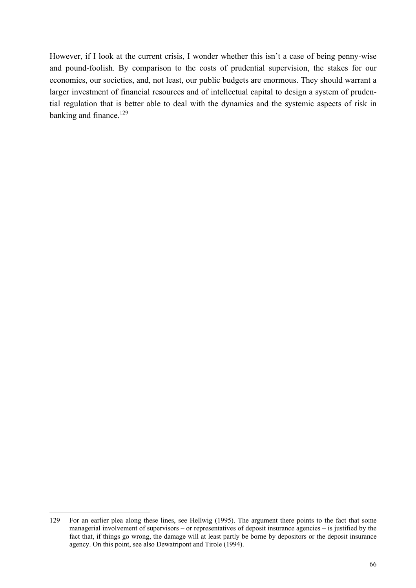However, if I look at the current crisis, I wonder whether this isn't a case of being penny-wise and pound-foolish. By comparison to the costs of prudential supervision, the stakes for our economies, our societies, and, not least, our public budgets are enormous. They should warrant a larger investment of financial resources and of intellectual capital to design a system of prudential regulation that is better able to deal with the dynamics and the systemic aspects of risk in banking and finance. $^{129}$ 

j 129 For an earlier plea along these lines, see Hellwig (1995). The argument there points to the fact that some managerial involvement of supervisors – or representatives of deposit insurance agencies – is justified by the fact that, if things go wrong, the damage will at least partly be borne by depositors or the deposit insurance agency. On this point, see also Dewatripont and Tirole (1994).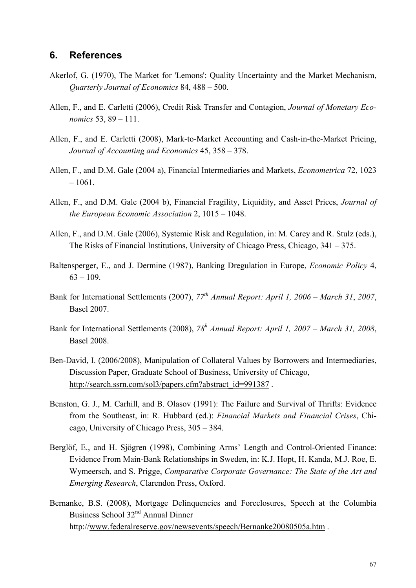#### **6. References**

- Akerlof, G. (1970), The Market for 'Lemons': Quality Uncertainty and the Market Mechanism, *Quarterly Journal of Economics* 84, 488 – 500.
- Allen, F., and E. Carletti (2006), Credit Risk Transfer and Contagion, *Journal of Monetary Economics* 53, 89 – 111.
- Allen, F., and E. Carletti (2008), Mark-to-Market Accounting and Cash-in-the-Market Pricing, *Journal of Accounting and Economics* 45, 358 – 378.
- Allen, F., and D.M. Gale (2004 a), Financial Intermediaries and Markets, *Econometrica* 72, 1023  $-1061$
- Allen, F., and D.M. Gale (2004 b), Financial Fragility, Liquidity, and Asset Prices, *Journal of the European Economic Association* 2, 1015 – 1048.
- Allen, F., and D.M. Gale (2006), Systemic Risk and Regulation, in: M. Carey and R. Stulz (eds.), The Risks of Financial Institutions, University of Chicago Press, Chicago, 341 – 375.
- Baltensperger, E., and J. Dermine (1987), Banking Dregulation in Europe, *Economic Policy* 4,  $63 - 109$ .
- Bank for International Settlements (2007), *77th Annual Report: April 1, 2006 March 31*, *2007*, Basel 2007.
- Bank for International Settlements (2008), *78h Annual Report: April 1, 2007 March 31, 2008*, Basel 2008.
- Ben-David, I. (2006/2008), Manipulation of Collateral Values by Borrowers and Intermediaries, Discussion Paper, Graduate School of Business, University of Chicago, http://search.ssrn.com/sol3/papers.cfm?abstract\_id=991387.
- Benston, G. J., M. Carhill, and B. Olasov (1991): The Failure and Survival of Thrifts: Evidence from the Southeast, in: R. Hubbard (ed.): *Financial Markets and Financial Crises*, Chicago, University of Chicago Press, 305 – 384.
- Berglöf, E., and H. Sjögren (1998), Combining Arms' Length and Control-Oriented Finance: Evidence From Main-Bank Relationships in Sweden, in: K.J. Hopt, H. Kanda, M.J. Roe, E. Wymeersch, and S. Prigge, *Comparative Corporate Governance: The State of the Art and Emerging Research*, Clarendon Press, Oxford.
- Bernanke, B.S. (2008), Mortgage Delinquencies and Foreclosures, Speech at the Columbia Business School 32<sup>nd</sup> Annual Dinner http://www.federalreserve.gov/newsevents/speech/Bernanke20080505a.htm .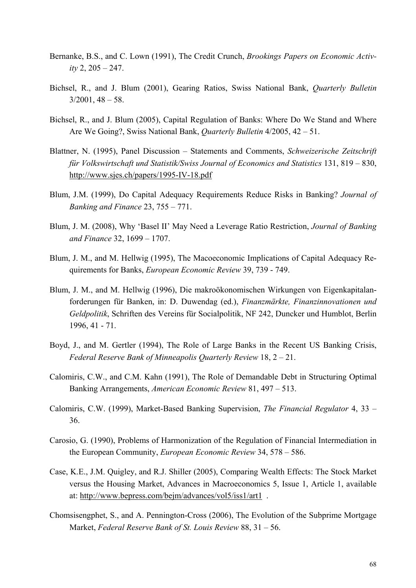- Bernanke, B.S., and C. Lown (1991), The Credit Crunch, *Brookings Papers on Economic Activity* 2, 205 – 247.
- Bichsel, R., and J. Blum (2001), Gearing Ratios, Swiss National Bank, *Quarterly Bulletin*  $3/2001$ ,  $48 - 58$ .
- Bichsel, R., and J. Blum (2005), Capital Regulation of Banks: Where Do We Stand and Where Are We Going?, Swiss National Bank, *Quarterly Bulletin* 4/2005, 42 – 51.
- Blattner, N. (1995), Panel Discussion Statements and Comments, *Schweizerische Zeitschrift für Volkswirtschaft und Statistik/Swiss Journal of Economics and Statistics* 131, 819 – 830, http://www.sjes.ch/papers/1995-IV-18.pdf
- Blum, J.M. (1999), Do Capital Adequacy Requirements Reduce Risks in Banking? *Journal of Banking and Finance* 23, 755 – 771.
- Blum, J. M. (2008), Why 'Basel II' May Need a Leverage Ratio Restriction, *Journal of Banking and Finance* 32, 1699 – 1707.
- Blum, J. M., and M. Hellwig (1995), The Macoeconomic Implications of Capital Adequacy Requirements for Banks, *European Economic Review* 39, 739 - 749.
- Blum, J. M., and M. Hellwig (1996), Die makroökonomischen Wirkungen von Eigenkapitalanforderungen für Banken, in: D. Duwendag (ed.), *Finanzmärkte, Finanzinnovationen und Geldpolitik*, Schriften des Vereins für Socialpolitik, NF 242, Duncker und Humblot, Berlin 1996, 41 - 71.
- Boyd, J., and M. Gertler (1994), The Role of Large Banks in the Recent US Banking Crisis, *Federal Reserve Bank of Minneapolis Quarterly Review* 18, 2 – 21.
- Calomiris, C.W., and C.M. Kahn (1991), The Role of Demandable Debt in Structuring Optimal Banking Arrangements, *American Economic Review* 81, 497 – 513.
- Calomiris, C.W. (1999), Market-Based Banking Supervision, *The Financial Regulator* 4, 33 36.
- Carosio, G. (1990), Problems of Harmonization of the Regulation of Financial Intermediation in the European Community, *European Economic Review* 34, 578 – 586.
- Case, K.E., J.M. Quigley, and R.J. Shiller (2005), Comparing Wealth Effects: The Stock Market versus the Housing Market, Advances in Macroeconomics 5, Issue 1, Article 1, available at: http://www.bepress.com/bejm/advances/vol5/iss1/art1 .
- Chomsisengphet, S., and A. Pennington-Cross (2006), The Evolution of the Subprime Mortgage Market, *Federal Reserve Bank of St. Louis Review* 88, 31 – 56.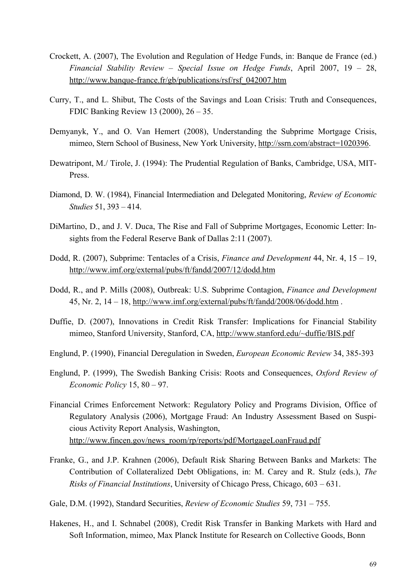- Crockett, A. (2007), The Evolution and Regulation of Hedge Funds, in: Banque de France (ed.) *Financial Stability Review – Special Issue on Hedge Funds*, April 2007, 19 – 28, http://www.banque-france.fr/gb/publications/rsf/rsf\_042007.htm
- Curry, T., and L. Shibut, The Costs of the Savings and Loan Crisis: Truth and Consequences, FDIC Banking Review 13 (2000), 26 – 35.
- Demyanyk, Y., and O. Van Hemert (2008), Understanding the Subprime Mortgage Crisis, mimeo, Stern School of Business, New York University, http://ssrn.com/abstract=1020396.
- Dewatripont, M./ Tirole, J. (1994): The Prudential Regulation of Banks, Cambridge, USA, MIT-Press.
- Diamond, D. W. (1984), Financial Intermediation and Delegated Monitoring, *Review of Economic Studies* 51, 393 – 414.
- DiMartino, D., and J. V. Duca, The Rise and Fall of Subprime Mortgages, Economic Letter: Insights from the Federal Reserve Bank of Dallas 2:11 (2007).
- Dodd, R. (2007), Subprime: Tentacles of a Crisis, *Finance and Development* 44, Nr. 4, 15 19, http://www.imf.org/external/pubs/ft/fandd/2007/12/dodd.htm
- Dodd, R., and P. Mills (2008), Outbreak: U.S. Subprime Contagion, *Finance and Development* 45, Nr. 2, 14 – 18, http://www.imf.org/external/pubs/ft/fandd/2008/06/dodd.htm .
- Duffie, D. (2007), Innovations in Credit Risk Transfer: Implications for Financial Stability mimeo, Stanford University, Stanford, CA, http://www.stanford.edu/~duffie/BIS.pdf
- Englund, P. (1990), Financial Deregulation in Sweden, *European Economic Review* 34, 385-393
- Englund, P. (1999), The Swedish Banking Crisis: Roots and Consequences, *Oxford Review of Economic Policy* 15, 80 – 97.
- Financial Crimes Enforcement Network: Regulatory Policy and Programs Division, Office of Regulatory Analysis (2006), Mortgage Fraud: An Industry Assessment Based on Suspicious Activity Report Analysis, Washington, http://www.fincen.gov/news\_room/rp/reports/pdf/MortgageLoanFraud.pdf
- Franke, G., and J.P. Krahnen (2006), Default Risk Sharing Between Banks and Markets: The Contribution of Collateralized Debt Obligations, in: M. Carey and R. Stulz (eds.), *The Risks of Financial Institutions*, University of Chicago Press, Chicago, 603 – 631.
- Gale, D.M. (1992), Standard Securities, *Review of Economic Studies* 59, 731 755.
- Hakenes, H., and I. Schnabel (2008), Credit Risk Transfer in Banking Markets with Hard and Soft Information, mimeo, Max Planck Institute for Research on Collective Goods, Bonn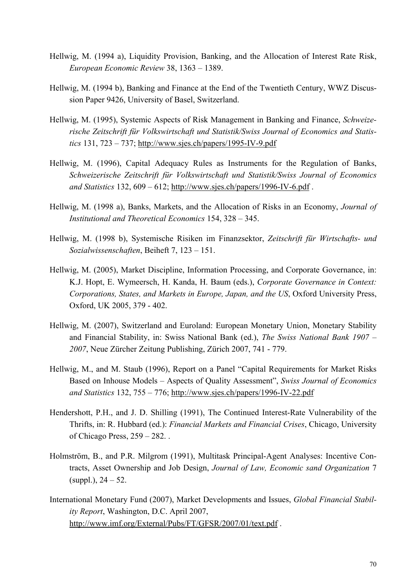- Hellwig, M. (1994 a), Liquidity Provision, Banking, and the Allocation of Interest Rate Risk, *European Economic Review* 38, 1363 – 1389.
- Hellwig, M. (1994 b), Banking and Finance at the End of the Twentieth Century, WWZ Discussion Paper 9426, University of Basel, Switzerland.
- Hellwig, M. (1995), Systemic Aspects of Risk Management in Banking and Finance, *Schweizerische Zeitschrift für Volkswirtschaft und Statistik/Swiss Journal of Economics and Statistics* 131, 723 – 737; http://www.sjes.ch/papers/1995-IV-9.pdf
- Hellwig, M. (1996), Capital Adequacy Rules as Instruments for the Regulation of Banks, *Schweizerische Zeitschrift für Volkswirtschaft und Statistik/Swiss Journal of Economics and Statistics* 132, 609 – 612; http://www.sjes.ch/papers/1996-IV-6.pdf .
- Hellwig, M. (1998 a), Banks, Markets, and the Allocation of Risks in an Economy, *Journal of Institutional and Theoretical Economics* 154, 328 – 345.
- Hellwig, M. (1998 b), Systemische Risiken im Finanzsektor, *Zeitschrift für Wirtschafts- und Sozialwissenschaften*, Beiheft 7, 123 – 151.
- Hellwig, M. (2005), Market Discipline, Information Processing, and Corporate Governance, in: K.J. Hopt, E. Wymeersch, H. Kanda, H. Baum (eds.), *Corporate Governance in Context: Corporations, States, and Markets in Europe, Japan, and the US*, Oxford University Press, Oxford, UK 2005, 379 - 402.
- Hellwig, M. (2007), Switzerland and Euroland: European Monetary Union, Monetary Stability and Financial Stability, in: Swiss National Bank (ed.), *The Swiss National Bank 1907 – 2007*, Neue Zürcher Zeitung Publishing, Zürich 2007, 741 - 779.
- Hellwig, M., and M. Staub (1996), Report on a Panel "Capital Requirements for Market Risks Based on Inhouse Models – Aspects of Quality Assessment", *Swiss Journal of Economics and Statistics* 132, 755 – 776; http://www.sjes.ch/papers/1996-IV-22.pdf
- Hendershott, P.H., and J. D. Shilling (1991), The Continued Interest-Rate Vulnerability of the Thrifts, in: R. Hubbard (ed.): *Financial Markets and Financial Crises*, Chicago, University of Chicago Press, 259 – 282. .
- Holmström, B., and P.R. Milgrom (1991), Multitask Principal-Agent Analyses: Incentive Contracts, Asset Ownership and Job Design, *Journal of Law, Economic sand Organization* 7  $(suppl.)$ ,  $24 - 52$ .
- International Monetary Fund (2007), Market Developments and Issues, *Global Financial Stability Report*, Washington, D.C. April 2007, http://www.imf.org/External/Pubs/FT/GFSR/2007/01/text.pdf .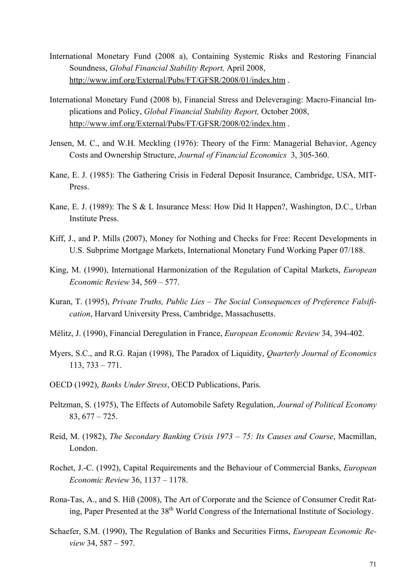- International Monetary Fund (2008 a), Containing Systemic Risks and Restoring Financial Soundness, *Global Financial Stability Report,* April 2008, http://www.imf.org/External/Pubs/FT/GFSR/2008/01/index.htm .
- International Monetary Fund (2008 b), Financial Stress and Deleveraging: Macro-Financial Implications and Policy, *Global Financial Stability Report,* October 2008, http://www.imf.org/External/Pubs/FT/GFSR/2008/02/index.htm .
- Jensen, M. C., and W.H. Meckling (1976): Theory of the Firm: Managerial Behavior, Agency Costs and Ownership Structure, *Journal of Financial Economics* 3, 305-360.
- Kane, E. J. (1985): The Gathering Crisis in Federal Deposit Insurance, Cambridge, USA, MIT-Press.
- Kane, E. J. (1989): The S & L Insurance Mess: How Did It Happen?, Washington, D.C., Urban Institute Press.
- Kiff, J., and P. Mills (2007), Money for Nothing and Checks for Free: Recent Developments in U.S. Subprime Mortgage Markets, International Monetary Fund Working Paper 07/188.
- King, M. (1990), International Harmonization of the Regulation of Capital Markets, *European Economic Review* 34, 569 – 577.
- Kuran, T. (1995), *Private Truths, Public Lies The Social Consequences of Preference Falsification*, Harvard University Press, Cambridge, Massachusetts.
- Mélitz, J. (1990), Financial Deregulation in France, *European Economic Review* 34, 394-402.
- Myers, S.C., and R.G. Rajan (1998), The Paradox of Liquidity, *Quarterly Journal of Economics*  113, 733 – 771.
- OECD (1992), *Banks Under Stress*, OECD Publications, Paris.
- Peltzman, S. (1975), The Effects of Automobile Safety Regulation, *Journal of Political Economy* 83, 677 – 725.
- Reid, M. (1982), *The Secondary Banking Crisis 1973 75: Its Causes and Course*, Macmillan, London.
- Rochet, J.-C. (1992), Capital Requirements and the Behaviour of Commercial Banks, *European Economic Review* 36, 1137 – 1178.
- Rona-Tas, A., and S. Hiß (2008), The Art of Corporate and the Science of Consumer Credit Rating, Paper Presented at the 38<sup>th</sup> World Congress of the International Institute of Sociology.
- Schaefer, S.M. (1990), The Regulation of Banks and Securities Firms, *European Economic Review* 34, 587 – 597.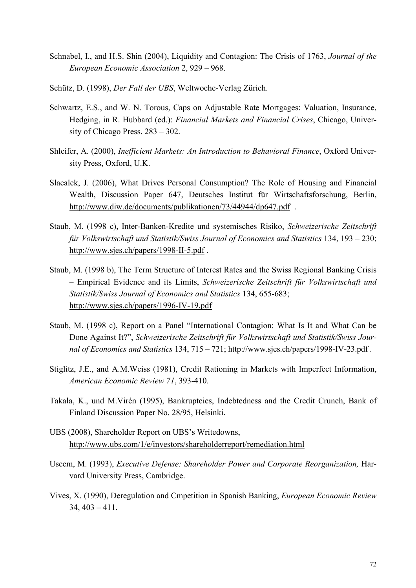- Schnabel, I., and H.S. Shin (2004), Liquidity and Contagion: The Crisis of 1763, *Journal of the European Economic Association* 2, 929 – 968.
- Schütz, D. (1998), *Der Fall der UBS*, Weltwoche-Verlag Zürich.
- Schwartz, E.S., and W. N. Torous, Caps on Adjustable Rate Mortgages: Valuation, Insurance, Hedging, in R. Hubbard (ed.): *Financial Markets and Financial Crises*, Chicago, University of Chicago Press, 283 – 302.
- Shleifer, A. (2000), *Inefficient Markets: An Introduction to Behavioral Finance*, Oxford University Press, Oxford, U.K.
- Slacalek, J. (2006), What Drives Personal Consumption? The Role of Housing and Financial Wealth, Discussion Paper 647, Deutsches Institut für Wirtschaftsforschung, Berlin, http://www.diw.de/documents/publikationen/73/44944/dp647.pdf.
- Staub, M. (1998 c), Inter-Banken-Kredite und systemisches Risiko, *Schweizerische Zeitschrift für Volkswirtschaft und Statistik/Swiss Journal of Economics and Statistics* 134, 193 – 230; http://www.sjes.ch/papers/1998-II-5.pdf .
- Staub, M. (1998 b), The Term Structure of Interest Rates and the Swiss Regional Banking Crisis – Empirical Evidence and its Limits, *Schweizerische Zeitschrift für Volkswirtschaft und Statistik/Swiss Journal of Economics and Statistics* 134, 655-683; http://www.sjes.ch/papers/1996-IV-19.pdf
- Staub, M. (1998 c), Report on a Panel "International Contagion: What Is It and What Can be Done Against It?", *Schweizerische Zeitschrift für Volkswirtschaft und Statistik/Swiss Journal of Economics and Statistics* 134, 715 – 721; http://www.sjes.ch/papers/1998-IV-23.pdf .
- Stiglitz, J.E., and A.M.Weiss (1981), Credit Rationing in Markets with Imperfect Information, *American Economic Review 71*, 393-410.
- Takala, K., und M.Virén (1995), Bankruptcies, Indebtedness and the Credit Crunch, Bank of Finland Discussion Paper No. 28/95, Helsinki.
- UBS (2008), Shareholder Report on UBS's Writedowns, http://www.ubs.com/1/e/investors/shareholderreport/remediation.html
- Useem, M. (1993), *Executive Defense: Shareholder Power and Corporate Reorganization,* Harvard University Press, Cambridge.
- Vives, X. (1990), Deregulation and Cmpetition in Spanish Banking, *European Economic Review*  $34, 403 - 411.$